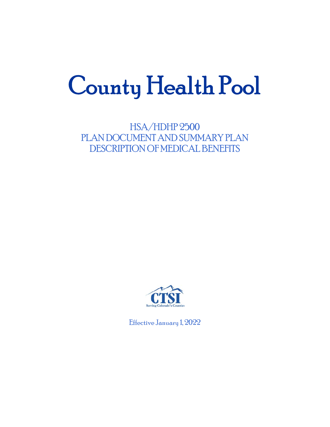# County Health Pool

HSA/HDHP 2500 PLAN DOCUMENT AND SUMMARY PLAN DESCRIPTION OF MEDICAL BENEFITS



Effective January 1, 2022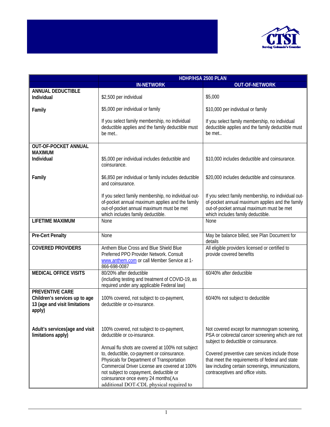

|                                                                                             | HDHP/HSA 2500 PLAN                                                                                                                                                                                                                                                                                                         |                                                                                                                                                                                            |
|---------------------------------------------------------------------------------------------|----------------------------------------------------------------------------------------------------------------------------------------------------------------------------------------------------------------------------------------------------------------------------------------------------------------------------|--------------------------------------------------------------------------------------------------------------------------------------------------------------------------------------------|
|                                                                                             | <b>IN-NETWORK</b>                                                                                                                                                                                                                                                                                                          | <b>OUT-OF-NETWORK</b>                                                                                                                                                                      |
| <b>ANNUAL DEDUCTIBLE</b><br>Individual                                                      | \$2,500 per individual                                                                                                                                                                                                                                                                                                     | \$5,000                                                                                                                                                                                    |
| Family                                                                                      | \$5,000 per individual or family                                                                                                                                                                                                                                                                                           | \$10,000 per individual or family                                                                                                                                                          |
|                                                                                             | If you select family membership, no individual<br>deductible applies and the family deductible must<br>be met                                                                                                                                                                                                              | If you select family membership, no individual<br>deductible applies and the family deductible must<br>be met                                                                              |
| <b>OUT-OF-POCKET ANNUAL</b><br><b>MAXIMUM</b><br>Individual                                 | \$5,000 per individual includes deductible and<br>coinsurance.                                                                                                                                                                                                                                                             | \$10,000 includes deductible and coinsurance.                                                                                                                                              |
| Family                                                                                      | \$6,850 per individual or family includes deductible<br>and coinsurance.                                                                                                                                                                                                                                                   | \$20,000 includes deductible and coinsurance.                                                                                                                                              |
|                                                                                             | If you select family membership, no individual out-<br>of-pocket annual maximum applies and the family<br>out-of-pocket annual maximum must be met<br>which includes family deductible.                                                                                                                                    | If you select family membership, no individual out-<br>of-pocket annual maximum applies and the family<br>out-of-pocket annual maximum must be met<br>which includes family deductible.    |
| <b>LIFETIME MAXIMUM</b>                                                                     | None                                                                                                                                                                                                                                                                                                                       | None                                                                                                                                                                                       |
| <b>Pre-Cert Penalty</b>                                                                     | None                                                                                                                                                                                                                                                                                                                       | May be balance billed, see Plan Document for<br>details                                                                                                                                    |
| <b>COVERED PROVIDERS</b>                                                                    | Anthem Blue Cross and Blue Shield Blue<br>Preferred PPO Provider Network. Consult<br>www.anthem.com or call Member Service at 1-<br>866-698-0087                                                                                                                                                                           | All eligible providers licensed or certified to<br>provide covered benefits                                                                                                                |
| <b>MEDICAL OFFICE VISITS</b>                                                                | 80/20% after deductible<br>(including testing and treatment of COVID-19, as<br>required under any applicable Federal law)                                                                                                                                                                                                  | 60/40% after deductible                                                                                                                                                                    |
| PREVENTIVE CARE<br>Children's services up to age<br>13 (age and visit limitations<br>apply) | 100% covered, not subject to co-payment,<br>deductible or co-insurance.                                                                                                                                                                                                                                                    | 60/40% not subject to deductible                                                                                                                                                           |
| Adult's services (age and visit<br>limitations apply)                                       | 100% covered, not subject to co-payment,<br>deductible or co-insurance.                                                                                                                                                                                                                                                    | Not covered except for mammogram screening,<br>PSA or colorectal cancer screening which are not<br>subject to deductible or coinsurance.                                                   |
|                                                                                             | Annual flu shots are covered at 100% not subject<br>to, deductible, co-payment or coinsurance.<br>Physicals for Department of Transportation<br>Commercial Driver License are covered at 100%<br>not subject to copayment, deductible or<br>coinsurance once every 24 months(An<br>additional DOT-CDL physical required to | Covered preventive care services include those<br>that meet the requirements of federal and state<br>law including certain screenings, immunizations,<br>contraceptives and office visits. |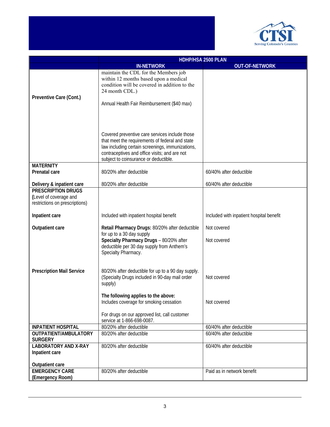

|                                                                                       | HDHP/HSA 2500 PLAN                                                                                                                                                                                                                              |                                          |
|---------------------------------------------------------------------------------------|-------------------------------------------------------------------------------------------------------------------------------------------------------------------------------------------------------------------------------------------------|------------------------------------------|
|                                                                                       | <b>IN-NETWORK</b>                                                                                                                                                                                                                               | <b>OUT-OF-NETWORK</b>                    |
| Preventive Care (Cont.)                                                               | maintain the CDL for the Members job<br>within 12 months based upon a medical<br>condition will be covered in addition to the<br>24 month CDL.)<br>Annual Health Fair Reimbursement (\$40 max)                                                  |                                          |
|                                                                                       |                                                                                                                                                                                                                                                 |                                          |
|                                                                                       | Covered preventive care services include those<br>that meet the requirements of federal and state<br>law including certain screenings, immunizations,<br>contraceptives and office visits; and are not<br>subject to coinsurance or deductible. |                                          |
| <b>MATERNITY</b><br><b>Prenatal care</b>                                              | 80/20% after deductible                                                                                                                                                                                                                         | 60/40% after deductible                  |
| Delivery & inpatient care                                                             | 80/20% after deductible                                                                                                                                                                                                                         | 60/40% after deductible                  |
| <b>PRESCRIPTION DRUGS</b><br>(Level of coverage and<br>restrictions on prescriptions) |                                                                                                                                                                                                                                                 |                                          |
| Inpatient care                                                                        | Included with inpatient hospital benefit                                                                                                                                                                                                        | Included with inpatient hospital benefit |
| Outpatient care                                                                       | Retail Pharmacy Drugs: 80/20% after deductible<br>for up to a 30 day supply<br>Specialty Pharmacy Drugs - 80/20% after<br>deductible per 30 day supply from Anthem's<br>Specialty Pharmacy.                                                     | Not covered<br>Not covered               |
| <b>Prescription Mail Service</b>                                                      | 80/20% after deductible for up to a 90 day supply.<br>(Specialty Drugs included in 90-day mail order<br>supply)                                                                                                                                 | Not covered                              |
|                                                                                       | The following applies to the above:<br>Includes coverage for smoking cessation                                                                                                                                                                  | Not covered                              |
|                                                                                       | For drugs on our approved list, call customer<br>service at 1-866-698-0087.                                                                                                                                                                     |                                          |
| <b>INPATIENT HOSPITAL</b>                                                             | 80/20% after deductible                                                                                                                                                                                                                         | 60/40% after deductible                  |
| OUTPATIENT/AMBULATORY<br><b>SURGERY</b>                                               | 80/20% after deductible                                                                                                                                                                                                                         | 60/40% after deductible                  |
| <b>LABORATORY AND X-RAY</b><br>Inpatient care                                         | 80/20% after deductible                                                                                                                                                                                                                         | 60/40% after deductible                  |
| Outpatient care                                                                       |                                                                                                                                                                                                                                                 |                                          |
| <b>EMERGENCY CARE</b><br>(Emergency Room)                                             | 80/20% after deductible                                                                                                                                                                                                                         | Paid as in network benefit               |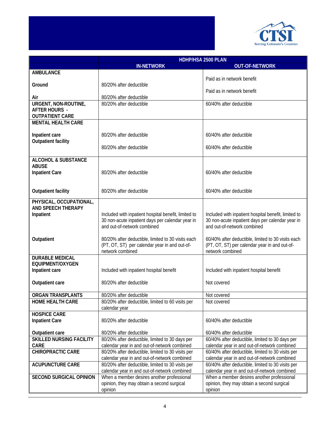

|                                                           | HDHP/HSA 2500 PLAN                                                                                       |                                                                                                          |
|-----------------------------------------------------------|----------------------------------------------------------------------------------------------------------|----------------------------------------------------------------------------------------------------------|
|                                                           | <b>IN-NETWORK</b>                                                                                        | <b>OUT-OF-NETWORK</b>                                                                                    |
| <b>AMBULANCE</b>                                          |                                                                                                          |                                                                                                          |
|                                                           |                                                                                                          | Paid as in network benefit                                                                               |
| Ground                                                    | 80/20% after deductible                                                                                  |                                                                                                          |
|                                                           |                                                                                                          | Paid as in network benefit                                                                               |
| Air<br>URGENT, NON-ROUTINE,                               | 80/20% after deductible<br>80/20% after deductible                                                       | 60/40% after deductible                                                                                  |
| <b>AFTER HOURS -</b>                                      |                                                                                                          |                                                                                                          |
| <b>OUTPATIENT CARE</b>                                    |                                                                                                          |                                                                                                          |
| <b>MENTAL HEALTH CARE</b>                                 |                                                                                                          |                                                                                                          |
|                                                           |                                                                                                          |                                                                                                          |
| Inpatient care                                            | 80/20% after deductible                                                                                  | 60/40% after deductible                                                                                  |
| <b>Outpatient facility</b>                                |                                                                                                          |                                                                                                          |
|                                                           | 80/20% after deductible                                                                                  | 60/40% after deductible                                                                                  |
|                                                           |                                                                                                          |                                                                                                          |
| <b>ALCOHOL &amp; SUBSTANCE</b>                            |                                                                                                          |                                                                                                          |
| <b>ABUSE</b><br><b>Inpatient Care</b>                     | 80/20% after deductible                                                                                  | 60/40% after deductible                                                                                  |
|                                                           |                                                                                                          |                                                                                                          |
|                                                           |                                                                                                          |                                                                                                          |
| <b>Outpatient facility</b>                                | 80/20% after deductible                                                                                  | 60/40% after deductible                                                                                  |
|                                                           |                                                                                                          |                                                                                                          |
| PHYSICAL, OCCUPATIONAL,                                   |                                                                                                          |                                                                                                          |
| <b>AND SPEECH THERAPY</b>                                 |                                                                                                          |                                                                                                          |
| Inpatient                                                 | Included with inpatient hospital benefit, limited to<br>30 non-acute inpatient days per calendar year in | Included with inpatient hospital benefit, limited to<br>30 non-acute inpatient days per calendar year in |
|                                                           | and out-of-network combined                                                                              | and out-of-network combined                                                                              |
|                                                           |                                                                                                          |                                                                                                          |
| Outpatient                                                | 80/20% after deductible, limited to 30 visits each                                                       | 60/40% after deductible, limited to 30 visits each                                                       |
|                                                           | (PT, OT, ST) per calendar year in and out-of-                                                            | (PT, OT, ST) per calendar year in and out-of-                                                            |
|                                                           | network combined                                                                                         | network combined                                                                                         |
| <b>DURABLE MEDICAL</b>                                    |                                                                                                          |                                                                                                          |
| EQUIPMENT/OXYGEN                                          |                                                                                                          |                                                                                                          |
| Inpatient care                                            | Included with inpatient hospital benefit                                                                 | Included with inpatient hospital benefit                                                                 |
| Outpatient care                                           | 80/20% after deductible                                                                                  | Not covered                                                                                              |
|                                                           |                                                                                                          |                                                                                                          |
| <b>ORGAN TRANSPLANTS</b>                                  | 80/20% after deductible                                                                                  | Not covered                                                                                              |
| <b>HOME HEALTH CARE</b>                                   | 80/20% after deductible, limited to 60 visits per                                                        | Not covered                                                                                              |
|                                                           | calendar year                                                                                            |                                                                                                          |
| <b>HOSPICE CARE</b>                                       |                                                                                                          |                                                                                                          |
| <b>Inpatient Care</b>                                     | 80/20% after deductible                                                                                  | 60/40% after deductible                                                                                  |
|                                                           |                                                                                                          |                                                                                                          |
| <b>Outpatient care</b><br><b>SKILLED NURSING FACILITY</b> | 80/20% after deductible<br>80/20% after deductible, limited to 30 days per                               | 60/40% after deductible<br>60/40% after deductible, limited to 30 days per                               |
| <b>CARE</b>                                               | calendar year in and out-of-network combined                                                             | calendar year in and out-of-network combined                                                             |
| <b>CHIROPRACTIC CARE</b>                                  | 80/20% after deductible, limited to 30 visits per                                                        | 60/40% after deductible, limited to 30 visits per                                                        |
|                                                           | calendar year in and out-of-network combined                                                             | calendar year in and out-of-network combined                                                             |
| <b>ACUPUNCTURE CARE</b>                                   | 80/20% after deductible, limited to 30 visits per                                                        | 60/40% after deductible, limited to 30 visits per                                                        |
|                                                           | calendar year in and out-of-network combined                                                             | calendar year in and out-of-network combined                                                             |
| <b>SECOND SURGICAL OPINION</b>                            | When a member desires another professional                                                               | When a member desires another professional                                                               |
|                                                           | opinion, they may obtain a second surgical                                                               | opinion, they may obtain a second surgical                                                               |
|                                                           | opinion                                                                                                  | opinion                                                                                                  |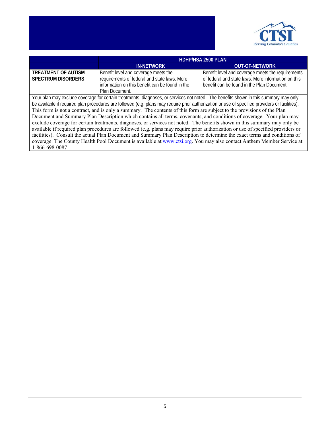

|                                                                                                                                                 | <b>HDHP/HSA 2500 PLAN</b>                       |                                                     |
|-------------------------------------------------------------------------------------------------------------------------------------------------|-------------------------------------------------|-----------------------------------------------------|
|                                                                                                                                                 | <b>IN-NETWORK</b>                               | <b>OUT-OF-NETWORK</b>                               |
| <b>TREATMENT OF AUTISM</b>                                                                                                                      | Benefit level and coverage meets the            | Benefit level and coverage meets the requirements   |
| <b>SPECTRUM DISORDERS</b>                                                                                                                       | requirements of federal and state laws. More    | of federal and state laws. More information on this |
|                                                                                                                                                 | information on this benefit can be found in the | benefit can be found in the Plan Document           |
|                                                                                                                                                 | Plan Document.                                  |                                                     |
| Your plan may exclude coverage for certain treatments, diagnoses, or services not noted. The benefits shown in this summary may only            |                                                 |                                                     |
| be available if required plan procedures are followed (e.g. plans may require prior authorization or use of specified providers or facilities). |                                                 |                                                     |
| This form is not a contract, and is only a summary. The contents of this form are subject to the provisions of the Plan                         |                                                 |                                                     |
| Document and Summary Plan Description which contains all terms, covenants, and conditions of coverage. Your plan may                            |                                                 |                                                     |
| exclude coverage for certain treatments, diagnoses, or services not noted. The benefits shown in this summary may only be                       |                                                 |                                                     |
| available if required plan procedures are followed (e.g. plans may require prior authorization or use of specified providers or                 |                                                 |                                                     |
| facilities). Consult the actual Plan Document and Summary Plan Description to determine the exact terms and conditions of                       |                                                 |                                                     |
| coverage. The County Health Pool Document is available at www.ctsi.org. You may also contact Anthem Member Service at                           |                                                 |                                                     |
| 1-866-698-0087                                                                                                                                  |                                                 |                                                     |
|                                                                                                                                                 |                                                 |                                                     |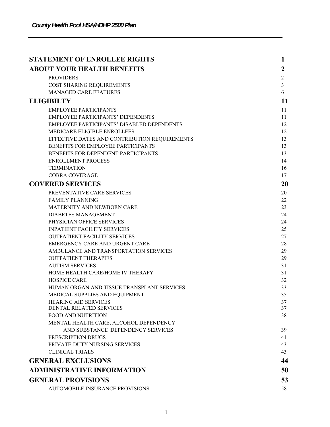| <b>STATEMENT OF ENROLLEE RIGHTS</b>                           | 1              |
|---------------------------------------------------------------|----------------|
| <b>ABOUT YOUR HEALTH BENEFITS</b>                             | 2              |
| <b>PROVIDERS</b>                                              | $\overline{c}$ |
| COST SHARING REQUIREMENTS                                     | $\mathfrak{Z}$ |
| <b>MANAGED CARE FEATURES</b>                                  | 6              |
| <b>ELIGIBILTY</b>                                             | 11             |
| <b>EMPLOYEE PARTICIPANTS</b>                                  | 11             |
| <b>EMPLOYEE PARTICIPANTS' DEPENDENTS</b>                      | 11             |
| EMPLOYEE PARTICIPANTS' DISABLED DEPENDENTS                    | 12             |
| MEDICARE ELIGIBLE ENROLLEES                                   | 12             |
| EFFECTIVE DATES AND CONTRIBUTION REQUIREMENTS                 | 13             |
| BENEFITS FOR EMPLOYEE PARTICIPANTS                            | 13             |
| BENEFITS FOR DEPENDENT PARTICIPANTS                           | 13             |
| <b>ENROLLMENT PROCESS</b>                                     | 14             |
| <b>TERMINATION</b>                                            | 16             |
| <b>COBRA COVERAGE</b>                                         | 17             |
| <b>COVERED SERVICES</b>                                       | 20             |
| PREVENTATIVE CARE SERVICES                                    | 20             |
| <b>FAMILY PLANNING</b>                                        | 22             |
| MATERNITY AND NEWBORN CARE                                    | 23             |
| <b>DIABETES MANAGEMENT</b>                                    | 24             |
| PHYSICIAN OFFICE SERVICES                                     | 24             |
| <b>INPATIENT FACILITY SERVICES</b>                            | 25             |
| <b>OUTPATIENT FACILITY SERVICES</b>                           | 27             |
| EMERGENCY CARE AND URGENT CARE                                | 28             |
| AMBULANCE AND TRANSPORTATION SERVICES                         | 29             |
| <b>OUTPATIENT THERAPIES</b>                                   | 29             |
| <b>AUTISM SERVICES</b>                                        | 31             |
| HOME HEALTH CARE/HOME IV THERAPY                              | 31             |
| <b>HOSPICE CARE</b>                                           | 32             |
| HUMAN ORGAN AND TISSUE TRANSPLANT SERVICES                    | 33             |
| MEDICAL SUPPLIES AND EQUIPMENT<br><b>HEARING AID SERVICES</b> | 35             |
| DENTAL RELATED SERVICES                                       | 37<br>37       |
| <b>FOOD AND NUTRITION</b>                                     | 38             |
| MENTAL HEALTH CARE, ALCOHOL DEPENDENCY                        |                |
| AND SUBSTANCE DEPENDENCY SERVICES                             | 39             |
| PRESCRIPTION DRUGS                                            | 41             |
| PRIVATE-DUTY NURSING SERVICES                                 | 43             |
| <b>CLINICAL TRIALS</b>                                        | 43             |
| <b>GENERAL EXCLUSIONS</b>                                     | 44             |
| <b>ADMINISTRATIVE INFORMATION</b>                             | 50             |
| <b>GENERAL PROVISIONS</b>                                     | 53             |
| AUTOMOBILE INSURANCE PROVISIONS                               | 58             |
|                                                               |                |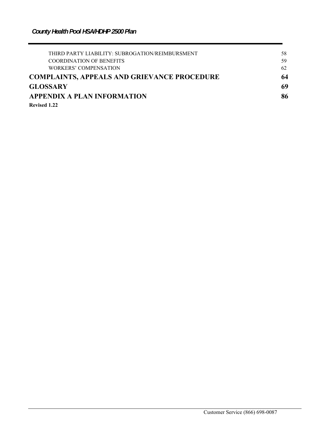| THIRD PARTY LIABILITY: SUBROGATION/REIMBURSMENT    | 58 |
|----------------------------------------------------|----|
| <b>COORDINATION OF BENEFITS</b>                    | 59 |
| WORKERS' COMPENSATION                              | 62 |
| <b>COMPLAINTS, APPEALS AND GRIEVANCE PROCEDURE</b> | 64 |
| <b>GLOSSARY</b>                                    | 69 |
| <b>APPENDIX A PLAN INFORMATION</b>                 | 86 |
| Revised 1.22                                       |    |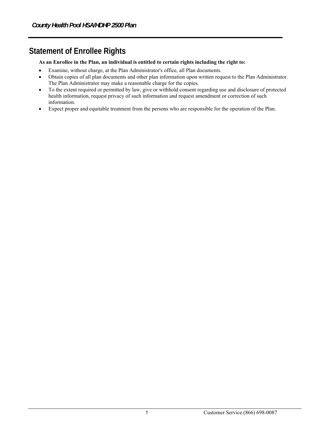# **Statement of Enrollee Rights**

#### **As an Enrollee in the Plan, an individual is entitled to certain rights including the right to:**

- Examine, without charge, at the Plan Administrator's office, all Plan documents.
- Obtain copies of all plan documents and other plan information upon written request to the Plan Administrator. The Plan Administrator may make a reasonable charge for the copies.
- To the extent required or permitted by law, give or withhold consent regarding use and disclosure of protected health information, request privacy of such information and request amendment or correction of such information.
- Expect proper and equitable treatment from the persons who are responsible for the operation of the Plan.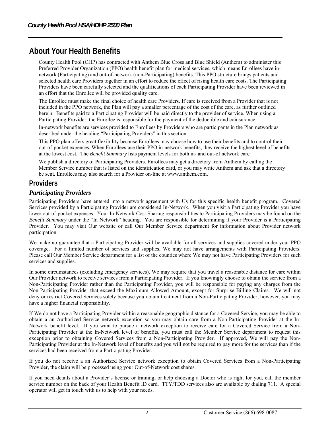# **About Your Health Benefits**

County Health Pool (CHP) has contracted with Anthem Blue Cross and Blue Shield (Anthem) to administer this Preferred Provider Organization (PPO) health benefit plan for medical services, which means Enrollees have innetwork (Participating) and out-of-network (non-Participating) benefits. This PPO structure brings patients and selected health care Providers together in an effort to reduce the effect of rising health care costs. The Participating Providers have been carefully selected and the qualifications of each Participating Provider have been reviewed in an effort that the Enrollee will be provided quality care.

The Enrollee must make the final choice of health care Providers. If care is received from a Provider that is not included in the PPO network, the Plan will pay a smaller percentage of the cost of the care, as further outlined herein. Benefits paid to a Participating Provider will be paid directly to the provider of service. When using a Participating Provider, the Enrollee is responsible for the payment of the deductible and coinsurance.

In-network benefits are services provided to Enrollees by Providers who are participants in the Plan network as described under the heading "Participating Providers" in this section.

This PPO plan offers great flexibility because Enrollees may choose how to use their benefits and to control their out-of-pocket expenses. When Enrollees use their PPO in-network benefits, they receive the highest level of benefits at the lowest cost. The *Benefit Summary* lists payment levels for both in- and out-of network care.

We publish a directory of Participating Providers. Enrollees may get a directory from Anthem by calling the Member Service number that is listed on the identification card, or you may write Anthem and ask that a directory be sent. Enrollees may also search for a Provider on-line at www.anthem.com.

# **Providers**

## *Participating Providers*

Participating Providers have entered into a network agreement with Us for this specific health benefit program. Covered Services provided by a Participating Provider are considered In-Network. When you visit a Participating Provider you have lower out-of-pocket expenses. Your In-Network Cost Sharing responsibilities to Participating Providers may be found on the *Benefit Summary* under the "In Network" heading. You are responsible for determining if your Provider is a Participating Provider. You may visit Our website or call Our Member Service department for information about Provider network participation.

We make no guarantee that a Participating Provider will be available for all services and supplies covered under your PPO coverage. For a limited number of services and supplies, We may not have arrangements with Participating Providers. Please call Our Member Service department for a list of the counties where We may not have Participating Providers for such services and supplies.

In some circumstances (excluding emergency services), We may require that you travel a reasonable distance for care within Our Provider network to receive services from a Participating Provider. If you knowingly choose to obtain the service from a Non-Participating Provider rather than the Participating Provider, you will be responsible for paying any charges from the Non-Participating Provider that exceed the Maximum Allowed Amount, except for Surprise Billing Claims. We will not deny or restrict Covered Services solely because you obtain treatment from a Non-Participating Provider; however, you may have a higher financial responsibility.

If We do not have a Participating Provider within a reasonable geographic distance for a Covered Service, you may be able to obtain a an Authorized Service network exception so you may obtain care from a Non-Participating Provider at the In-Network benefit level. If you want to pursue a network exception to receive care for a Covered Service from a Non-Participating Provider at the In-Network level of benefits, you must call the Member Service department to request this exception prior to obtaining Covered Services from a Non-Participating Provider. If approved, We will pay the Non-Participating Provider at the In-Network level of benefits and you will not be required to pay more for the services than if the services had been received from a Participating Provider.

If you do not receive a an Authorized Service network exception to obtain Covered Services from a Non-Participating Provider, the claim will be processed using your Out-of-Network cost shares.

If you need details about a Provider's license or training, or help choosing a Doctor who is right for you, call the member service number on the back of your Health Benefit ID card. TTY/TDD services also are available by dialing 711. A special operator will get in touch with us to help with your needs.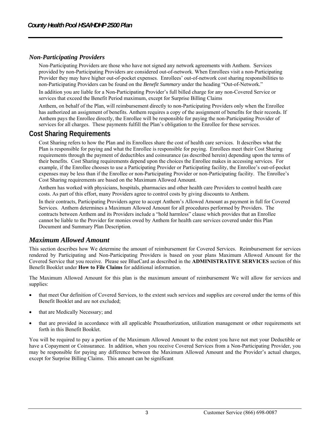#### *Non-Participating Providers*

Non-Participating Providers are those who have not signed any network agreements with Anthem. Services provided by non-Participating Providers are considered out-of-network. When Enrollees visit a non-Participating Provider they may have higher out-of-pocket expenses. Enrollees' out-of-network cost sharing responsibilities to non-Participating Providers can be found on the *Benefit Summary* under the heading "Out-of-Network."

In addition you are liable for a Non-Participating Provider's full billed charge for any non-Covered Service or services that exceed the Benefit Period maximum, except for Surprise Billing Claims

Anthem, on behalf of the Plan, will reimbursement directly to non-Participating Providers only when the Enrollee has authorized an assignment of benefits. Anthem requires a copy of the assignment of benefits for their records. If Anthem pays the Enrollee directly, the Enrollee will be responsible for paying the non-Participating Provider of services for all charges. These payments fulfill the Plan's obligation to the Enrollee for these services.

## **Cost Sharing Requirements**

Cost Sharing refers to how the Plan and its Enrollees share the cost of health care services. It describes what the Plan is responsible for paying and what the Enrollee is responsible for paying. Enrollees meet their Cost Sharing requirements through the payment of deductibles and coinsurance (as described herein) depending upon the terms of their benefits. Cost Sharing requirements depend upon the choices the Enrollee makes in accessing services. For example, if the Enrollee chooses to use a Participating Provider or Participating facility, the Enrollee's out-of-pocket expenses may be less than if the Enrollee or non-Participating Provider or non-Participating facility. The Enrollee's Cost Sharing requirements are based on the Maximum Allowed Amount.

Anthem has worked with physicians, hospitals, pharmacies and other health care Providers to control health care costs. As part of this effort, many Providers agree to control costs by giving discounts to Anthem.

In their contracts, Participating Providers agree to accept Anthem's Allowed Amount as payment in full for Covered Services. Anthem determines a Maximum Allowed Amount for all procedures performed by Providers. The contracts between Anthem and its Providers include a "hold harmless" clause which provides that an Enrollee cannot be liable to the Provider for monies owed by Anthem for health care services covered under this Plan Document and Summary Plan Description.

## *Maximum Allowed Amount*

This section describes how We determine the amount of reimbursement for Covered Services. Reimbursement for services rendered by Participating and Non-Participating Providers is based on your plans Maximum Allowed Amount for the Covered Service that you receive. Please see BlueCard as described in the **ADMINISTRATIVE SERVICES** section of this Benefit Booklet under **How to File Claims** for additional information.

The Maximum Allowed Amount for this plan is the maximum amount of reimbursement We will allow for services and supplies:

- that meet Our definition of Covered Services, to the extent such services and supplies are covered under the terms of this Benefit Booklet and are not excluded;
- that are Medically Necessary; and
- that are provided in accordance with all applicable Preauthorization, utilization management or other requirements set forth in this Benefit Booklet.

You will be required to pay a portion of the Maximum Allowed Amount to the extent you have not met your Deductible or have a Copayment or Coinsurance. In addition, when you receive Covered Services from a Non-Participating Provider, you may be responsible for paying any difference between the Maximum Allowed Amount and the Provider's actual charges, except for Surprise Billing Claims. This amount can be significant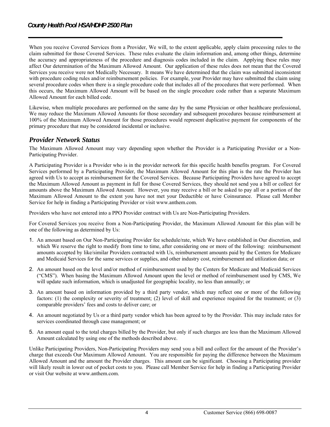When you receive Covered Services from a Provider, We will, to the extent applicable, apply claim processing rules to the claim submitted for those Covered Services. These rules evaluate the claim information and, among other things, determine the accuracy and appropriateness of the procedure and diagnosis codes included in the claim. Applying these rules may affect Our determination of the Maximum Allowed Amount. Our application of these rules does not mean that the Covered Services you receive were not Medically Necessary. It means We have determined that the claim was submitted inconsistent with procedure coding rules and/or reimbursement policies. For example, your Provider may have submitted the claim using several procedure codes when there is a single procedure code that includes all of the procedures that were performed. When this occurs, the Maximum Allowed Amount will be based on the single procedure code rather than a separate Maximum Allowed Amount for each billed code.

Likewise, when multiple procedures are performed on the same day by the same Physician or other healthcare professional, We may reduce the Maximum Allowed Amounts for those secondary and subsequent procedures because reimbursement at 100% of the Maximum Allowed Amount for those procedures would represent duplicative payment for components of the primary procedure that may be considered incidental or inclusive.

# *Provider Network Status*

The Maximum Allowed Amount may vary depending upon whether the Provider is a Participating Provider or a Non-Participating Provider.

A Participating Provider is a Provider who is in the provider network for this specific health benefits program. For Covered Services performed by a Participating Provider, the Maximum Allowed Amount for this plan is the rate the Provider has agreed with Us to accept as reimbursement for the Covered Services. Because Participating Providers have agreed to accept the Maximum Allowed Amount as payment in full for those Covered Services, they should not send you a bill or collect for amounts above the Maximum Allowed Amount. However, you may receive a bill or be asked to pay all or a portion of the Maximum Allowed Amount to the extent you have not met your Deductible or have Coinsurance. Please call Member Service for help in finding a Participating Provider or visit www.anthem.com.

Providers who have not entered into a PPO Provider contract with Us are Non-Participating Providers.

For Covered Services you receive from a Non-Participating Provider, the Maximum Allowed Amount for this plan will be one of the following as determined by Us:

- 1. An amount based on Our Non-Participating Provider fee schedule/rate, which We have established in Our discretion, and which We reserve the right to modify from time to time, after considering one or more of the following: reimbursement amounts accepted by like/similar Providers contracted with Us, reimbursement amounts paid by the Centers for Medicare and Medicaid Services for the same services or supplies, and other industry cost, reimbursement and utilization data; or
- 2. An amount based on the level and/or method of reimbursement used by the Centers for Medicare and Medicaid Services ("CMS"). When basing the Maximum Allowed Amount upon the level or method of reimbursement used by CMS, We will update such information, which is unadjusted for geographic locality, no less than annually; or
- 3. An amount based on information provided by a third party vendor, which may reflect one or more of the following factors: (1) the complexity or severity of treatment; (2) level of skill and experience required for the treatment; or (3) comparable providers' fees and costs to deliver care; or
- 4. An amount negotiated by Us or a third party vendor which has been agreed to by the Provider. This may include rates for services coordinated through case management; or
- 5. An amount equal to the total charges billed by the Provider, but only if such charges are less than the Maximum Allowed Amount calculated by using one of the methods described above.

Unlike Participating Providers, Non-Participating Providers may send you a bill and collect for the amount of the Provider's charge that exceeds Our Maximum Allowed Amount. You are responsible for paying the difference between the Maximum Allowed Amount and the amount the Provider charges. This amount can be significant. Choosing a Participating provider will likely result in lower out of pocket costs to you. Please call Member Service for help in finding a Participating Provider or visit Our website at www.anthem.com.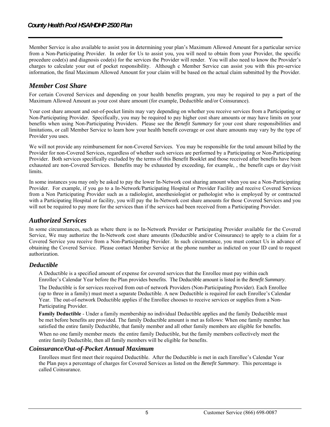Member Service is also available to assist you in determining your plan's Maximum Allowed Amount for a particular service from a Non-Participating Provider. In order for Us to assist you, you will need to obtain from your Provider, the specific procedure code(s) and diagnosis code(s) for the services the Provider will render. You will also need to know the Provider's charges to calculate your out of pocket responsibility. Although c Member Service can assist you with this pre-service information, the final Maximum Allowed Amount for your claim will be based on the actual claim submitted by the Provider.

# *Member Cost Share*

For certain Covered Services and depending on your health benefits program, you may be required to pay a part of the Maximum Allowed Amount as your cost share amount (for example, Deductible and/or Coinsurance).

Your cost share amount and out-of-pocket limits may vary depending on whether you receive services from a Participating or Non-Participating Provider. Specifically, you may be required to pay higher cost share amounts or may have limits on your benefits when using Non-Participating Providers. Please see the *Benefit Summary* for your cost share responsibilities and limitations, or call Member Service to learn how your health benefit coverage or cost share amounts may vary by the type of Provider you uses.

We will not provide any reimbursement for non-Covered Services. You may be responsible for the total amount billed by the Provider for non-Covered Services, regardless of whether such services are performed by a Participating or Non-Participating Provider. Both services specifically excluded by the terms of this Benefit Booklet and those received after benefits have been exhausted are non-Covered Services. Benefits may be exhausted by exceeding, for example, , the benefit caps or day/visit limits.

In some instances you may only be asked to pay the lower In-Network cost sharing amount when you use a Non-Participating Provider. For example, if you go to a In-Network/Participating Hospital or Provider Facility and receive Covered Services from a Non Participating Provider such as a radiologist, anesthesiologist or pathologist who is employed by or contracted with a Participating Hospital or facility, you will pay the In-Network cost share amounts for those Covered Services and you will not be required to pay more for the services than if the services had been received from a Participating Provider.

## *Authorized Services*

In some circumstances, such as where there is no In-Network Provider or Participating Provider available for the Covered Service, We may authorize the In-Network cost share amounts (Deductible and/or Coinsurance) to apply to a claim for a Covered Service you receive from a Non-Participating Provider. In such circumstance, you must contact Us in advance of obtaining the Covered Service. Please contact Member Service at the phone number as indicted on your ID card to request authorization.

#### *Deductible*

A Deductible is a specified amount of expense for covered services that the Enrollee must pay within each Enrollee's Calendar Year before the Plan provides benefits. The Deductible amount is listed in the *Benefit Summary*.

The Deductible is for services received from out-of network Providers (Non-Participating Provider). Each Enrollee (up to three in a family) must meet a separate Deductible. A new Deductible is required for each Enrollee's Calendar Year. The out-of-network Deductible applies if the Enrollee chooses to receive services or supplies from a Non-Participating Provider.

**Family Deductible** - Under a family membership no individual Deductible applies and the family Deductible must be met before benefits are provided. The family Deductible amount is met as follows: When one family member has satisfied the entire family Deductible, that family member and all other family members are eligible for benefits.

When no one family member meets the entire family Deductible, but the family members collectively meet the entire family Deductible, then all family members will be eligible for benefits.

#### *Coinsurance/Out-of-Pocket Annual Maximum*

Enrollees must first meet their required Deductible. After the Deductible is met in each Enrollee's Calendar Year the Plan pays a percentage of charges for Covered Services as listed on the *Benefit Summary*. This percentage is called Coinsurance.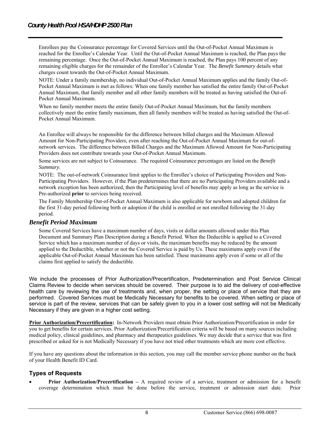Enrollees pay the Coinsurance percentage for Covered Services until the Out-of-Pocket Annual Maximum is reached for the Enrollee's Calendar Year. Until the Out-of-Pocket Annual Maximum is reached, the Plan pays the remaining percentage. Once the Out-of-Pocket Annual Maximum is reached, the Plan pays 100 percent of any remaining eligible charges for the remainder of the Enrollee's Calendar Year. The *Benefit Summary* details what charges count towards the Out-of-Pocket Annual Maximum.

NOTE: Under a family membership, no individual Out-of-Pocket Annual Maximum applies and the family Out-of-Pocket Annual Maximum is met as follows: When one family member has satisfied the entire family Out-of-Pocket Annual Maximum, that family member and all other family members will be treated as having satisfied the Out-of-Pocket Annual Maximum.

When no family member meets the entire family Out-of-Pocket Annual Maximum, but the family members collectively meet the entire family maximum, then all family members will be treated as having satisfied the Out-of-Pocket Annual Maximum.

An Enrollee will always be responsible for the difference between billed charges and the Maximum Allowed Amount for Non-Participating Providers, even after reaching the Out-of-Pocket Annual Maximum for out-ofnetwork services. The difference between Billed Charges and the Maximum Allowed Amount for Non-Participating Providers does not contribute towards your Out-of-Pocket Annual Maximum.

Some services are not subject to Coinsurance. The required Coinsurance percentages are listed on the *Benefit Summary*.

NOTE: The out-of-network Coinsurance limit applies to the Enrollee's choice of Participating Providers and Non-Participating Providers. However, if the Plan predetermines that there are no Participating Providers available and a network exception has been authorized, then the Participating level of benefits may apply as long as the service is Pre-authorized **prior** to services being received.

The Family Membership Out-of-Pocket Annual Maximum is also applicable for newborn and adopted children for the first 31-day period following birth or adoption if the child is enrolled or not enrolled following the 31-day period.

#### *Benefit Period Maximum*

Some Covered Services have a maximum number of days, visits or dollar amounts allowed under this Plan Document and Summary Plan Description during a Benefit Period. When the Deductible is applied to a Covered Service which has a maximum number of days or visits, the maximum benefits may be reduced by the amount applied to the Deductible, whether or not the Covered Service is paid by Us. These maximums apply even if the applicable Out-of-Pocket Annual Maximum has been satisfied. These maximums apply even if some or all of the claims first applied to satisfy the deductible.

We include the processes of Prior Authorization/Precertification, Predetermination and Post Service Clinical Claims Review to decide when services should be covered. Their purpose is to aid the delivery of cost-effective health care by reviewing the use of treatments and, when proper, the setting or place of service that they are performed. Covered Services must be Medically Necessary for benefits to be covered. When setting or place of service is part of the review, services that can be safely given to you in a lower cost setting will not be Medically Necessary if they are given in a higher cost setting.

**Prior Authorization/Precertification:** In-Network Providers must obtain Prior Authorization/Precertification in order for you to get benefits for certain services. Prior Authorization/Precertification criteria will be based on many sources including medical policy, clinical guidelines, and pharmacy and therapeutics guidelines. We may decide that a service that was first prescribed or asked for is not Medically Necessary if you have not tried other treatments which are more cost effective.

If you have any questions about the information in this section, you may call the member service phone number on the back of your Health Benefit ID Card.

#### **Types of Requests**

 **Prior Authorization/Precertification –** A required review of a service, treatment or admission for a benefit coverage determination which must be done before the service, treatment or admission start date. Prior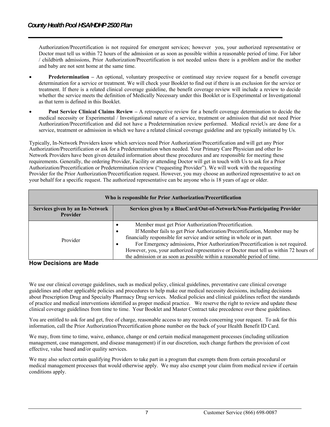Authorization/Precertification is not required for emergent services; however you, your authorized representative or Doctor must tell us within 72 hours of the admission or as soon as possible within a reasonable period of time. For labor / childbirth admissions, Prior Authorization/Precertification is not needed unless there is a problem and/or the mother and baby are not sent home at the same time.

- **Predetermination** An optional, voluntary prospective or continued stay review request for a benefit coverage determination for a service or treatment. We will check your Booklet to find out if there is an exclusion for the service or treatment. If there is a related clinical coverage guideline, the benefit coverage review will include a review to decide whether the service meets the definition of Medically Necessary under this Booklet or is Experimental or Investigational as that term is defined in this Booklet.
- **Post Service Clinical Claims Review** A retrospective review for a benefit coverage determination to decide the medical necessity or Experimental / Investigational nature of a service, treatment or admission that did not need Prior Authorization/Precertification and did not have a Predetermination review performed. Medical revieUs are done for a service, treatment or admission in which we have a related clinical coverage guideline and are typically initiated by Us.

Typically, In-Network Providers know which services need Prior Authorization/Precertification and will get any Prior Authorization/Precertification or ask for a Predetermination when needed. Your Primary Care Physician and other In-Network Providers have been given detailed information about these procedures and are responsible for meeting these requirements. Generally, the ordering Provider, Facility or attending Doctor will get in touch with Us to ask for a Prior Authorization/Precertification or Predetermination review ("requesting Provider"). We will work with the requesting Provider for the Prior Authorization/Precertification request. However, you may choose an authorized representative to act on your behalf for a specific request. The authorized representative can be anyone who is 18 years of age or older.

| Who is responsible for Prior Authorization/Precertification |                                                                                                                                                                                                                                                                                                                                                                                                                                                                                                   |  |
|-------------------------------------------------------------|---------------------------------------------------------------------------------------------------------------------------------------------------------------------------------------------------------------------------------------------------------------------------------------------------------------------------------------------------------------------------------------------------------------------------------------------------------------------------------------------------|--|
| Services given by an In-Network<br><b>Provider</b>          | Services given by a BlueCard/Out-of-Network/Non-Participating Provider                                                                                                                                                                                                                                                                                                                                                                                                                            |  |
| Provider                                                    | Member must get Prior Authorization/Precertification.<br>$\bullet$<br>If Member fails to get Prior Authorization/Precertification, Member may be<br>financially responsible for service and/or setting in whole or in part.<br>For Emergency admissions, Prior Authorization/Precertification is not required.<br>$\bullet$<br>However, you, your authorized representative or Doctor must tell us within 72 hours of<br>the admission or as soon as possible within a reasonable period of time. |  |

**How Decisions are Made**

We use our clinical coverage guidelines, such as medical policy, clinical guidelines, preventative care clinical coverage guidelines and other applicable policies and procedures to help make our medical necessity decisions, including decisions about Prescription Drug and Specialty Pharmacy Drug services. Medical policies and clinical guidelines reflect the standards of practice and medical interventions identified as proper medical practice. We reserve the right to review and update these clinical coverage guidelines from time to time. Your Booklet and Master Contract take precedence over these guidelines.

You are entitled to ask for and get, free of charge, reasonable access to any records concerning your request. To ask for this information, call the Prior Authorization/Precertification phone number on the back of your Health Benefit ID Card.

We may, from time to time, waive, enhance, change or end certain medical management processes (including utilization management, case management, and disease management) if in our discretion, such change furthers the provision of cost effective, value based and/or quality services.

We may also select certain qualifying Providers to take part in a program that exempts them from certain procedural or medical management processes that would otherwise apply. We may also exempt your claim from medical review if certain conditions apply.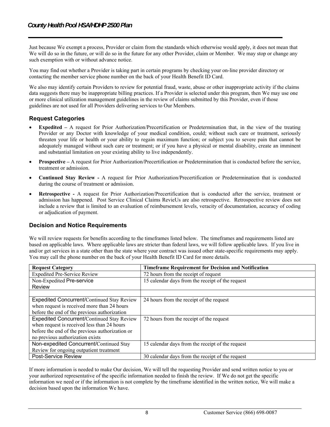Just because We exempt a process, Provider or claim from the standards which otherwise would apply, it does not mean that We will do so in the future, or will do so in the future for any other Provider, claim or Member. We may stop or change any such exemption with or without advance notice.

You may find out whether a Provider is taking part in certain programs by checking your on-line provider directory or contacting the member service phone number on the back of your Health Benefit ID Card.

We also may identify certain Providers to review for potential fraud, waste, abuse or other inappropriate activity if the claims data suggests there may be inappropriate billing practices. If a Provider is selected under this program, then We may use one or more clinical utilization management guidelines in the review of claims submitted by this Provider, even if those guidelines are not used for all Providers delivering services to Our Members.

#### **Request Categories**

- **Expedited** A request for Prior Authorization/Precertification or Predetermination that, in the view of the treating Provider or any Doctor with knowledge of your medical condition, could; without such care or treatment, seriously threaten your life or health or your ability to regain maximum function; or subject you to severe pain that cannot be adequately managed without such care or treatment; or if you have a physical or mental disability, create an imminent and substantial limitation on your existing ability to live independently.
- **Prospective** A request for Prior Authorization/Precertification or Predetermination that is conducted before the service, treatment or admission.
- **Continued Stay Review** A request for Prior Authorization/Precertification or Predetermination that is conducted during the course of treatment or admission.
- **Retrospective** A request for Prior Authorization/Precertification that is conducted after the service, treatment or admission has happened. Post Service Clinical Claims RevieUs are also retrospective. Retrospective review does not include a review that is limited to an evaluation of reimbursement levels, veracity of documentation, accuracy of coding or adjudication of payment.

#### **Decision and Notice Requirements**

We will review requests for benefits according to the timeframes listed below. The timeframes and requirements listed are based on applicable laws. Where applicable laws are stricter than federal laws, we will follow applicable laws. If you live in and/or get services in a state other than the state where your contract was issued other state-specific requirements may apply. You may call the phone number on the back of your Health Benefit ID Card for more details.

| <b>Request Category</b>                         | <b>Timeframe Requirement for Decision and Notification</b> |
|-------------------------------------------------|------------------------------------------------------------|
| <b>Expedited Pre-Service Review</b>             | 72 hours from the receipt of request                       |
| Non-Expedited Pre-service                       | 15 calendar days from the receipt of the request           |
| Review                                          |                                                            |
|                                                 |                                                            |
| Expedited Concurrent/Continued Stay Review      | 24 hours from the receipt of the request                   |
| when request is received more than 24 hours     |                                                            |
| before the end of the previous authorization    |                                                            |
| Expedited Concurrent/Continued Stay Review      | 72 hours from the receipt of the request                   |
| when request is received less than 24 hours     |                                                            |
| before the end of the previous authorization or |                                                            |
| no previous authorization exists                |                                                            |
| Non-expedited Concurrent/Continued Stay         | 15 calendar days from the receipt of the request           |
| Review for ongoing outpatient treatment         |                                                            |
| Post-Service Review                             | 30 calendar days from the receipt of the request           |

If more information is needed to make Our decision, We will tell the requesting Provider and send written notice to you or your authorized representative of the specific information needed to finish the review. If We do not get the specific information we need or if the information is not complete by the timeframe identified in the written notice, We will make a decision based upon the information We have.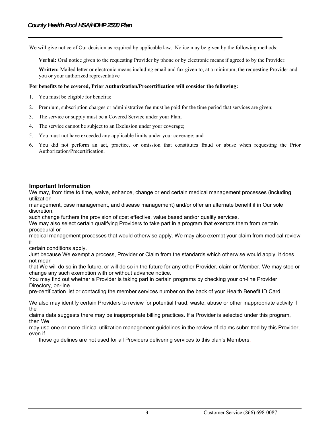We will give notice of Our decision as required by applicable law. Notice may be given by the following methods:

**Verbal:** Oral notice given to the requesting Provider by phone or by electronic means if agreed to by the Provider.

**Written:** Mailed letter or electronic means including email and fax given to, at a minimum, the requesting Provider and you or your authorized representative

#### **For benefits to be covered, Prior Authorization/Precertification will consider the following:**

- 1. You must be eligible for benefits;
- 2. Premium, subscription charges or administrative fee must be paid for the time period that services are given;
- 3. The service or supply must be a Covered Service under your Plan;
- 4. The service cannot be subject to an Exclusion under your coverage;
- 5. You must not have exceeded any applicable limits under your coverage; and
- 6. You did not perform an act, practice, or omission that constitutes fraud or abuse when requesting the Prior Authorization/Precertification.

#### **Important Information**

We may, from time to time, waive, enhance, change or end certain medical management processes (including utilization

management, case management, and disease management) and/or offer an alternate benefit if in Our sole discretion,

such change furthers the provision of cost effective, value based and/or quality services.

We may also select certain qualifying Providers to take part in a program that exempts them from certain procedural or

medical management processes that would otherwise apply. We may also exempt your claim from medical review if

certain conditions apply.

Just because We exempt a process, Provider or Claim from the standards which otherwise would apply, it does not mean

that We will do so in the future, or will do so in the future for any other Provider, claim or Member. We may stop or change any such exemption with or without advance notice.

You may find out whether a Provider is taking part in certain programs by checking your on-line Provider Directory, on-line

pre-certification list or contacting the member services number on the back of your Health Benefit ID Card.

We also may identify certain Providers to review for potential fraud, waste, abuse or other inappropriate activity if the

claims data suggests there may be inappropriate billing practices. If a Provider is selected under this program, then We

may use one or more clinical utilization management guidelines in the review of claims submitted by this Provider, even if

those guidelines are not used for all Providers delivering services to this plan's Members.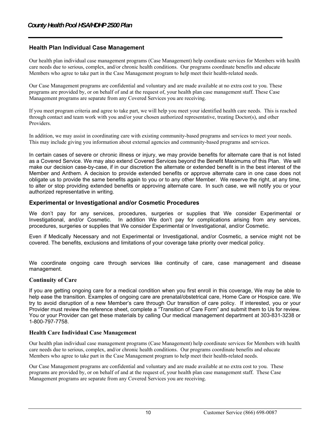#### **Health Plan Individual Case Management**

Our health plan individual case management programs (Case Management) help coordinate services for Members with health care needs due to serious, complex, and/or chronic health conditions. Our programs coordinate benefits and educate Members who agree to take part in the Case Management program to help meet their health-related needs.

Our Case Management programs are confidential and voluntary and are made available at no extra cost to you. These programs are provided by, or on behalf of and at the request of, your health plan case management staff. These Case Management programs are separate from any Covered Services you are receiving.

If you meet program criteria and agree to take part, we will help you meet your identified health care needs. This is reached through contact and team work with you and/or your chosen authorized representative, treating Doctor(s), and other Providers.

In addition, we may assist in coordinating care with existing community-based programs and services to meet your needs. This may include giving you information about external agencies and community-based programs and services.

In certain cases of severe or chronic illness or injury, we may provide benefits for alternate care that is not listed as a Covered Service. We may also extend Covered Services beyond the Benefit Maximums of this Plan. We will make our decision case-by-case, if in our discretion the alternate or extended benefit is in the best interest of the Member and Anthem. A decision to provide extended benefits or approve alternate care in one case does not obligate us to provide the same benefits again to you or to any other Member. We reserve the right, at any time, to alter or stop providing extended benefits or approving alternate care. In such case, we will notify you or your authorized representative in writing.

#### **Experimental or Investigational and/or Cosmetic Procedures**

We don't pay for any services, procedures, surgeries or supplies that We consider Experimental or Investigational, and/or Cosmetic. In addition We don't pay for complications arising from any services, procedures, surgeries or supplies that We consider Experimental or Investigational, and/or Cosmetic.

Even if Medically Necessary and not Experimental or Investigational, and/or Cosmetic, a service might not be covered. The benefits, exclusions and limitations of your coverage take priority over medical policy.

We coordinate ongoing care through services like continuity of care, case management and disease management.

#### **Continuity of Care**

If you are getting ongoing care for a medical condition when you first enroll in this coverage, We may be able to help ease the transition. Examples of ongoing care are prenatal/obstetrical care, Home Care or Hospice care. We try to avoid disruption of a new Member's care through Our transition of care policy. If interested, you or your Provider must review the reference sheet, complete a "Transition of Care Form" and submit them to Us for review. You or your Provider can get these materials by calling Our medical management department at 303-831-3238 or 1-800-797-7758.

#### **Health Care Individual Case Management**

Our health plan individual case management programs (Case Management) help coordinate services for Members with health care needs due to serious, complex, and/or chronic health conditions. Our programs coordinate benefits and educate Members who agree to take part in the Case Management program to help meet their health-related needs.

Our Case Management programs are confidential and voluntary and are made available at no extra cost to you. These programs are provided by, or on behalf of and at the request of, your health plan case management staff. These Case Management programs are separate from any Covered Services you are receiving.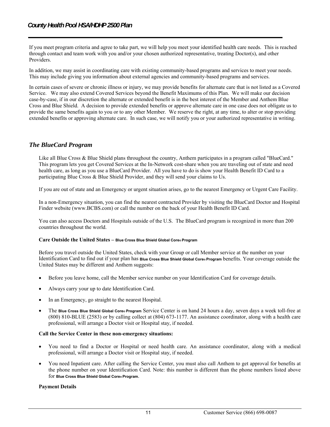If you meet program criteria and agree to take part, we will help you meet your identified health care needs. This is reached through contact and team work with you and/or your chosen authorized representative, treating Doctor(s), and other Providers.

In addition, we may assist in coordinating care with existing community-based programs and services to meet your needs. This may include giving you information about external agencies and community-based programs and services.

In certain cases of severe or chronic illness or injury, we may provide benefits for alternate care that is not listed as a Covered Service. We may also extend Covered Services beyond the Benefit Maximums of this Plan. We will make our decision case-by-case, if in our discretion the alternate or extended benefit is in the best interest of the Member and Anthem Blue Cross and Blue Shield. A decision to provide extended benefits or approve alternate care in one case does not obligate us to provide the same benefits again to you or to any other Member. We reserve the right, at any time, to alter or stop providing extended benefits or approving alternate care. In such case, we will notify you or your authorized representative in writing.

#### *The BlueCard Program*

Like all Blue Cross & Blue Shield plans throughout the country, Anthem participates in a program called "BlueCard." This program lets you get Covered Services at the In-Network cost-share when you are traveling out of state and need health care, as long as you use a BlueCard Provider. All you have to do is show your Health Benefit ID Card to a participating Blue Cross & Blue Shield Provider, and they will send your claims to Us.

If you are out of state and an Emergency or urgent situation arises, go to the nearest Emergency or Urgent Care Facility.

In a non-Emergency situation, you can find the nearest contracted Provider by visiting the BlueCard Doctor and Hospital Finder website (www.BCBS.com) or call the number on the back of your Health Benefit ID Card.

You can also access Doctors and Hospitals outside of the U.S. The BlueCard program is recognized in more than 200 countries throughout the world.

#### **Care Outside the United States – Blue Cross Blue Shield Global Core® Program**

Before you travel outside the United States, check with your Group or call Member service at the number on your Identification Card to find out if your plan has **Blue Cross Blue Shield Global Core® Program** benefits. Your coverage outside the United States may be different and Anthem suggests:

- Before you leave home, call the Member service number on your Identification Card for coverage details.
- Always carry your up to date Identification Card.
- In an Emergency, go straight to the nearest Hospital.
- The **Blue Cross Blue Shield Global Core® Program** Service Center is on hand 24 hours a day, seven days a week toll-free at (800) 810-BLUE (2583) or by calling collect at (804) 673-1177. An assistance coordinator, along with a health care professional, will arrange a Doctor visit or Hospital stay, if needed.

#### **Call the Service Center in these non-emergency situations:**

- You need to find a Doctor or Hospital or need health care. An assistance coordinator, along with a medical professional, will arrange a Doctor visit or Hospital stay, if needed.
- You need Inpatient care. After calling the Service Center, you must also call Anthem to get approval for benefits at the phone number on your Identification Card. Note: this number is different than the phone numbers listed above for **Blue Cross Blue Shield Global Core® Program**.

#### **Payment Details**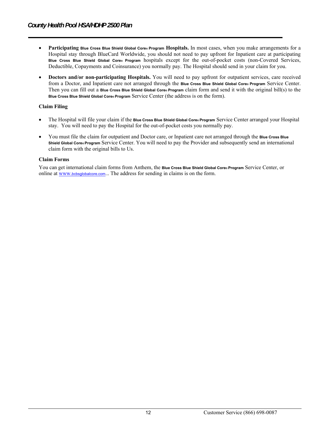- **Participating Blue Cross Blue Shield Global Core® Program Hospitals.** In most cases, when you make arrangements for a Hospital stay through BlueCard Worldwide, you should not need to pay upfront for Inpatient care at participating **Blue Cross Blue Shield Global Core® Program** hospitals except for the out-of-pocket costs (non-Covered Services, Deductible, Copayments and Coinsurance) you normally pay. The Hospital should send in your claim for you.
- **Doctors and/or non-participating Hospitals.** You will need to pay upfront for outpatient services, care received from a Doctor, and Inpatient care not arranged through the **Blue Cross Blue Shield Global Core® Program** Service Center. Then you can fill out a **Blue Cross Blue Shield Global Core® Program** claim form and send it with the original bill(s) to the **Blue Cross Blue Shield Global Core® Program** Service Center (the address is on the form).

#### **Claim Filing**

- The Hospital will file your claim if the **Blue Cross Blue Shield Global Core® Program** Service Center arranged your Hospital stay. You will need to pay the Hospital for the out-of-pocket costs you normally pay.
- You must file the claim for outpatient and Doctor care, or Inpatient care not arranged through the **Blue Cross Blue Shield Global Core® Program** Service Center. You will need to pay the Provider and subsequently send an international claim form with the original bills to Us.

#### **Claim Forms**

You can get international claim forms from Anthem, the **Blue Cross Blue Shield Global Core® Program** Service Center, or online at www.bcbsglobalcore.com... The address for sending in claims is on the form.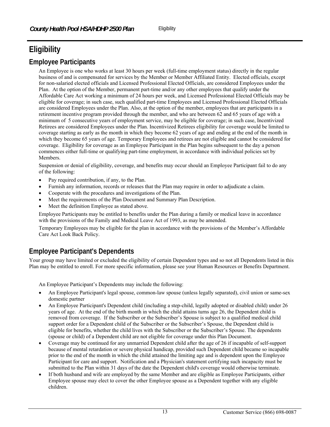# **Eligibility**

# **Employee Participants**

An Employee is one who works at least 30 hours per week (full-time employment status) directly in the regular business of and is compensated for services by the Member or Member Affiliated Entity. Elected officials, except for non-salaried elected officials and Licensed Professional Elected Officials, are considered Employees under the Plan. At the option of the Member, permanent part-time and/or any other employees that qualify under the Affordable Care Act working a minimum of 24 hours per week, and Licensed Professional Elected Officials may be eligible for coverage; in such case, such qualified part-time Employees and Licensed Professional Elected Officials are considered Employees under the Plan. Also, at the option of the member, employees that are participants in a retirement incentive program provided through the member, and who are between 62 and 65 years of age with a minimum of 5 consecutive years of employment service, may be eligible for coverage; in such case, Incentivized Retirees are considered Employees under the Plan. Incentivized Retirees eligibility for coverage would be limited to coverage starting as early as the month in which they become 62 years of age and ending at the end of the month in which they become 65 years of age. Temporary Employees and retirees are not eligible and cannot be considered for coverage. Eligibility for coverage as an Employee Participant in the Plan begins subsequent to the day a person commences either full-time or qualifying part-time employment, in accordance with individual policies set by Members.

Suspension or denial of eligibility, coverage, and benefits may occur should an Employee Participant fail to do any of the following:

- Pay required contribution, if any, to the Plan.
- Furnish any information, records or releases that the Plan may require in order to adjudicate a claim.
- Cooperate with the procedures and investigations of the Plan.
- Meet the requirements of the Plan Document and Summary Plan Description.
- Meet the definition Employee as stated above.

Employee Participants may be entitled to benefits under the Plan during a family or medical leave in accordance with the provisions of the Family and Medical Leave Act of 1993, as may be amended.

Temporary Employees may be eligible for the plan in accordance with the provisions of the Member's Affordable Care Act Look Back Policy.

# **Employee Participant's Dependents**

Your group may have limited or excluded the eligibility of certain Dependent types and so not all Dependents listed in this Plan may be entitled to enroll. For more specific information, please see your Human Resources or Benefits Department.

An Employee Participant's Dependents may include the following:

- An Employee Participant's legal spouse, common-law spouse (unless legally separated), civil union or same-sex domestic partner
- An Employee Participant's Dependent child (including a step-child, legally adopted or disabled child) under 26 years of age. At the end of the birth month in which the child attains turns age 26, the Dependent child is removed from coverage. If the Subscriber or the Subscriber's Spouse is subject to a qualified medical child support order for a Dependent child of the Subscriber or the Subscriber's Spouse, the Dependent child is eligible for benefits, whether the child lives with the Subscriber or the Subscriber's Spouse. The dependents (spouse or child) of a Dependent child are not eligible for coverage under this Plan Document.
- Coverage may be continued for any unmarried Dependent child after the age of 26 if incapable of self-support because of mental retardation or severe physical handicap, provided such Dependent child became so incapable prior to the end of the month in which the child attained the limiting age and is dependent upon the Employee Participant for care and support. Notification and a Physician's statement certifying such incapacity must be submitted to the Plan within 31 days of the date the Dependent child's coverage would otherwise terminate.
- If both husband and wife are employed by the same Member and are eligible as Employee Participants, either Employee spouse may elect to cover the other Employee spouse as a Dependent together with any eligible children.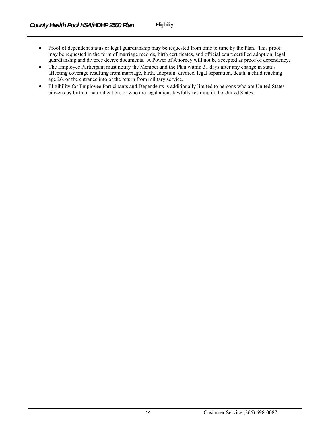- Proof of dependent status or legal guardianship may be requested from time to time by the Plan. This proof may be requested in the form of marriage records, birth certificates, and official court certified adoption, legal guardianship and divorce decree documents. A Power of Attorney will not be accepted as proof of dependency.
- The Employee Participant must notify the Member and the Plan within 31 days after any change in status affecting coverage resulting from marriage, birth, adoption, divorce, legal separation, death, a child reaching age 26, or the entrance into or the return from military service.
- Eligibility for Employee Participants and Dependents is additionally limited to persons who are United States citizens by birth or naturalization, or who are legal aliens lawfully residing in the United States.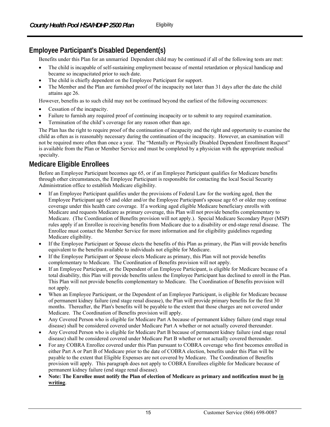# **Employee Participant's Disabled Dependent(s)**

Benefits under this Plan for an unmarried Dependent child may be continued if all of the following tests are met:

- The child is incapable of self-sustaining employment because of mental retardation or physical handicap and became so incapacitated prior to such date.
- The child is chiefly dependent on the Employee Participant for support.
- The Member and the Plan are furnished proof of the incapacity not later than 31 days after the date the child attains age 26.

However, benefits as to such child may not be continued beyond the earliest of the following occurrences:

- Cessation of the incapacity.
- Failure to furnish any required proof of continuing incapacity or to submit to any required examination.
- Termination of the child's coverage for any reason other than age.

The Plan has the right to require proof of the continuation of incapacity and the right and opportunity to examine the child as often as is reasonably necessary during the continuation of the incapacity. However, an examination will not be required more often than once a year. The "Mentally or Physically Disabled Dependent Enrollment Request" is available from the Plan or Member Service and must be completed by a physician with the appropriate medical specialty.

# **Medicare Eligible Enrollees**

Before an Employee Participant becomes age 65, or if an Employee Participant qualifies for Medicare benefits through other circumstances, the Employee Participant is responsible for contacting the local Social Security Administration office to establish Medicare eligibility.

- If an Employee Participant qualifies under the provisions of Federal Law for the working aged, then the Employee Participant age 65 and older and/or the Employee Participant's spouse age 65 or older may continue coverage under this health care coverage. If a working aged eligible Medicare beneficiary enrolls with Medicare and requests Medicare as primary coverage, this Plan will not provide benefits complementary to Medicare. (The Coordination of Benefits provision will not apply.). Special Medicare Secondary Payer (MSP) rules apply if an Enrollee is receiving benefits from Medicare due to a disability or end-stage renal disease. The Enrollee must contact the Member Service for more information and for eligibility guidelines regarding Medicare eligibility.
- If the Employee Participant or Spouse elects the benefits of this Plan as primary, the Plan will provide benefits equivalent to the benefits available to individuals not eligible for Medicare.
- If the Employee Participant or Spouse elects Medicare as primary, this Plan will not provide benefits complementary to Medicare. The Coordination of Benefits provision will not apply.
- If an Employee Participant, or the Dependent of an Employee Participant, is eligible for Medicare because of a total disability, this Plan will provide benefits unless the Employee Participant has declined to enroll in the Plan. This Plan will not provide benefits complementary to Medicare. The Coordination of Benefits provision will not apply.
- When an Employee Participant, or the Dependent of an Employee Participant, is eligible for Medicare because of permanent kidney failure (end stage renal disease), the Plan will provide primary benefits for the first 30 months. Thereafter, the Plan's benefits will be payable to the extent that those charges are not covered under Medicare. The Coordination of Benefits provision will apply.
- Any Covered Person who is eligible for Medicare Part A because of permanent kidney failure (end stage renal disease) shall be considered covered under Medicare Part A whether or not actually covered thereunder.
- Any Covered Person who is eligible for Medicare Part B because of permanent kidney failure (end stage renal disease) shall be considered covered under Medicare Part B whether or not actually covered thereunder.
- For any COBRA Enrollee covered under this Plan pursuant to COBRA coverage who first becomes enrolled in either Part A or Part B of Medicare prior to the date of COBRA election, benefits under this Plan will be payable to the extent that Eligible Expenses are not covered by Medicare. The Coordination of Benefits provision will apply. This paragraph does not apply to COBRA Enrollees eligible for Medicare because of permanent kidney failure (end stage renal disease).
- **Note: The Enrollee must notify the Plan of election of Medicare as primary and notification must be in writing**.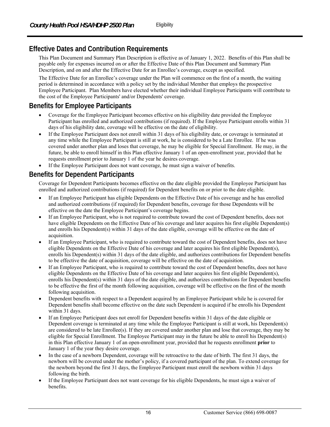# **Effective Dates and Contribution Requirements**

This Plan Document and Summary Plan Description is effective as of January 1, 2022. Benefits of this Plan shall be payable only for expenses incurred on or after the Effective Date of this Plan Document and Summary Plan Description, and on and after the Effective Date for an Enrollee's coverage, except as specified.

The Effective Date for an Enrollee's coverage under the Plan will commence on the first of a month, the waiting period is determined in accordance with a policy set by the individual Member that employs the prospective Employee Participant. Plan Members have elected whether their individual Employee Participants will contribute to the cost of the Employee Participants' and/or Dependents' coverage.

# **Benefits for Employee Participants**

- Coverage for the Employee Participant becomes effective on his eligibility date provided the Employee Participant has enrolled and authorized contributions (if required). If the Employee Participant enrolls within 31 days of his eligibility date, coverage will be effective on the date of eligibility.
- If the Employee Participant does not enroll within 31 days of his eligibility date, or coverage is terminated at any time while the Employee Participant is still at work, he is considered to be a Late Enrollee. If he was covered under another plan and loses that coverage, he may be eligible for Special Enrollment. He may, in the future, be able to enroll himself in this Plan effective January 1 of an open-enrollment year, provided that he requests enrollment prior to January 1 of the year he desires coverage.
- If the Employee Participant does not want coverage, he must sign a waiver of benefits.

# **Benefits for Dependent Participants**

Coverage for Dependent Participants becomes effective on the date eligible provided the Employee Participant has enrolled and authorized contributions (if required) for Dependent benefits on or prior to the date eligible.

- If an Employee Participant has eligible Dependents on the Effective Date of his coverage and he has enrolled and authorized contributions (if required) for Dependent benefits, coverage for those Dependents will be effective on the date the Employee Participant's coverage begins.
- If an Employee Participant, who is not required to contribute toward the cost of Dependent benefits, does not have eligible Dependents on the Effective Date of his coverage and later acquires his first eligible Dependent(s) and enrolls his Dependent(s) within 31 days of the date eligible, coverage will be effective on the date of acquisition.
- If an Employee Participant, who is required to contribute toward the cost of Dependent benefits, does not have eligible Dependents on the Effective Date of his coverage and later acquires his first eligible Dependent(s), enrolls his Dependent(s) within 31 days of the date eligible, and authorizes contributions for Dependent benefits to be effective the date of acquisition, coverage will be effective on the date of acquisition.
- If an Employee Participant, who is required to contribute toward the cost of Dependent benefits, does not have eligible Dependents on the Effective Date of his coverage and later acquires his first eligible Dependent(s), enrolls his Dependent(s) within 31 days of the date eligible, and authorizes contributions for Dependent benefits to be effective the first of the month following acquisition, coverage will be effective on the first of the month following acquisition.
- Dependent benefits with respect to a Dependent acquired by an Employee Participant while he is covered for Dependent benefits shall become effective on the date such Dependent is acquired if he enrolls his Dependent within 31 days.
- If an Employee Participant does not enroll for Dependent benefits within 31 days of the date eligible or Dependent coverage is terminated at any time while the Employee Participant is still at work, his Dependent(s) are considered to be late Enrollee(s). If they are covered under another plan and lose that coverage, they may be eligible for Special Enrollment. The Employee Participant may in the future be able to enroll his Dependent(s) in this Plan effective January 1 of an open-enrollment year, provided that he requests enrollment **prior** to January 1 of the year they desire coverage.
- In the case of a newborn Dependent, coverage will be retroactive to the date of birth. The first 31 days, the newborn will be covered under the mother's policy, if a covered participant of the plan. To extend coverage for the newborn beyond the first 31 days, the Employee Participant must enroll the newborn within 31 days following the birth.
- If the Employee Participant does not want coverage for his eligible Dependents, he must sign a waiver of benefits.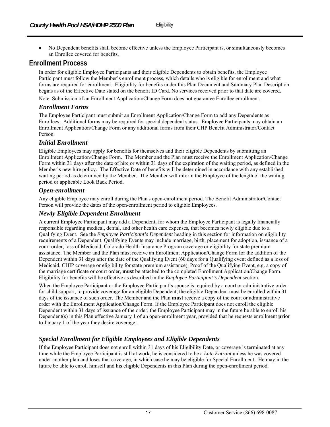No Dependent benefits shall become effective unless the Employee Participant is, or simultaneously becomes an Enrollee covered for benefits.

# **Enrollment Process**

In order for eligible Employee Participants and their eligible Dependents to obtain benefits, the Employee Participant must follow the Member's enrollment process, which details who is eligible for enrollment and what forms are required for enrollment. Eligibility for benefits under this Plan Document and Summary Plan Description begins as of the Effective Date stated on the benefit ID Card. No services received prior to that date are covered.

Note: Submission of an Enrollment Application/Change Form does not guarantee Enrollee enrollment.

#### *Enrollment Forms*

The Employee Participant must submit an Enrollment Application/Change Form to add any Dependents as Enrollees. Additional forms may be required for special dependent status. Employee Participants may obtain an Enrollment Application/Change Form or any additional forms from their CHP Benefit Administrator/Contact Person.

#### *Initial Enrollment*

Eligible Employees may apply for benefits for themselves and their eligible Dependents by submitting an Enrollment Application/Change Form. The Member and the Plan must receive the Enrollment Application/Change Form within 31 days after the date of hire or within 31 days of the expiration of the waiting period, as defined in the Member's new hire policy. The Effective Date of benefits will be determined in accordance with any established waiting period as determined by the Member. The Member will inform the Employee of the length of the waiting period or applicable Look Back Period.

#### *Open-enrollment*

Any eligible Employee may enroll during the Plan's open-enrollment period. The Benefit Administrator/Contact Person will provide the dates of the open-enrollment period to eligible Employees.

#### *Newly Eligible Dependent Enrollment*

A current Employee Participant may add a Dependent, for whom the Employee Participant is legally financially responsible regarding medical, dental, and other health care expenses, that becomes newly eligible due to a Qualifying Event. See the *Employee Participant's Dependent* heading in this section for information on eligibility requirements of a Dependent. Qualifying Events may include marriage, birth, placement for adoption, issuance of a court order, loss of Medicaid, Colorado Health Insurance Program coverage or eligibility for state premium assistance. The Member and the Plan must receive an Enrollment Application/Change Form for the addition of the Dependent within 31 days after the date of the Qualifying Event (60 days for a Qualifying event defined as a loss of Medicaid, CHIP coverage or eligibility for state premium assistance). Proof of the Qualifying Event, e.g. a copy of the marriage certificate or court order, **must** be attached to the completed Enrollment Application/Change Form. Eligibility for benefits will be effective as described in the *Employee Participant's Dependent* section.

When the Employee Participant or the Employee Participant's spouse is required by a court or administrative order for child support, to provide coverage for an eligible Dependent, the eligible Dependent must be enrolled within 31 days of the issuance of such order. The Member and the Plan **must** receive a copy of the court or administrative order with the Enrollment Application/Change Form. If the Employee Participant does not enroll the eligible Dependent within 31 days of issuance of the order, the Employee Participant may in the future be able to enroll his Dependent(s) in this Plan effective January 1 of an open-enrollment year, provided that he requests enrollment **prior** to January 1 of the year they desire coverage..

## *Special Enrollment for Eligible Employees and Eligible Dependents*

If the Employee Participant does not enroll within 31 days of his Eligibility Date, or coverage is terminated at any time while the Employee Participant is still at work, he is considered to be a *Late Entrant* unless he was covered under another plan and loses that coverage, in which case he may be eligible for Special Enrollment. He may in the future be able to enroll himself and his eligible Dependents in this Plan during the open-enrollment period.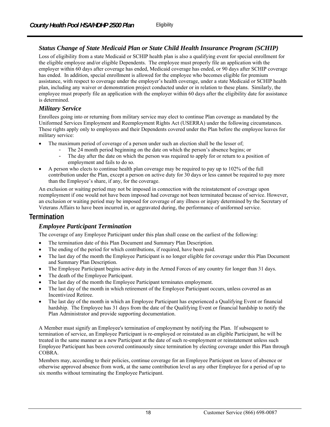## *Status Change of State Medicaid Plan or State Child Health Insurance Program (SCHIP)*

Loss of eligibility from a state Medicaid or SCHIP health plan is also a qualifying event for special enrollment for the eligible employee and/or eligible Dependents. The employee must properly file an application with the employer within 60 days after coverage has ended, Medicaid coverage has ended, or 90 days after SCHIP coverage has ended. In addition, special enrollment is allowed for the employee who becomes eligible for premium assistance, with respect to coverage under the employer's health coverage, under a state Medicaid or SCHIP health plan, including any waiver or demonstration project conducted under or in relation to these plans. Similarly, the employee must properly file an application with the employer within 60 days after the eligibility date for assistance is determined.

#### *Military Service*

Enrollees going into or returning from military service may elect to continue Plan coverage as mandated by the Uniformed Services Employment and Reemployment Rights Act (USERRA) under the following circumstances. These rights apply only to employees and their Dependents covered under the Plan before the employee leaves for military service:

- The maximum period of coverage of a person under such an election shall be the lesser of;
	- The 24 month period beginning on the date on which the person's absence begins; or<br>- The day after the date on which the person was required to apply for or return to a pos
	- The day after the date on which the person was required to apply for or return to a position of employment and fails to do so.
- A person who elects to continue health plan coverage may be required to pay up to 102% of the full contribution under the Plan, except a person on active duty for 30 days or less cannot be required to pay more than the Employee's share, if any, for the coverage.

An exclusion or waiting period may not be imposed in connection with the reinstatement of coverage upon reemployment if one would not have been imposed had coverage not been terminated because of service. However, an exclusion or waiting period may be imposed for coverage of any illness or injury determined by the Secretary of Veterans Affairs to have been incurred in, or aggravated during, the performance of uniformed service.

## **Termination**

## *Employee Participant Termination*

The coverage of any Employee Participant under this plan shall cease on the earliest of the following:

- The termination date of this Plan Document and Summary Plan Description.
- The ending of the period for which contributions, if required, have been paid.
- The last day of the month the Employee Participant is no longer eligible for coverage under this Plan Document and Summary Plan Description.
- The Employee Participant begins active duty in the Armed Forces of any country for longer than 31 days.
- The death of the Employee Participant.
- The last day of the month the Employee Participant terminates employment.
- The last day of the month in which retirement of the Employee Participant occurs, unless covered as an Incentivized Retiree.
- The last day of the month in which an Employee Participant has experienced a Qualifying Event or financial hardship. The Employee has 31 days from the date of the Qualifying Event or financial hardship to notify the Plan Administrator and provide supporting documentation.

A Member must signify an Employee's termination of employment by notifying the Plan. If subsequent to termination of service, an Employee Participant is re-employed or reinstated as an eligible Participant, he will be treated in the same manner as a new Participant at the date of such re-employment or reinstatement unless such Employee Participant has been covered continuously since termination by electing coverage under this Plan through COBRA.

Members may, according to their policies, continue coverage for an Employee Participant on leave of absence or otherwise approved absence from work, at the same contribution level as any other Employee for a period of up to six months without terminating the Employee Participant.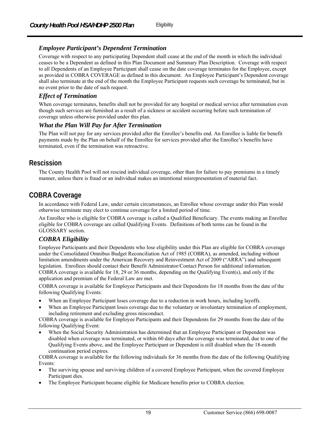#### *Employee Participant's Dependent Termination*

Coverage with respect to any participating Dependent shall cease at the end of the month in which the individual ceases to be a Dependent as defined in this Plan Document and Summary Plan Description. Coverage with respect to all Dependents of an Employee Participant shall cease on the date coverage terminates for the Employee, except as provided in COBRA COVERAGE as defined in this document. An Employee Participant's Dependent coverage shall also terminate at the end of the month the Employee Participant requests such coverage be terminated, but in no event prior to the date of such request.

#### *Effect of Termination*

When coverage terminates, benefits shall not be provided for any hospital or medical service after termination even though such services are furnished as a result of a sickness or accident occurring before such termination of coverage unless otherwise provided under this plan.

#### *What the Plan Will Pay for After Termination*

The Plan will not pay for any services provided after the Enrollee's benefits end. An Enrollee is liable for benefit payments made by the Plan on behalf of the Enrollee for services provided after the Enrollee's benefits have terminated, even if the termination was retroactive.

# **Rescission**

The County Health Pool will not rescind individual coverage, other than for failure to pay premiums in a timely manner, unless there is fraud or an individual makes an intentional misrepresentation of material fact.

# **COBRA Coverage**

In accordance with Federal Law, under certain circumstances, an Enrollee whose coverage under this Plan would otherwise terminate may elect to continue coverage for a limited period of time.

An Enrollee who is eligible for COBRA coverage is called a Qualified Beneficiary. The events making an Enrollee eligible for COBRA coverage are called Qualifying Events. Definitions of both terms can be found in the GLOSSARY section.

## *COBRA Eligibility*

Employee Participants and their Dependents who lose eligibility under this Plan are eligible for COBRA coverage under the Consolidated Omnibus Budget Reconciliation Act of 1985 (COBRA), as amended, including without limitation amendments under the American Recovery and Reinvestment Act of 2009 ("ARRA") and subsequent legislation. Enrollees should contact their Benefit Administrator/Contact Person for additional information. COBRA coverage is available for 18, 29 or 36 months, depending on the Qualifying Event(s), and only if the application and premium of the Federal Law are met.

COBRA coverage is available for Employee Participants and their Dependents for 18 months from the date of the following Qualifying Events:

- When an Employee Participant loses coverage due to a reduction in work hours, including layoffs.
- When an Employee Participant loses coverage due to the voluntary or involuntary termination of employment, including retirement and excluding gross misconduct.

COBRA coverage is available for Employee Participants and their Dependents for 29 months from the date of the following Qualifying Event:

 When the Social Security Administration has determined that an Employee Participant or Dependent was disabled when coverage was terminated, or within 60 days after the coverage was terminated, due to one of the Qualifying Events above, and the Employee Participant or Dependent is still disabled when the 18-month continuation period expires.

COBRA coverage is available for the following individuals for 36 months from the date of the following Qualifying Events:

- The surviving spouse and surviving children of a covered Employee Participant, when the covered Employee Participant dies.
- The Employee Participant became eligible for Medicare benefits prior to COBRA election.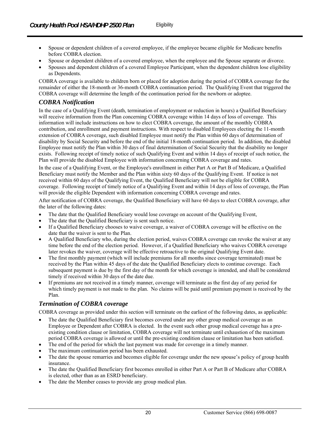- Spouse or dependent children of a covered employee, when the employee and the Spouse separate or divorce.
- Spouses and dependent children of a covered Employee Participant, when the dependent children lose eligibility as Dependents.

COBRA coverage is available to children born or placed for adoption during the period of COBRA coverage for the remainder of either the 18-month or 36-month COBRA continuation period. The Qualifying Event that triggered the COBRA coverage will determine the length of the continuation period for the newborn or adoptee.

## *COBRA Notification*

In the case of a Qualifying Event (death, termination of employment or reduction in hours) a Qualified Beneficiary will receive information from the Plan concerning COBRA coverage within 14 days of loss of coverage. This information will include instructions on how to elect COBRA coverage, the amount of the monthly COBRA contribution, and enrollment and payment instructions. With respect to disabled Employees electing the 11-month extension of COBRA coverage, such disabled Employee must notify the Plan within 60 days of determination of disability by Social Security and before the end of the initial 18-month continuation period. In addition, the disabled Employee must notify the Plan within 30 days of final determination of Social Security that the disability no longer exists. Following receipt of timely notice of such Qualifying Event and within 14 days of receipt of such notice, the Plan will provide the disabled Employee with information concerning COBRA coverage and rates.

In the case of a Qualifying Event, or the Employee's enrollment in either Part A or Part B of Medicare, a Qualified Beneficiary must notify the Member and the Plan within sixty 60 days of the Qualifying Event. If notice is not received within 60 days of the Qualifying Event, the Qualified Beneficiary will not be eligible for COBRA coverage. Following receipt of timely notice of a Qualifying Event and within 14 days of loss of coverage, the Plan will provide the eligible Dependent with information concerning COBRA coverage and rates.

After notification of COBRA coverage, the Qualified Beneficiary will have 60 days to elect COBRA coverage, after the later of the following dates:

- The date that the Qualified Beneficiary would lose coverage on account of the Qualifying Event,
- The date that the Qualified Beneficiary is sent such notice.
- If a Qualified Beneficiary chooses to waive coverage, a waiver of COBRA coverage will be effective on the date that the waiver is sent to the Plan.
- A Qualified Beneficiary who, during the election period, waives COBRA coverage can revoke the waiver at any time before the end of the election period. However, if a Qualified Beneficiary who waives COBRA coverage later revokes the waiver, coverage will be effective retroactive to the original Qualifying Event date.
- The first monthly payment (which will include premiums for all months since coverage terminated) must be received by the Plan within 45 days of the date the Qualified Beneficiary elects to continue coverage. Each subsequent payment is due by the first day of the month for which coverage is intended, and shall be considered timely if received within 30 days of the date due.
- If premiums are not received in a timely manner, coverage will terminate as the first day of any period for which timely payment is not made to the plan. No claims will be paid until premium payment is received by the Plan.

## *Termination of COBRA coverage*

COBRA coverage as provided under this section will terminate on the earliest of the following dates, as applicable:

- The date the Qualified Beneficiary first becomes covered under any other group medical coverage as an Employee or Dependent after COBRA is elected. In the event such other group medical coverage has a preexisting condition clause or limitation, COBRA coverage will not terminate until exhaustion of the maximum period COBRA coverage is allowed or until the pre-existing condition clause or limitation has been satisfied.
- The end of the period for which the last payment was made for coverage in a timely manner.
- The maximum continuation period has been exhausted.
- The date the spouse remarries and becomes eligible for coverage under the new spouse's policy of group health insurance.
- The date the Qualified Beneficiary first becomes enrolled in either Part A or Part B of Medicare after COBRA is elected, other than as an ESRD beneficiary.
- The date the Member ceases to provide any group medical plan.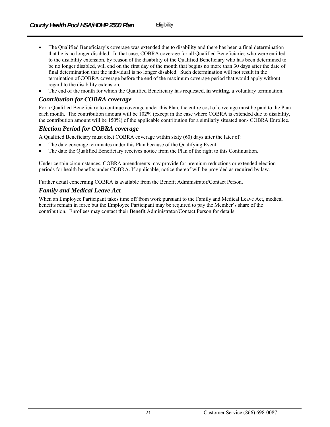- The Qualified Beneficiary's coverage was extended due to disability and there has been a final determination that he is no longer disabled. In that case, COBRA coverage for all Qualified Beneficiaries who were entitled to the disability extension, by reason of the disability of the Qualified Beneficiary who has been determined to be no longer disabled, will end on the first day of the month that begins no more than 30 days after the date of final determination that the individual is no longer disabled. Such determination will not result in the termination of COBRA coverage before the end of the maximum coverage period that would apply without regard to the disability extension.
- The end of the month for which the Qualified Beneficiary has requested, **in writing**, a voluntary termination.

## *Contribution for COBRA coverage*

For a Qualified Beneficiary to continue coverage under this Plan, the entire cost of coverage must be paid to the Plan each month. The contribution amount will be 102% (except in the case where COBRA is extended due to disability, the contribution amount will be 150%) of the applicable contribution for a similarly situated non- COBRA Enrollee.

#### *Election Period for COBRA coverage*

A Qualified Beneficiary must elect COBRA coverage within sixty (60) days after the later of:

- The date coverage terminates under this Plan because of the Qualifying Event.
- The date the Qualified Beneficiary receives notice from the Plan of the right to this Continuation.

Under certain circumstances, COBRA amendments may provide for premium reductions or extended election periods for health benefits under COBRA. If applicable, notice thereof will be provided as required by law.

Further detail concerning COBRA is available from the Benefit Administrator/Contact Person.

## *Family and Medical Leave Act*

When an Employee Participant takes time off from work pursuant to the Family and Medical Leave Act, medical benefits remain in force but the Employee Participant may be required to pay the Member's share of the contribution. Enrollees may contact their Benefit Administrator/Contact Person for details.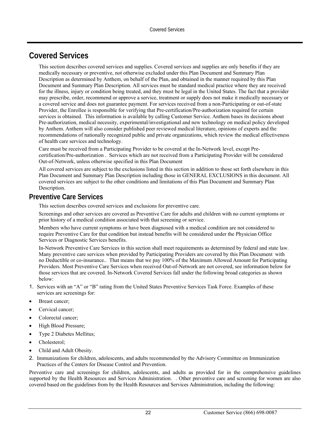# **Covered Services**

This section describes covered services and supplies. Covered services and supplies are only benefits if they are medically necessary or preventive, not otherwise excluded under this Plan Document and Summary Plan Description as determined by Anthem, on behalf of the Plan, and obtained in the manner required by this Plan Document and Summary Plan Description. All services must be standard medical practice where they are received for the illness, injury or condition being treated, and they must be legal in the United States. The fact that a provider may prescribe, order, recommend or approve a service, treatment or supply does not make it medically necessary or a covered service and does not guarantee payment. For services received from a non-Participating or out-of-state Provider, the Enrollee is responsible for verifying that Pre-certification/Pre-authorization required for certain services is obtained. This information is available by calling Customer Service. Anthem bases its decisions about Pre-authorization, medical necessity, experimental/investigational and new technology on medical policy developed by Anthem. Anthem will also consider published peer reviewed medical literature, opinions of experts and the recommendations of nationally recognized public and private organizations, which review the medical effectiveness of health care services and technology.

Care must be received from a Participating Provider to be covered at the In-Network level, except Precertification/Pre-authorization . Services which are not received from a Participating Provider will be considered Out-of-Network, unless otherwise specified in this Plan Document

All covered services are subject to the exclusions listed in this section in addition to those set forth elsewhere in this Plan Document and Summary Plan Description including those in GENERAL EXCLUSIONS in this document. All covered services are subject to the other conditions and limitations of this Plan Document and Summary Plan Description.

## **Preventive Care Services**

This section describes covered services and exclusions for preventive care.

Screenings and other services are covered as Preventive Care for adults and children with no current symptoms or prior history of a medical condition associated with that screening or service.

Members who have current symptoms or have been diagnosed with a medical condition are not considered to require Preventive Care for that condition but instead benefits will be considered under the Physician Office Services or Diagnostic Services benefits.

In-Network Preventive Care Services in this section shall meet requirements as determined by federal and state law. Many preventive care services when provided by Participating Providers are covered by this Plan Document with no Deductible or co-insurance.. That means that we pay 100% of the Maximum Allowed Amount for Participating Providers. Most Preventive Care Services when received Out-of-Network are not covered, see information below for those services that are covered. In-Network Covered Services fall under the following broad categories as shown below:

- 1. Services with an "A" or "B" rating from the United States Preventive Services Task Force. Examples of these services are screenings for:
- Breast cancer;
- Cervical cancer;
- Colorectal cancer;
- High Blood Pressure;
- Type 2 Diabetes Mellitus;
- Cholesterol;
- Child and Adult Obesity.
- 2. Immunizations for children, adolescents, and adults recommended by the Advisory Committee on Immunization Practices of the Centers for Disease Control and Prevention.

Preventive care and screenings for children, adolescents, and adults as provided for in the comprehensive guidelines supported by the Health Resources and Services Administration. . Other preventive care and screening for women are also covered based on the guidelines from by the Health Resources and Services Administration, including the following: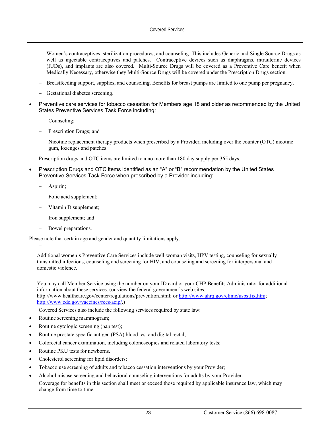- Women's contraceptives, sterilization procedures, and counseling. This includes Generic and Single Source Drugs as well as injectable contraceptives and patches. Contraceptive devices such as diaphragms, intrauterine devices (IUDs), and implants are also covered. Multi-Source Drugs will be covered as a Preventive Care benefit when Medically Necessary, otherwise they Multi-Source Drugs will be covered under the Prescription Drugs section.
- Breastfeeding support, supplies, and counseling. Benefits for breast pumps are limited to one pump per pregnancy.
- Gestational diabetes screening.
- Preventive care services for tobacco cessation for Members age 18 and older as recommended by the United States Preventive Services Task Force including:
	- Counseling;
	- Prescription Drugs; and
	- Nicotine replacement therapy products when prescribed by a Provider, including over the counter (OTC) nicotine gum, lozenges and patches.

Prescription drugs and OTC items are limited to a no more than 180 day supply per 365 days.

- Prescription Drugs and OTC items identified as an "A" or "B" recommendation by the United States Preventive Services Task Force when prescribed by a Provider including:
	- Aspirin;

–

- Folic acid supplement;
- Vitamin D supplement;
- Iron supplement; and
- Bowel preparations.

Please note that certain age and gender and quantity limitations apply.

Additional women's Preventive Care Services include well-woman visits, HPV testing, counseling for sexually transmitted infections, counseling and screening for HIV, and counseling and screening for interpersonal and domestic violence.

You may call Member Service using the number on your ID card or your CHP Benefits Administrator for additional information about these services. (or view the federal government's web sites, http://www.healthcare.gov/center/regulations/prevention.html; or http://www.ahrq.gov/clinic/uspstfix.htm; http://www.cdc.gov/vaccines/recs/acip/.)

Covered Services also include the following services required by state law:

- Routine screening mammogram;
- Routine cytologic screening (pap test);
- Routine prostate specific antigen (PSA) blood test and digital rectal;
- Colorectal cancer examination, including colonoscopies and related laboratory tests;
- Routine PKU tests for newborns.
- Cholesterol screening for lipid disorders;
- Tobacco use screening of adults and tobacco cessation interventions by your Provider;
- Alcohol misuse screening and behavioral counseling interventions for adults by your Provider. Coverage for benefits in this section shall meet or exceed those required by applicable insurance law, which may change from time to time.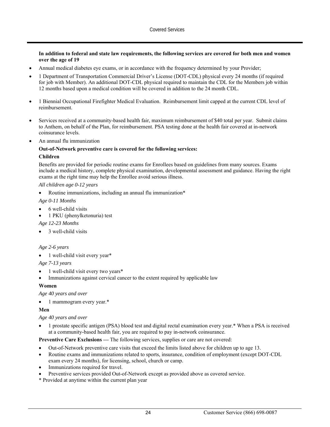#### **In addition to federal and state law requirements, the following services are covered for both men and women over the age of 19**

- Annual medical diabetes eye exams, or in accordance with the frequency determined by your Provider;
- 1 Department of Transportation Commercial Driver's License (DOT-CDL) physical every 24 months (if required for job with Member). An additional DOT-CDL physical required to maintain the CDL for the Members job within 12 months based upon a medical condition will be covered in addition to the 24 month CDL.
- 1 Biennial Occupational Firefighter Medical Evaluation. Reimbursement limit capped at the current CDL level of reimbursement.
- Services received at a community-based health fair, maximum reimbursement of \$40 total per year. Submit claims to Anthem, on behalf of the Plan, for reimbursement. PSA testing done at the health fair covered at in-network coinsurance levels.
- An annual flu immunization

#### **Out-of-Network preventive care is covered for the following services:**

#### **Children**

Benefits are provided for periodic routine exams for Enrollees based on guidelines from many sources. Exams include a medical history, complete physical examination, developmental assessment and guidance. Having the right exams at the right time may help the Enrollee avoid serious illness.

#### *All children age 0-12 years*

Routine immunizations, including an annual flu immunization\*

#### *Age 0-11 Months*

- 6 well-child visits
- 1 PKU (phenylketonuria) test

*Age 12-23 Months* 

3 well-child visits

#### *Age 2-6 years*

1 well-child visit every year\*

*Age 7-13 years* 

- 1 well-child visit every two years\*
- Immunizations against cervical cancer to the extent required by applicable law

#### **Women**

*Age 40 years and over* 

• 1 mammogram every year.\*

#### **Men**

*Age 40 years and over* 

 1 prostate specific antigen (PSA) blood test and digital rectal examination every year.\* When a PSA is received at a community-based health fair, you are required to pay in-network coinsurance.

**Preventive Care Exclusions —** The following services, supplies or care are not covered:

- Out-of-Network preventive care visits that exceed the limits listed above for children up to age 13.
- Routine exams and immunizations related to sports, insurance, condition of employment (except DOT-CDL exam every 24 months), for licensing, school, church or camp.
- Immunizations required for travel.
- Preventive services provided Out-of-Network except as provided above as covered service.
- \* Provided at anytime within the current plan year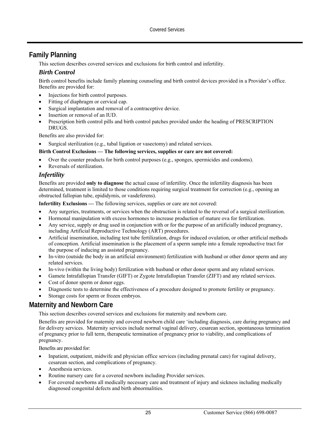# **Family Planning**

This section describes covered services and exclusions for birth control and infertility.

## *Birth Control*

Birth control benefits include family planning counseling and birth control devices provided in a Provider's office. Benefits are provided for:

- Injections for birth control purposes.
- Fitting of diaphragm or cervical cap.
- Surgical implantation and removal of a contraceptive device.
- Insertion or removal of an IUD.
- Prescription birth control pills and birth control patches provided under the heading of PRESCRIPTION DRUGS.

Benefits are also provided for:

Surgical sterilization (e.g., tubal ligation or vasectomy) and related services.

#### **Birth Control Exclusions — The following services, supplies or care are not covered:**

- Over the counter products for birth control purposes (e.g., sponges, spermicides and condoms).
- Reversals of sterilization.

#### *Infertility*

Benefits are provided **only to diagnose** the actual cause of infertility. Once the infertility diagnosis has been determined, treatment is limited to those conditions requiring surgical treatment for correction (e.g., opening an obstructed fallopian tube, epididymis, or vasdeferens).

**Infertility Exclusions —** The following services, supplies or care are not covered:

- Any surgeries, treatments, or services when the obstruction is related to the reversal of a surgical sterilization.
- Hormonal manipulation with excess hormones to increase production of mature ova for fertilization.
- Any service, supply or drug used in conjunction with or for the purpose of an artificially induced pregnancy, including Artificial Reproductive Technology (ART) procedures.
- Artificial insemination, including test tube fertilization, drugs for induced ovulation, or other artificial methods of conception. Artificial insemination is the placement of a sperm sample into a female reproductive tract for the purpose of inducing an assisted pregnancy.
- In-vitro (outside the body in an artificial environment) fertilization with husband or other donor sperm and any related services.
- In-vivo (within the living body) fertilization with husband or other donor sperm and any related services.
- Gamete Intrafallopian Transfer (GIFT) or Zygote Intrafallopian Transfer (ZIFT) and any related services.
- Cost of donor sperm or donor eggs.
- Diagnostic tests to determine the effectiveness of a procedure designed to promote fertility or pregnancy.
- Storage costs for sperm or frozen embryos.

# **Maternity and Newborn Care**

This section describes covered services and exclusions for maternity and newborn care.

Benefits are provided for maternity and covered newborn child care 'including diagnosis, care during pregnancy and for delivery services. Maternity services include normal vaginal delivery, cesarean section, spontaneous termination of pregnancy prior to full term, therapeutic termination of pregnancy prior to viability, and complications of pregnancy.

Benefits are provided for:

- Inpatient, outpatient, midwife and physician office services (including prenatal care) for vaginal delivery, cesarean section, and complications of pregnancy.
- Anesthesia services.
- Routine nursery care for a covered newborn including Provider services.
- For covered newborns all medically necessary care and treatment of injury and sickness including medically diagnosed congenital defects and birth abnormalities.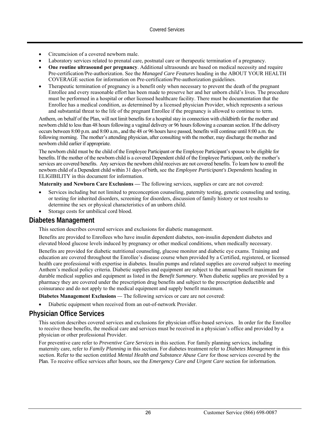- Circumcision of a covered newborn male.
- Laboratory services related to prenatal care, postnatal care or therapeutic termination of a pregnancy.
- **One routine ultrasound per pregnancy**. Additional ultrasounds are based on medical necessity and require Pre-certification/Pre-authorization. See the *Managed Care Features* heading in the ABOUT YOUR HEALTH COVERAGE section for information on Pre-certification/Pre-authorization guidelines.
- Therapeutic termination of pregnancy is a benefit only when necessary to prevent the death of the pregnant Enrollee and every reasonable effort has been made to preserve her and her unborn child's lives. The procedure must be performed in a hospital or other licensed healthcare facility. There must be documentation that the Enrollee has a medical condition, as determined by a licensed physician Provider, which represents a serious and substantial threat to the life of the pregnant Enrollee if the pregnancy is allowed to continue to term.

Anthem, on behalf of the Plan, will not limit benefits for a hospital stay in connection with childbirth for the mother and newborn child to less than 48 hours following a vaginal delivery or 96 hours following a cesarean section. If the delivery occurs between 8:00 p.m. and 8:00 a.m., and the 48 or 96 hours have passed, benefits will continue until 8:00 a.m. the following morning. The mother's attending physician, after consulting with the mother, may discharge the mother and newborn child earlier if appropriate.

The newborn child must be the child of the Employee Participant or the Employee Participant's spouse to be eligible for benefits. If the mother of the newborn child is a covered Dependent child of the Employee Participant, only the mother's services are covered benefits. Any services the newborn child receives are not covered benefits. To learn how to enroll the newborn child of a Dependent child within 31 days of birth, see the *Employee Participant's Dependents* heading in ELIGIBILITY in this document for information*.* 

**Maternity and Newborn Care Exclusions —** The following services, supplies or care are not covered:

- Services including but not limited to preconception counseling, paternity testing, genetic counseling and testing, or testing for inherited disorders, screening for disorders, discussion of family history or test results to determine the sex or physical characteristics of an unborn child.
- Storage costs for umbilical cord blood.

# **Diabetes Management**

This section describes covered services and exclusions for diabetic management.

Benefits are provided to Enrollees who have insulin dependent diabetes, non-insulin dependent diabetes and elevated blood glucose levels induced by pregnancy or other medical conditions, when medically necessary.

Benefits are provided for diabetic nutritional counseling, glucose monitor and diabetic eye exams. Training and education are covered throughout the Enrollee's disease course when provided by a Certified, registered, or licensed health care professional with expertise in diabetes. Insulin pumps and related supplies are covered subject to meeting Anthem's medical policy criteria. Diabetic supplies and equipment are subject to the annual benefit maximum for durable medical supplies and equipment as listed in the *Benefit Summary*. When diabetic supplies are provided by a pharmacy they are covered under the prescription drug benefits and subject to the prescription deductible and coinsurance and do not apply to the medical equipment and supply benefit maximum.

**Diabetes Management Exclusions** — The following services or care are not covered:

Diabetic equipment when received from an out-of-network Provider.

# **Physician Office Services**

This section describes covered services and exclusions for physician office-based services. In order for the Enrollee to receive these benefits, the medical care and services must be received in a physician's office and provided by a physician or other professional Provider.

For preventive care refer to *Preventive Care Services* in this section. For family planning services, including maternity care, refer to *Family Planning* in this section. For diabetes treatment refer to *Diabetes Management* in this section. Refer to the section entitled *Mental Health and Substance Abuse Care* for those services covered by the Plan. To receive office services after hours, see the *Emergency Care and Urgent Care* section for information*.*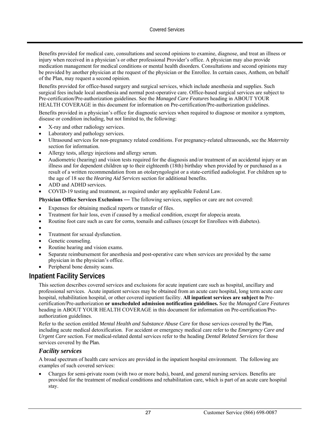Benefits provided for medical care, consultations and second opinions to examine, diagnose, and treat an illness or injury when received in a physician's or other professional Provider's office. A physician may also provide medication management for medical conditions or mental health disorders. Consultations and second opinions may be provided by another physician at the request of the physician or the Enrollee. In certain cases, Anthem, on behalf of the Plan, may request a second opinion.

Benefits provided for office-based surgery and surgical services, which include anesthesia and supplies. Such surgical fees include local anesthesia and normal post-operative care. Office-based surgical services are subject to Pre-certification/Pre-authorization guidelines. See the *Managed Care Features* heading in ABOUT YOUR HEALTH COVERAGE in this document for information on Pre-certification/Pre-authorization guidelines.

Benefits provided in a physician's office for diagnostic services when required to diagnose or monitor a symptom, disease or condition including, but not limited to, the following:

- X-ray and other radiology services.
- Laboratory and pathology services.
- Ultrasound services for non-pregnancy related conditions. For pregnancy-related ultrasounds, see the *Maternity*  section for information.
- Allergy tests, allergy injections and allergy serum.
- Audiometric (hearing) and vision tests required for the diagnosis and/or treatment of an accidental injury or an illness and for dependent children up to their eighteenth (18th) birthday when provided by or purchased as a result of a written recommendation from an otolaryngologist or a state-certified audiologist. For children up to the age of 18 see the *Hearing Aid Services* section for additional benefits.
- ADD and ADHD services.
- COVID-19 testing and treatment, as required under any applicable Federal Law.

**Physician Office Services Exclusions** *—* The following services, supplies or care are not covered:

- Expenses for obtaining medical reports or transfer of files.
- Treatment for hair loss, even if caused by a medical condition, except for alopecia areata.
- Routine foot care such as care for corns, toenails and calluses (except for Enrollees with diabetes).
- $\bullet$
- Treatment for sexual dysfunction.
- Genetic counseling.
- Routine hearing and vision exams.
- Separate reimbursement for anesthesia and post-operative care when services are provided by the same physician in the physician's office.
- Peripheral bone density scans.

## **Inpatient Facility Services**

This section describes covered services and exclusions for acute inpatient care such as hospital, ancillary and professional services. Acute inpatient services may be obtained from an acute care hospital, long term acute care hospital, rehabilitation hospital, or other covered inpatient facility. **All inpatient services are subject to** Precertification/Pre-authorization **or unscheduled admission notification guidelines.** See the *Managed Care Features* heading in ABOUT YOUR HEALTH COVERAGE in this document for information on Pre-certification/Preauthorization guidelines.

Refer to the section entitled *Mental Health and Substance Abuse Care* for those services covered by the Plan, including acute medical detoxification. For accident or emergency medical care refer to the *Emergency Care and Urgent Care* section. For medical-related dental services refer to the heading *Dental Related Services* for those services covered by the Plan.

#### *Facility services*

A broad spectrum of health care services are provided in the inpatient hospital environment. The following are examples of such covered services:

 Charges for semi-private room (with two or more beds), board, and general nursing services. Benefits are provided for the treatment of medical conditions and rehabilitation care, which is part of an acute care hospital stay.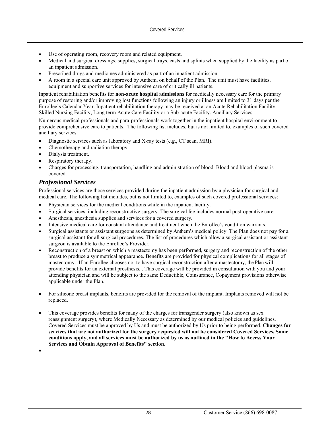- Use of operating room, recovery room and related equipment.
- Medical and surgical dressings, supplies, surgical trays, casts and splints when supplied by the facility as part of an inpatient admission.
- Prescribed drugs and medicines administered as part of an inpatient admission.
- A room in a special care unit approved by Anthem, on behalf of the Plan. The unit must have facilities, equipment and supportive services for intensive care of critically ill patients.

Inpatient rehabilitation benefits for **non-acute hospital admissions** for medically necessary care for the primary purpose of restoring and/or improving lost functions following an injury or illness are limited to 31 days per the Enrollee's Calendar Year. Inpatient rehabilitation therapy may be received at an Acute Rehabilitation Facility, Skilled Nursing Facility, Long term Acute Care Facility or a Sub-acute Facility. Ancillary Services

Numerous medical professionals and para-professionals work together in the inpatient hospital environment to provide comprehensive care to patients. The following list includes, but is not limited to, examples of such covered ancillary services:

- Diagnostic services such as laboratory and X-ray tests (e.g., CT scan, MRI).
- Chemotherapy and radiation therapy.
- Dialysis treatment.
- Respiratory therapy.
- Charges for processing, transportation, handling and administration of blood. Blood and blood plasma is covered.

#### *Professional Services*

Professional services are those services provided during the inpatient admission by a physician for surgical and medical care. The following list includes, but is not limited to, examples of such covered professional services:

- Physician services for the medical conditions while in the inpatient facility.
- Surgical services, including reconstructive surgery. The surgical fee includes normal post-operative care.
- Anesthesia, anesthesia supplies and services for a covered surgery.
- Intensive medical care for constant attendance and treatment when the Enrollee's condition warrants.
- Surgical assistants or assistant surgeons as determined by Anthem's medical policy. The Plan does not pay for a surgical assistant for all surgical procedures. The list of procedures which allow a surgical assistant or assistant surgeon is available to the Enrollee's Provider.
- Reconstruction of a breast on which a mastectomy has been performed, surgery and reconstruction of the other breast to produce a symmetrical appearance. Benefits are provided for physical complications for all stages of mastectomy. If an Enrollee chooses not to have surgical reconstruction after a mastectomy, the Plan will provide benefits for an external prosthesis. . This coverage will be provided in consultation with you and your attending physician and will be subject to the same Deductible, Coinsurance, Copayment provisions otherwise applicable under the Plan.
- For silicone breast implants, benefits are provided for the removal of the implant. Implants removed will not be replaced.
- This coverage provides benefits for many of the charges for transgender surgery (also known as sex reassignment surgery), where Medically Necessary as determined by our medical policies and guidelines. Covered Services must be approved by Us and must be authorized by Us prior to being performed. **Changes for services that are not authorized for the surgery requested will not be considered Covered Services. Some conditions apply, and all services must be authorized by us as outlined in the "How to Access Your Services and Obtain Approval of Benefits" section.**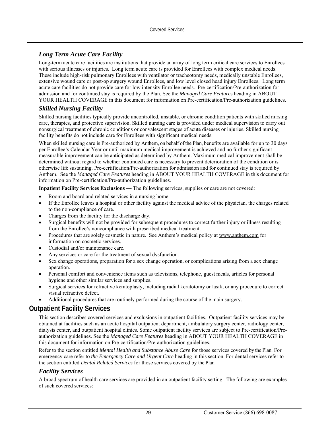## *Long Term Acute Care Facility*

Long-term acute care facilities are institutions that provide an array of long term critical care services to Enrollees with serious illnesses or injuries. Long term acute care is provided for Enrollees with complex medical needs. These include high-risk pulmonary Enrollees with ventilator or tracheotomy needs, medically unstable Enrollees, extensive wound care or post-op surgery wound Enrollees, and low level closed head injury Enrollees. Long term acute care facilities do not provide care for low intensity Enrollee needs. Pre-certification/Pre-authorization for admission and for continued stay is required by the Plan. See the *Managed Care Features* heading in ABOUT YOUR HEALTH COVERAGE in this document for information on Pre-certification/Pre-authorization guidelines.

#### *Skilled Nursing Facility*

Skilled nursing facilities typically provide uncontrolled, unstable, or chronic condition patients with skilled nursing care, therapies, and protective supervision. Skilled nursing care is provided under medical supervision to carry out nonsurgical treatment of chronic conditions or convalescent stages of acute diseases or injuries. Skilled nursing facility benefits do not include care for Enrollees with significant medical needs.

When skilled nursing care is Pre-authorized by Anthem, on behalf of the Plan, benefits are available for up to 30 days per Enrollee's Calendar Year or until maximum medical improvement is achieved and no further significant measurable improvement can be anticipated as determined by Anthem. Maximum medical improvement shall be determined without regard to whether continued care is necessary to prevent deterioration of the condition or is otherwise life sustaining. Pre-certification/Pre-authorization for admission and for continued stay is required by Anthem. See the *Managed Care Features* heading in ABOUT YOUR HEALTH COVERAGE in this document for information on Pre-certification/Pre-authorization guidelines.

**Inpatient Facility Services Exclusions** *—* The following services, supplies or care are not covered:

- Room and board and related services in a nursing home.
- If the Enrollee leaves a hospital or other facility against the medical advice of the physician, the charges related to the non-compliance of care.
- Charges from the facility for the discharge day.
- Surgical benefits will not be provided for subsequent procedures to correct further injury or illness resulting from the Enrollee's noncompliance with prescribed medical treatment.
- Procedures that are solely cosmetic in nature. See Anthem's medical policy at www.anthem.com for information on cosmetic services.
- Custodial and/or maintenance care.
- Any services or care for the treatment of sexual dysfunction.
- Sex change operations, preparation for a sex change operation, or complications arising from a sex change operation.
- Personal comfort and convenience items such as televisions, telephone, guest meals, articles for personal hygiene and other similar services and supplies.
- Surgical services for refractive keratoplasty, including radial keratotomy or lasik, or any procedure to correct visual refractive defect.
- Additional procedures that are routinely performed during the course of the main surgery.

# **Outpatient Facility Services**

This section describes covered services and exclusions in outpatient facilities. Outpatient facility services may be obtained at facilities such as an acute hospital outpatient department, ambulatory surgery center, radiology center, dialysis center, and outpatient hospital clinics. Some outpatient facility services are subject to Pre-certification/Preauthorization guidelines. See the *Managed Care Features* heading in ABOUT YOUR HEALTH COVERAGE in this document for information on Pre-certification/Pre-authorization guidelines.

Refer to the section entitled *Mental Health and Substance Abuse Care* for those services covered by the Plan. For emergency care refer to *the Emergency Care and Urgent Care* heading in this section. For dental services refer to the section entitled *Dental Related Services* for those services covered by the Plan.

#### *Facility Services*

A broad spectrum of health care services are provided in an outpatient facility setting. The following are examples of such covered services: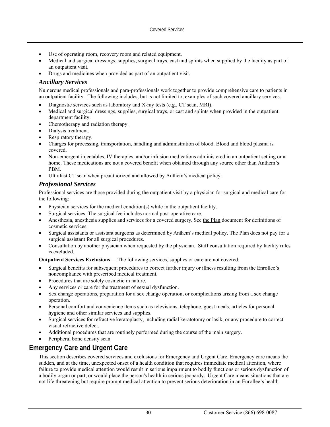- Use of operating room, recovery room and related equipment.
- Medical and surgical dressings, supplies, surgical trays, cast and splints when supplied by the facility as part of an outpatient visit.
- Drugs and medicines when provided as part of an outpatient visit.

#### *Ancillary Services*

Numerous medical professionals and para-professionals work together to provide comprehensive care to patients in an outpatient facility. The following includes, but is not limited to, examples of such covered ancillary services.

- Diagnostic services such as laboratory and X-ray tests (e.g., CT scan, MRI).
- Medical and surgical dressings, supplies, surgical trays, or cast and splints when provided in the outpatient department facility.
- Chemotherapy and radiation therapy.
- Dialysis treatment.
- Respiratory therapy.
- Charges for processing, transportation, handling and administration of blood. Blood and blood plasma is covered.
- Non-emergent injectables, IV therapies, and/or infusion medications administered in an outpatient setting or at home. These medications are not a covered benefit when obtained through any source other than Anthem's PBM.
- Ultrafast CT scan when preauthorized and allowed by Anthem's medical policy.

#### *Professional Services*

Professional services are those provided during the outpatient visit by a physician for surgical and medical care for the following:

- Physician services for the medical condition(s) while in the outpatient facility.
- Surgical services. The surgical fee includes normal post-operative care.
- Anesthesia, anesthesia supplies and services for a covered surgery. See the Plan document for definitions of cosmetic services.
- Surgical assistants or assistant surgeons as determined by Anthem's medical policy. The Plan does not pay for a surgical assistant for all surgical procedures.
- Consultation by another physician when requested by the physician. Staff consultation required by facility rules is excluded.

**Outpatient Services Exclusions** *—* The following services, supplies or care are not covered:

- Surgical benefits for subsequent procedures to correct further injury or illness resulting from the Enrollee's noncompliance with prescribed medical treatment.
- Procedures that are solely cosmetic in nature.
- Any services or care for the treatment of sexual dysfunction.
- Sex change operations, preparation for a sex change operation, or complications arising from a sex change operation.
- Personal comfort and convenience items such as televisions, telephone, guest meals, articles for personal hygiene and other similar services and supplies.
- Surgical services for refractive keratoplasty, including radial keratotomy or lasik, or any procedure to correct visual refractive defect.
- Additional procedures that are routinely performed during the course of the main surgery.
- Peripheral bone density scan.

# **Emergency Care and Urgent Care**

This section describes covered services and exclusions for Emergency and Urgent Care. Emergency care means the sudden, and at the time, unexpected onset of a health condition that requires immediate medical attention, where failure to provide medical attention would result in serious impairment to bodily functions or serious dysfunction of a bodily organ or part, or would place the person's health in serious jeopardy. Urgent Care means situations that are not life threatening but require prompt medical attention to prevent serious deterioration in an Enrollee's health.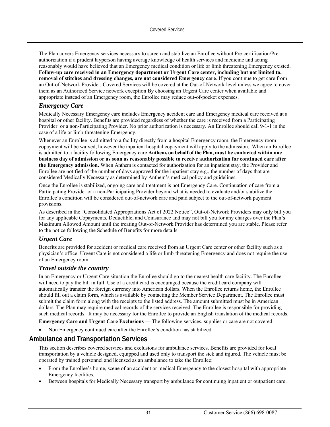The Plan covers Emergency services necessary to screen and stabilize an Enrollee without Pre-certification/Preauthorization if a prudent layperson having average knowledge of health services and medicine and acting reasonably would have believed that an Emergency medical condition or life or limb threatening Emergency existed. **Follow-up care received in an Emergency department or Urgent Care center, including but not limited to, removal of stitches and dressing changes, are not considered Emergency care**. If you continue to get care from an Out-of-Network Provider, Covered Services will be covered at the Out-of-Network level unless we agree to cover them as an Authorized Service network exception By choosing an Urgent Care center when available and appropriate instead of an Emergency room, the Enrollee may reduce out-of-pocket expenses.

#### *Emergency Care*

Medically Necessary Emergency care includes Emergency accident care and Emergency medical care received at a hospital or other facility. Benefits are provided regardless of whether the care is received from a Participating Provider or a non-Participating Provider. No prior authorization is necessary. An Enrollee should call 9-1-1 in the case of a life or limb-threatening Emergency.

Whenever an Enrollee is admitted to a facility directly from a hospital Emergency room, the Emergency room copayment will be waived, however the inpatient hospital copayment will apply to the admission. When an Enrollee is admitted to a facility following Emergency care **Anthem, on behalf of the Plan, must be contacted within one business day of admission or as soon as reasonably possible to receive authorization for continued care after the Emergency admission.** When Anthem is contacted for authorization for an inpatient stay, the Provider and Enrollee are notified of the number of days approved for the inpatient stay e.g., the number of days that are considered Medically Necessary as determined by Anthem's medical policy and guidelines.

Once the Enrollee is stabilized, ongoing care and treatment is not Emergency Care. Continuation of care from a Participating Provider or a non-Participating Provider beyond what is needed to evaluate and/or stabilize the Enrollee's condition will be considered out-of-network care and paid subject to the out-of-network payment provisions.

As described in the "Consolidated Appropriations Act of 2022 Notice", Out-of-Network Providers may only bill you for any applicable Copayments, Deductible, and Coinsurance and may not bill you for any charges over the Plan's Maximum Allowed Amount until the treating Out-of-Network Provider has determined you are stable. Please refer to the notice following the Schedule of Benefits for more details

### *Urgent Care*

Benefits are provided for accident or medical care received from an Urgent Care center or other facility such as a physician's office. Urgent Care is not considered a life or limb-threatening Emergency and does not require the use of an Emergency room.

#### *Travel outside the country*

In an Emergency or Urgent Care situation the Enrollee should go to the nearest health care facility. The Enrollee will need to pay the bill in full. Use of a credit card is encouraged because the credit card company will automatically transfer the foreign currency into American dollars. When the Enrollee returns home, the Enrollee should fill out a claim form, which is available by contacting the Member Service Department. The Enrollee must submit the claim form along with the receipts to the listed address. The amount submitted must be in American dollars. The Plan may require medical records of the services received. The Enrollee is responsible for providing such medical records. It may be necessary for the Enrollee to provide an English translation of the medical records.

**Emergency Care and Urgent Care Exclusions — The following services, supplies or care are not covered:** 

Non Emergency continued care after the Enrollee's condition has stabilized.

## **Ambulance and Transportation Services**

This section describes covered services and exclusions for ambulance services. Benefits are provided for local transportation by a vehicle designed, equipped and used only to transport the sick and injured. The vehicle must be operated by trained personnel and licensed as an ambulance to take the Enrollee:

- From the Enrollee's home, scene of an accident or medical Emergency to the closest hospital with appropriate Emergency facilities.
- Between hospitals for Medically Necessary transport by ambulance for continuing inpatient or outpatient care.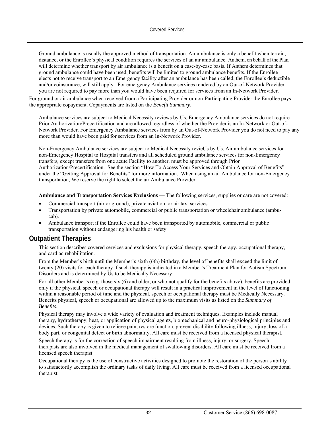Ground ambulance is usually the approved method of transportation. Air ambulance is only a benefit when terrain, distance, or the Enrollee's physical condition requires the services of an air ambulance. Anthem, on behalf of the Plan, will determine whether transport by air ambulance is a benefit on a case-by-case basis. If Anthem determines that ground ambulance could have been used, benefits will be limited to ground ambulance benefits. If the Enrollee elects not to receive transport to an Emergency facility after an ambulance has been called, the Enrollee's deductible and/or coinsurance, will still apply. For emergency Ambulance services rendered by an Out-of-Network Provider you are not required to pay more than you would have been required for services from an In-Network Provider.

For ground or air ambulance when received from a Participating Provider or non-Participating Provider the Enrollee pays the appropriate copayment. Copayments are listed on the *Benefit Summary*.

Ambulance services are subject to Medical Necessity reviews by Us. Emergency Ambulance services do not require Prior Authorization/Precertification and are allowed regardless of whether the Provider is an In-Network or Out-of-Network Provider. For Emergency Ambulance services from by an Out-of-Network Provider you do not need to pay any more than would have been paid for services from an In-Network Provider.

Non-Emergency Ambulance services are subject to Medical Necessity revieUs by Us. Air ambulance services for non-Emergency Hospital to Hospital transfers and all scheduled ground ambulance services for non-Emergency transfers, except transfers from one acute Facility to another, must be approved through Prior Authorization/Precertification. See the section "How To Access Your Services and Obtain Approval of Benefits" under the "Getting Approval for Benefits" for more information. When using an air Ambulance for non-Emergency transportation, We reserve the right to select the air Ambulance Provider.

**Ambulance and Transportation Services Exclusions** *—* The following services, supplies or care are not covered:

- Commercial transport (air or ground), private aviation, or air taxi services.
- Transportation by private automobile, commercial or public transportation or wheelchair ambulance (ambucab).
- Ambulance transport if the Enrollee could have been transported by automobile, commercial or public transportation without endangering his health or safety.

## **Outpatient Therapies**

This section describes covered services and exclusions for physical therapy, speech therapy, occupational therapy, and cardiac rehabilitation.

From the Member's birth until the Member's sixth (6th) birthday, the level of benefits shall exceed the limit of twenty (20) visits for each therapy if such therapy is indicated in a Member's Treatment Plan for Autism Spectrum Disorders and is determined by Us to be Medically Necessary.

For all other Member's (e.g. those six (6) and older, or who not qualify for the benefits above), benefits are provided only if the physical, speech or occupational therapy will result in a practical improvement in the level of functioning within a reasonable period of time and the physical, speech or occupational therapy must be Medically Necessary. Benefits physical, speech or occupational are allowed up to the maximum visits as listed on the *Summary of Benefits*.

Physical therapy may involve a wide variety of evaluation and treatment techniques. Examples include manual therapy, hydrotherapy, heat, or application of physical agents, biomechanical and neuro-physiological principles and devices. Such therapy is given to relieve pain, restore function, prevent disability following illness, injury, loss of a body part, or congenital defect or birth abnormality. All care must be received from a licensed physical therapist.

Speech therapy is for the correction of speech impairment resulting from illness, injury, or surgery. Speech therapists are also involved in the medical management of swallowing disorders. All care must be received from a licensed speech therapist.

Occupational therapy is the use of constructive activities designed to promote the restoration of the person's ability to satisfactorily accomplish the ordinary tasks of daily living. All care must be received from a licensed occupational therapist.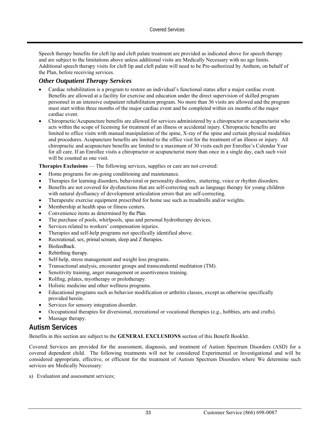Speech therapy benefits for cleft lip and cleft palate treatment are provided as indicated above for speech therapy and are subject to the limitations above unless additional visits are Medically Necessary with no age limits. Additional speech therapy visits for cleft lip and cleft palate will need to be Pre-authorized by Anthem, on behalf of the Plan, before receiving services.

#### *Other Outpatient Therapy Services*

- Cardiac rehabilitation is a program to restore an individual's functional status after a major cardiac event. Benefits are allowed at a facility for exercise and education under the direct supervision of skilled program personnel in an intensive outpatient rehabilitation program. No more than 36 visits are allowed and the program must start within three months of the major cardiac event and be completed within six months of the major cardiac event.
- Chiropractic/Acupuncture benefits are allowed for services administered by a chiropractor or acupuncturist who acts within the scope of licensing for treatment of an illness or accidental injury. Chiropractic benefits are limited to office visits with manual manipulation of the spine, X-ray of the spine and certain physical modalities and procedures. Acupuncture benefits are limited to the office visit for the treatment of an illness or injury. All chiropractic and acupuncture benefits are limited to a maximum of 30 visits each per Enrollee's Calendar Year for all care. If an Enrollee visits a chiropractor or acupuncturist more than once in a single day, each such visit will be counted as one visit.

**Therapies Exclusions** — The following services, supplies or care are not covered:

- Home programs for on-going conditioning and maintenance.
- Therapies for learning disorders, behavioral or personality disorders, stuttering, voice or rhythm disorders.
- Benefits are not covered for dysfunctions that are self-correcting such as language therapy for young children with natural dysfluency of development articulation errors that are self-correcting.
- Therapeutic exercise equipment prescribed for home use such as treadmills and/or weights.
- Membership at health spas or fitness centers.
- Convenience items as determined by the Plan.
- The purchase of pools, whirlpools, spas and personal hydrotherapy devices.
- Services related to workers' compensation injuries.
- Therapies and self-help programs not specifically identified above.
- Recreational, sex, primal scream, sleep and Z therapies.
- Biofeedback.
- Rebirthing therapy.
- Self-help, stress management and weight loss programs.
- Transactional analysis, encounter groups and transcendental meditation (TM).
- Sensitivity training, anger management or assertiveness training.
- Rolfing, pilates, myotherapy or prolotherapy.
- Holistic medicine and other wellness programs.
- Educational programs such as behavior modification or arthritis classes, except as otherwise specifically provided herein.
- Services for sensory integration disorder.
- Occupational therapies for diversional, recreational or vocational therapies (e.g., hobbies, arts and crafts).
- Massage therapy.

## **Autism Services**

Benefits in this section are subject to the **GENERAL EXCLUSIONS** section of this Benefit Booklet.

Covered Services are provided for the assessment, diagnosis, and treatment of Autism Spectrum Disorders (ASD) for a covered dependent child. The following treatments will not be considered Experimental or Investigational and will be considered appropriate, effective, or efficient for the treatment of Autism Spectrum Disorders where We determine such services are Medically Necessary:

a) Evaluation and assessment services;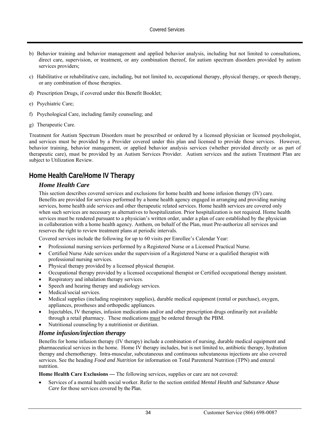- b) Behavior training and behavior management and applied behavior analysis, including but not limited to consultations, direct care, supervision, or treatment, or any combination thereof, for autism spectrum disorders provided by autism services providers;
- c) Habilitative or rehabilitative care, including, but not limited to, occupational therapy, physical therapy, or speech therapy, or any combination of those therapies.
- d) Prescription Drugs, if covered under this Benefit Booklet;
- e) Psychiatric Care;
- f) Psychological Care, including family counseling; and
- g) Therapeutic Care.

Treatment for Autism Spectrum Disorders must be prescribed or ordered by a licensed physician or licensed psychologist, and services must be provided by a Provider covered under this plan and licensed to provide those services. However, behavior training, behavior management, or applied behavior analysis services (whether provided directly or as part of therapeutic care), must be provided by an Autism Services Provider. Autism services and the autism Treatment Plan are subject to Utilization Review.

# **Home Health Care/Home IV Therapy**

## *Home Health Care*

This section describes covered services and exclusions for home health and home infusion therapy (IV) care. Benefits are provided for services performed by a home health agency engaged in arranging and providing nursing services, home health aide services and other therapeutic related services. Home health services are covered only when such services are necessary as alternatives to hospitalization. Prior hospitalization is not required. Home health services must be rendered pursuant to a physician's written order, under a plan of care established by the physician in collaboration with a home health agency. Anthem, on behalf of the Plan, must Pre-authorize all services and reserves the right to review treatment plans at periodic intervals.

Covered services include the following for up to 60 visits per Enrollee's Calendar Year:

- Professional nursing services performed by a Registered Nurse or a Licensed Practical Nurse.
- Certified Nurse Aide services under the supervision of a Registered Nurse or a qualified therapist with professional nursing services.
- Physical therapy provided by a licensed physical therapist.
- Occupational therapy provided by a licensed occupational therapist or Certified occupational therapy assistant.
- Respiratory and inhalation therapy services.
- Speech and hearing therapy and audiology services.
- Medical/social services.
- Medical supplies (including respiratory supplies), durable medical equipment (rental or purchase), oxygen, appliances, prostheses and orthopedic appliances.
- Injectables, IV therapies, infusion medications and/or and other prescription drugs ordinarily not available through a retail pharmacy. These medications must be ordered through the PBM.
- Nutritional counseling by a nutritionist or dietitian.

### *Home infusion/injection therapy*

Benefits for home infusion therapy (IV therapy) include a combination of nursing, durable medical equipment and pharmaceutical services in the home. Home IV therapy includes, but is not limited to, antibiotic therapy, hydration therapy and chemotherapy. Intra-muscular, subcutaneous and continuous subcutaneous injections are also covered services. See the heading *Food and Nutrition* for information on Total Parenteral Nutrition (TPN) and enteral nutrition.

**Home Health Care Exclusions** *—* The following services, supplies or care are not covered:

 Services of a mental health social worker. Refer to the section entitled *Mental Health and Substance Abuse Care* for those services covered by the Plan.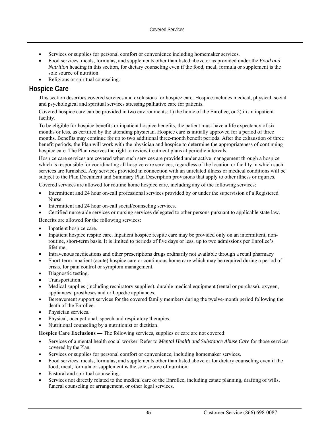- Services or supplies for personal comfort or convenience including homemaker services.
- Food services, meals, formulas, and supplements other than listed above or as provided under the *Food and Nutrition* heading in this section, for dietary counseling even if the food, meal, formula or supplement is the sole source of nutrition.
- Religious or spiritual counseling.

## **Hospice Care**

This section describes covered services and exclusions for hospice care. Hospice includes medical, physical, social and psychological and spiritual services stressing palliative care for patients.

Covered hospice care can be provided in two environments: 1) the home of the Enrollee, or 2) in an inpatient facility.

To be eligible for hospice benefits or inpatient hospice benefits, the patient must have a life expectancy of six months or less, as certified by the attending physician. Hospice care is initially approved for a period of three months. Benefits may continue for up to two additional three-month benefit periods. After the exhaustion of three benefit periods, the Plan will work with the physician and hospice to determine the appropriateness of continuing hospice care. The Plan reserves the right to review treatment plans at periodic intervals.

Hospice care services are covered when such services are provided under active management through a hospice which is responsible for coordinating all hospice care services, regardless of the location or facility in which such services are furnished. Any services provided in connection with an unrelated illness or medical conditions will be subject to the Plan Document and Summary Plan Description provisions that apply to other illness or injuries.

Covered services are allowed for routine home hospice care, including any of the following services:

- Intermittent and 24 hour on-call professional services provided by or under the supervision of a Registered Nurse.
- Intermittent and 24 hour on-call social/counseling services.

Certified nurse aide services or nursing services delegated to other persons pursuant to applicable state law.

Benefits are allowed for the following services:

- Inpatient hospice care.
- Inpatient hospice respite care. Inpatient hospice respite care may be provided only on an intermittent, nonroutine, short-term basis. It is limited to periods of five days or less, up to two admissions per Enrollee's lifetime.
- Intravenous medications and other prescriptions drugs ordinarily not available through a retail pharmacy
- Short-term inpatient (acute) hospice care or continuous home care which may be required during a period of crisis, for pain control or symptom management.
- Diagnostic testing.
- Transportation.
- Medical supplies (including respiratory supplies), durable medical equipment (rental or purchase), oxygen, appliances, prostheses and orthopedic appliances.
- Bereavement support services for the covered family members during the twelve-month period following the death of the Enrollee.
- Physician services.
- Physical, occupational, speech and respiratory therapies.
- Nutritional counseling by a nutritionist or dietitian.

**Hospice Care Exclusions** — The following services, supplies or care are not covered:

- Services of a mental health social worker. Refer to *Mental Health and Substance Abuse Care* for those services covered by the Plan.
- Services or supplies for personal comfort or convenience, including homemaker services.
- Food services, meals, formulas, and supplements other than listed above or for dietary counseling even if the food, meal, formula or supplement is the sole source of nutrition.
- Pastoral and spiritual counseling.
- Services not directly related to the medical care of the Enrollee, including estate planning, drafting of wills, funeral counseling or arrangement, or other legal services.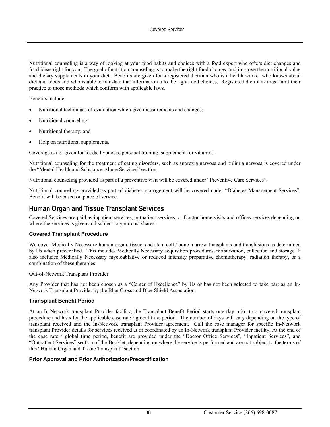Nutritional counseling is a way of looking at your food habits and choices with a food expert who offers diet changes and food ideas right for you. The goal of nutrition counseling is to make the right food choices, and improve the nutritional value and dietary supplements in your diet. Benefits are given for a registered dietitian who is a health worker who knows about diet and foods and who is able to translate that information into the right food choices. Registered dietitians must limit their practice to those methods which conform with applicable laws.

Benefits include:

- Nutritional techniques of evaluation which give measurements and changes;
- Nutritional counseling;
- Nutritional therapy; and
- Help on nutritional supplements.

Coverage is not given for foods, hypnosis, personal training, supplements or vitamins.

Nutritional counseling for the treatment of eating disorders, such as anorexia nervosa and bulimia nervosa is covered under the "Mental Health and Substance Abuse Services" section.

Nutritional counseling provided as part of a preventive visit will be covered under "Preventive Care Services".

Nutritional counseling provided as part of diabetes management will be covered under "Diabetes Management Services". Benefit will be based on place of service.

# **Human Organ and Tissue Transplant Services**

Covered Services are paid as inpatient services, outpatient services, or Doctor home visits and offices services depending on where the services is given and subject to your cost shares.

#### **Covered Transplant Procedure**

We cover Medically Necessary human organ, tissue, and stem cell / bone marrow transplants and transfusions as determined by Us when precertified. This includes Medically Necessary acquisition procedures, mobilization, collection and storage. It also includes Medically Necessary myeloablative or reduced intensity preparative chemotherapy, radiation therapy, or a combination of these therapies

Out-of-Network Transplant Provider

Any Provider that has not been chosen as a "Center of Excellence" by Us or has not been selected to take part as an In-Network Transplant Provider by the Blue Cross and Blue Shield Association.

#### **Transplant Benefit Period**

At an In-Network transplant Provider facility, the Transplant Benefit Period starts one day prior to a covered transplant procedure and lasts for the applicable case rate / global time period. The number of days will vary depending on the type of transplant received and the In-Network transplant Provider agreement. Call the case manager for specific In-Network transplant Provider details for services received at or coordinated by an In-Network transplant Provider facility. At the end of the case rate / global time period, benefit are provided under the "Doctor Office Services", "Inpatient Services", and "Outpatient Services" section of the Booklet, depending on where the service is performed and are not subject to the terms of this "Human Organ and Tissue Transplant" section.

#### **Prior Approval and Prior Authorization/Precertification**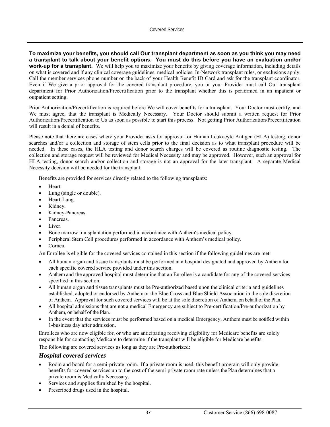**To maximize your benefits, you should call Our transplant department as soon as you think you may need a transplant to talk about your benefit options**. **You must do this before you have an evaluation and/or work-up for a transplant.** We will help you to maximize your benefits by giving coverage information, including details on what is covered and if any clinical coverage guidelines, medical policies, In-Network transplant rules, or exclusions apply. Call the member services phone number on the back of your Health Benefit ID Card and ask for the transplant coordinator. Even if We give a prior approval for the covered transplant procedure, you or your Provider must call Our transplant department for Prior Authorization/Precertification prior to the transplant whether this is performed in an inpatient or outpatient setting.

Prior Authorization/Precertification is required before We will cover benefits for a transplant. Your Doctor must certify, and We must agree, that the transplant is Medically Necessary. Your Doctor should submit a written request for Prior Authorization/Precertification to Us as soon as possible to start this process. Not getting Prior Authorization/Precertification will result in a denial of benefits.

Please note that there are cases where your Provider asks for approval for Human Leukocyte Antigen (HLA) testing, donor searches and/or a collection and storage of stem cells prior to the final decision as to what transplant procedure will be needed. In these cases, the HLA testing and donor search charges will be covered as routine diagnostic testing. The collection and storage request will be reviewed for Medical Necessity and may be approved. However, such an approval for HLA testing, donor search and/or collection and storage is not an approval for the later transplant. A separate Medical Necessity decision will be needed for the transplant.

Benefits are provided for services directly related to the following transplants:

- Heart.
- Lung (single or double).
- Heart-Lung.
- Kidney.
- Kidney-Pancreas.
- Pancreas.
- Liver.
- Bone marrow transplantation performed in accordance with Anthem's medical policy.
- Peripheral Stem Cell procedures performed in accordance with Anthem's medical policy.
- Cornea.

An Enrollee is eligible for the covered services contained in this section if the following guidelines are met:

- All human organ and tissue transplants must be performed at a hospital designated and approved by Anthem for each specific covered service provided under this section.
- Anthem and the approved hospital must determine that an Enrollee is a candidate for any of the covered services specified in this section.
- All human organ and tissue transplants must be Pre-authorized based upon the clinical criteria and guidelines established, adopted or endorsed by Anthem or the Blue Cross and Blue Shield Association in the sole discretion of Anthem. Approval for such covered services will be at the sole discretion of Anthem, on behalf of the Plan.
- All hospital admissions that are not a medical Emergency are subject to Pre-certification/Pre-authorization by Anthem, on behalf of the Plan.
- In the event that the services must be performed based on a medical Emergency, Anthem must be notified within 1-business day after admission.

Enrollees who are now eligible for, or who are anticipating receiving eligibility for Medicare benefits are solely responsible for contacting Medicare to determine if the transplant will be eligible for Medicare benefits.

The following are covered services as long as they are Pre-authorized:

#### *Hospital covered services*

- Room and board for a semi-private room. If a private room is used, this benefit program will only provide benefits for covered services up to the cost of the semi-private room rate unless the Plan determines that a private room is Medically Necessary.
- Services and supplies furnished by the hospital.
- Prescribed drugs used in the hospital.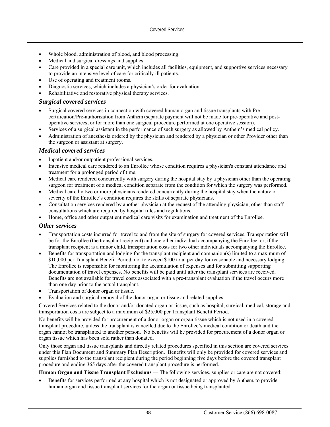- Whole blood, administration of blood, and blood processing.
- Medical and surgical dressings and supplies.
- Care provided in a special care unit, which includes all facilities, equipment, and supportive services necessary to provide an intensive level of care for critically ill patients.
- Use of operating and treatment rooms.
- Diagnostic services, which includes a physician's order for evaluation.
- Rehabilitative and restorative physical therapy services.

## *Surgical covered services*

- Surgical covered services in connection with covered human organ and tissue transplants with Precertification/Pre-authorization from Anthem (separate payment will not be made for pre-operative and postoperative services, or for more than one surgical procedure performed at one operative session).
- Services of a surgical assistant in the performance of such surgery as allowed by Anthem's medical policy.
- Administration of anesthesia ordered by the physician and rendered by a physician or other Provider other than the surgeon or assistant at surgery.

### *Medical covered services*

- Inpatient and/or outpatient professional services.
- Intensive medical care rendered to an Enrollee whose condition requires a physician's constant attendance and treatment for a prolonged period of time.
- Medical care rendered concurrently with surgery during the hospital stay by a physician other than the operating surgeon for treatment of a medical condition separate from the condition for which the surgery was performed.
- Medical care by two or more physicians rendered concurrently during the hospital stay when the nature or severity of the Enrollee's condition requires the skills of separate physicians.
- Consultation services rendered by another physician at the request of the attending physician, other than staff consultations which are required by hospital rules and regulations.
- Home, office and other outpatient medical care visits for examination and treatment of the Enrollee.

### *Other services*

- Transportation costs incurred for travel to and from the site of surgery for covered services. Transportation will be for the Enrollee (the transplant recipient) and one other individual accompanying the Enrollee, or, if the transplant recipient is a minor child, transportation costs for two other individuals accompanying the Enrollee.
- Benefits for transportation and lodging for the transplant recipient and companion(s) limited to a maximum of \$10,000 per Transplant Benefit Period, not to exceed \$100 total per day for reasonable and necessary lodging. The Enrollee is responsible for monitoring the accumulation of expenses and for submitting supporting documentation of travel expenses. No benefits will be paid until after the transplant services are received. Benefits are not available for travel costs associated with a pre-transplant evaluation if the travel occurs more than one day prior to the actual transplant.
- Transportation of donor organ or tissue.
- Evaluation and surgical removal of the donor organ or tissue and related supplies.

Covered Services related to the donor and/or donated organ or tissue, such as hospital, surgical, medical, storage and transportation costs are subject to a maximum of \$25,000 per Transplant Benefit Period.

No benefits will be provided for procurement of a donor organ or organ tissue which is not used in a covered transplant procedure, unless the transplant is cancelled due to the Enrollee's medical condition or death and the organ cannot be transplanted to another person. No benefits will be provided for procurement of a donor organ or organ tissue which has been sold rather than donated.

Only those organ and tissue transplants and directly related procedures specified in this section are covered services under this Plan Document and Summary Plan Description. Benefits will only be provided for covered services and supplies furnished to the transplant recipient during the period beginning five days before the covered transplant procedure and ending 365 days after the covered transplant procedure is performed.

#### Human Organ and Tissue Transplant Exclusions — The following services, supplies or care are not covered:

 Benefits for services performed at any hospital which is not designated or approved by Anthem, to provide human organ and tissue transplant services for the organ or tissue being transplanted.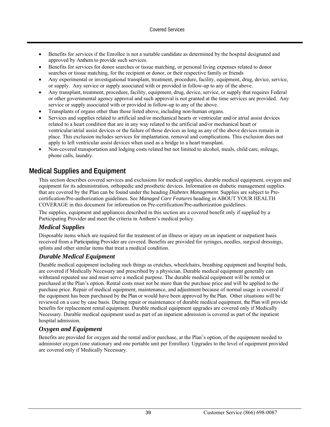- Benefits for services if the Enrollee is not a suitable candidate as determined by the hospital designated and approved by Anthem to provide such services.
- Benefits for services for donor searches or tissue matching, or personal living expenses related to donor searches or tissue matching, for the recipient or donor, or their respective family or friends
- Any experimental or investigational transplant, treatment, procedure, facility, equipment, drug, device, service, or supply. Any service or supply associated with or provided in follow-up to any of the above.
- Any transplant, treatment, procedure, facility, equipment, drug, device, service, or supply that requires Federal or other governmental agency approval and such approval is not granted at the time services are provided. Any service or supply associated with or provided in follow-up to any of the above.
- Transplants of organs other than those listed above, including non-human organs.
- Services and supplies related to artificial and/or mechanical hearts or ventricular and/or atrial assist devices related to a heart condition that are in any way related to the artificial and/or mechanical heart or ventricular/atrial assist devices or the failure of those devices as long as any of the above devices remain in place. This exclusion includes services for implantation, removal and complications. This exclusion does not apply to left ventricular assist devices when used as a bridge to a heart transplant.
- Non-covered transportation and lodging costs related but not limited to alcohol, meals, child care, mileage, phone calls, laundry.

# **Medical Supplies and Equipment**

This section describes covered services and exclusions for medical supplies, durable medical equipment, oxygen and equipment for its administration, orthopedic and prosthetic devices. Information on diabetic management supplies that are covered by the Plan can be found under the heading *Diabetes Management*. Supplies are subject to Precertification/Pre-authorization guidelines. See *Managed Care Features* heading in ABOUT YOUR HEALTH COVERAGE in this document for information on Pre-certification/Pre-authorization guidelines.

The supplies, equipment and appliances described in this section are a covered benefit only if supplied by a Participating Provider and meet the criteria in Anthem's medical policy.

### *Medical Supplies*

Disposable items which are required for the treatment of an illness or injury on an inpatient or outpatient basis received from a Participating Provider are covered. Benefits are provided for syringes, needles, surgical dressings, splints and other similar items that treat a medical condition.

### *Durable Medical Equipment*

Durable medical equipment including such things as crutches, wheelchairs, breathing equipment and hospital beds, are covered if Medically Necessary and prescribed by a physician. Durable medical equipment generally can withstand repeated use and must serve a medical purpose. The durable medical equipment will be rented or purchased at the Plan's option. Rental costs must not be more than the purchase price and will be applied to the purchase price. Repair of medical equipment, maintenance, and adjustment because of normal usage is covered if the equipment has been purchased by the Plan or would have been approved by the Plan. Other situations will be reviewed on a case by case basis. During repair or maintenance of durable medical equipment, the Plan will provide benefits for replacement rental equipment. Durable medical equipment upgrades are covered only if Medically Necessary. Durable medical equipment used as part of an inpatient admission is covered as part of the inpatient hospital admission.

### *Oxygen and Equipment*

Benefits are provided for oxygen and the rental and/or purchase, at the Plan's option, of the equipment needed to administer oxygen (one stationary and one portable unit per Enrollee). Upgrades to the level of equipment provided are covered only if Medically Necessary.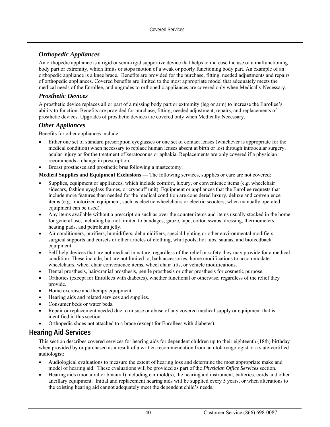## *Orthopedic Appliances*

An orthopedic appliance is a rigid or semi-rigid supportive device that helps to increase the use of a malfunctioning body part or extremity, which limits or stops motion of a weak or poorly functioning body part. An example of an orthopedic appliance is a knee brace. Benefits are provided for the purchase, fitting, needed adjustments and repairs of orthopedic appliances. Covered benefits are limited to the most appropriate model that adequately meets the medical needs of the Enrollee, and upgrades to orthopedic appliances are covered only when Medically Necessary.

### *Prosthetic Devices*

A prosthetic device replaces all or part of a missing body part or extremity (leg or arm) to increase the Enrollee's ability to function. Benefits are provided for purchase, fitting, needed adjustment, repairs, and replacements of prosthetic devices. Upgrades of prosthetic devices are covered only when Medically Necessary.

#### *Other Appliances*

Benefits for other appliances include:

- Either one set of standard prescription eyeglasses or one set of contact lenses (whichever is appropriate for the medical condition) when necessary to replace human lenses absent at birth or lost through intraocular surgery, ocular injury or for the treatment of keratoconus or aphakia. Replacements are only covered if a physician recommends a change in prescription.
- Breast prostheses and prosthetic bras following a mastectomy.

**Medical Supplies and Equipment Exclusions** *—* The following services, supplies or care are not covered:

- Supplies, equipment or appliances, which include comfort, luxury, or convenience items (e.g. wheelchair sidecars, fashion eyeglass frames, or cryocuff unit). Equipment or appliances that the Enrollee requests that include more features than needed for the medical condition are considered luxury, deluxe and convenience items (e.g., motorized equipment, such as electric wheelchairs or electric scooters, when manually operated equipment can be used).
- Any items available without a prescription such as over the counter items and items usually stocked in the home for general use, including but not limited to bandages, gauze, tape, cotton swabs, dressing, thermometers, heating pads, and petroleum jelly.
- Air conditioners, purifiers, humidifiers, dehumidifiers, special lighting or other environmental modifiers, surgical supports and corsets or other articles of clothing, whirlpools, hot tubs, saunas, and biofeedback equipment.
- Self-help devices that are not medical in nature, regardless of the relief or safety they may provide for a medical condition. These include, but are not limited to, bath accessories, home modifications to accommodate wheelchairs, wheel chair convenience items, wheel chair lifts, or vehicle modifications.
- Dental prosthesis, hair/cranial prosthesis, penile prosthesis or other prosthesis for cosmetic purpose.
- Orthotics (except for Enrollees with diabetes), whether functional or otherwise, regardless of the relief they provide.
- Home exercise and therapy equipment.
- Hearing aids and related services and supplies.
- Consumer beds or water beds.
- Repair or replacement needed due to misuse or abuse of any covered medical supply or equipment that is identified in this section.
- Orthopedic shoes not attached to a brace (except for Enrollees with diabetes).

# **Hearing Aid Services**

This section describes covered services for hearing aids for dependent children up to their eighteenth (18th) birthday when provided by or purchased as a result of a written recommendation from an otolaryngologist or a state-certified audiologist:

- Audiological evaluations to measure the extent of hearing loss and determine the most appropriate make and model of hearing aid. These evaluations will be provided as part of the *Physician Office Services* section.
- Hearing aids (monaural or binaural) including ear mold(s), the hearing aid instrument, batteries, cords and other ancillary equipment. Initial and replacement hearing aids will be supplied every 5 years, or when alterations to the existing hearing aid cannot adequately meet the dependent child's needs.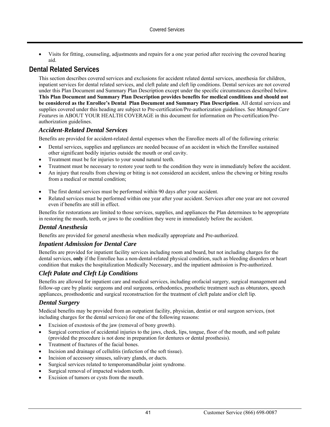Visits for fitting, counseling, adjustments and repairs for a one year period after receiving the covered hearing aid.

# **Dental Related Services**

This section describes covered services and exclusions for accident related dental services, anesthesia for children, inpatient services for dental related services, and cleft palate and cleft lip conditions. Dental services are not covered under this Plan Document and Summary Plan Description except under the specific circumstances described below. **This Plan Document and Summary Plan Description provides benefits for medical conditions and should not be considered as the Enrollee's Dental Plan Document and Summary Plan Description**. All dental services and supplies covered under this heading are subject to Pre-certification/Pre-authorization guidelines. See *Managed Care Features* in ABOUT YOUR HEALTH COVERAGE in this document for information on Pre-certification/Preauthorization guidelines.

## *Accident-Related Dental Services*

Benefits are provided for accident-related dental expenses when the Enrollee meets all of the following criteria:

- Dental services, supplies and appliances are needed because of an accident in which the Enrollee sustained other significant bodily injuries outside the mouth or oral cavity.
- Treatment must be for injuries to your sound natural teeth.
- Treatment must be necessary to restore your teeth to the condition they were in immediately before the accident.
- An injury that results from chewing or biting is not considered an accident, unless the chewing or biting results from a medical or mental condition;
- The first dental services must be performed within 90 days after your accident.
- Related services must be performed within one year after your accident. Services after one year are not covered even if benefits are still in effect.

Benefits for restorations are limited to those services, supplies, and appliances the Plan determines to be appropriate in restoring the mouth, teeth, or jaws to the condition they were in immediately before the accident.

### *Dental Anesthesia*

Benefits are provided for general anesthesia when medically appropriate and Pre-authorized.

### *Inpatient Admission for Dental Care*

Benefits are provided for inpatient facility services including room and board, but not including charges for the dental services, **only** if the Enrollee has a non-dental-related physical condition, such as bleeding disorders or heart condition that makes the hospitalization Medically Necessary, and the inpatient admission is Pre-authorized.

## *Cleft Palate and Cleft Lip Conditions*

Benefits are allowed for inpatient care and medical services, including orofacial surgery, surgical management and follow-up care by plastic surgeons and oral surgeons, orthodontics, prosthetic treatment such as obturators, speech appliances, prosthodontic and surgical reconstruction for the treatment of cleft palate and/or cleft lip.

### *Dental Surgery*

Medical benefits may be provided from an outpatient facility, physician, dentist or oral surgeon services, (not including charges for the dental services) for one of the following reasons:

- Excision of exostosis of the jaw (removal of bony growth).
- Surgical correction of accidental injuries to the jaws, cheek, lips, tongue, floor of the mouth, and soft palate (provided the procedure is not done in preparation for dentures or dental prosthesis).
- Treatment of fractures of the facial bones.
- Incision and drainage of cellulitis (infection of the soft tissue).
- Incision of accessory sinuses, salivary glands, or ducts.
- Surgical services related to temporomandibular joint syndrome.
- Surgical removal of impacted wisdom teeth.
- Excision of tumors or cysts from the mouth.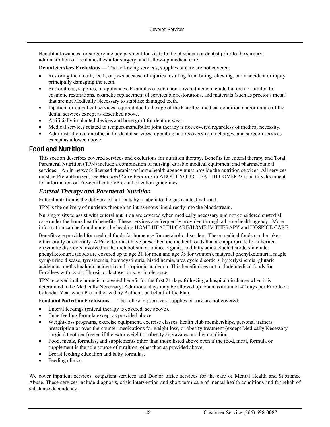Benefit allowances for surgery include payment for visits to the physician or dentist prior to the surgery, administration of local anesthesia for surgery, and follow-up medical care.

**Dental Services Exclusions —** The following services, supplies or care are not covered:

- Restoring the mouth, teeth, or jaws because of injuries resulting from biting, chewing, or an accident or injury principally damaging the teeth.
- Restorations, supplies, or appliances. Examples of such non-covered items include but are not limited to: cosmetic restorations, cosmetic replacement of serviceable restorations, and materials (such as precious metal) that are not Medically Necessary to stabilize damaged teeth.
- Inpatient or outpatient services required due to the age of the Enrollee, medical condition and/or nature of the dental services except as described above.
- Artificially implanted devices and bone graft for denture wear.
- Medical services related to temporomandibular joint therapy is not covered regardless of medical necessity.
- Administration of anesthesia for dental services, operating and recovery room charges, and surgeon services except as allowed above.

# **Food and Nutrition**

This section describes covered services and exclusions for nutrition therapy. Benefits for enteral therapy and Total Parenteral Nutrition (TPN) include a combination of nursing, durable medical equipment and pharmaceutical services. An in-network licensed therapist or home health agency must provide the nutrition services. All services must be Pre-authorized, see *Managed Care Features* in ABOUT YOUR HEALTH COVERAGE in this document for information on Pre-certification/Pre-authorization guidelines.

### *Enteral Therapy and Parenteral Nutrition*

Enteral nutrition is the delivery of nutrients by a tube into the gastrointestinal tract.

TPN is the delivery of nutrients through an intravenous line directly into the bloodstream.

Nursing visits to assist with enteral nutrition are covered when medically necessary and not considered custodial care under the home health benefits. These services are frequently provided through a home health agency. More information can be found under the heading HOME HEALTH CARE/HOME IV THERAPY and HOSPICE CARE.

Benefits are provided for medical foods for home use for metabolic disorders. These medical foods can be taken either orally or enterally. A Provider must have prescribed the medical foods that are appropriate for inherited enzymatic disorders involved in the metabolism of amino, organic, and fatty acids. Such disorders include: phenylketonuria (foods are covered up to age 21 for men and age 35 for women), maternal phenylketonuria, maple syrup urine disease, tyrosinemia, homocystinuria, histidinemia, urea cycle disorders, hyperlysinemia, glutaric acidemias, methylmalonic acidemia and propionic acidemia. This benefit does not include medical foods for Enrollees with cystic fibrosis or lactose- or soy- intolerance.

TPN received in the home is a covered benefit for the first 21 days following a hospital discharge when it is determined to be Medically Necessary. Additional days may be allowed up to a maximum of 42 days per Enrollee's Calendar Year when Pre-authorized by Anthem, on behalf of the Plan.

**Food and Nutrition Exclusions —** The following services, supplies or care are not covered:

- Enteral feedings (enteral therapy is covered, see above).
- Tube feeding formula except as provided above.
- Weight-loss programs, exercise equipment, exercise classes, health club memberships, personal trainers, prescription or over-the-counter medications for weight loss, or obesity treatment (except Medically Necessary surgical treatment) even if the extra weight or obesity aggravates another condition.
- Food, meals, formulas, and supplements other than those listed above even if the food, meal, formula or supplement is the sole source of nutrition, other than as provided above.
- Breast feeding education and baby formulas.
- Feeding clinics.

We cover inpatient services, outpatient services and Doctor office services for the care of Mental Health and Substance Abuse. These services include diagnosis, crisis intervention and short-term care of mental health conditions and for rehab of substance dependency.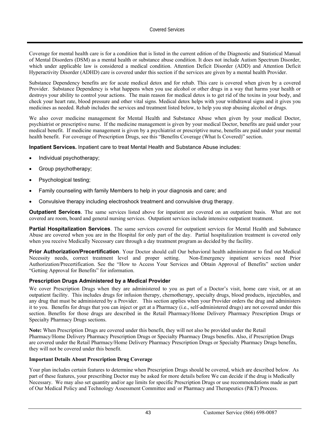Coverage for mental health care is for a condition that is listed in the current edition of the Diagnostic and Statistical Manual of Mental Disorders (DSM) as a mental health or substance abuse condition. It does not include Autism Spectrum Disorder, which under applicable law is considered a medical condition. Attention Deficit Disorder (ADD) and Attention Deficit Hyperactivity Disorder (ADHD) care is covered under this section if the services are given by a mental health Provider.

Substance Dependency benefits are for acute medical detox and for rehab. This care is covered when given by a covered Provider. Substance Dependency is what happens when you use alcohol or other drugs in a way that harms your health or destroys your ability to control your actions. The main reason for medical detox is to get rid of the toxins in your body, and check your heart rate, blood pressure and other vital signs. Medical detox helps with your withdrawal signs and it gives you medicines as needed. Rehab includes the services and treatment listed below, to help you stop abusing alcohol or drugs.

We also cover medicine management for Mental Health and Substance Abuse when given by your medical Doctor, psychiatrist or prescriptive nurse. If the medicine management is given by your medical Doctor, benefits are paid under your medical benefit. If medicine management is given by a psychiatrist or prescriptive nurse, benefits are paid under your mental health benefit. For coverage of Prescription Drugs, see this "Benefits Coverage (What Is Covered)" section.

**Inpatient Services.** Inpatient care to treat Mental Health and Substance Abuse includes:

- Individual psychotherapy;
- Group psychotherapy;
- Psychological testing;
- Family counseling with family Members to help in your diagnosis and care; and
- Convulsive therapy including electroshock treatment and convulsive drug therapy.

**Outpatient Services**. The same services listed above for inpatient are covered on an outpatient basis. What are not covered are room, board and general nursing services. Outpatient services include intensive outpatient treatment.

**Partial Hospitalization Services**. The same services covered for outpatient services for Mental Health and Substance Abuse are covered when you are in the Hospital for only part of the day. Partial hospitalization treatment is covered only when you receive Medically Necessary care through a day treatment program as decided by the facility.

**Prior Authorization/Precertification**. Your Doctor should call Our behavioral health administrator to find out Medical Necessity needs, correct treatment level and proper setting. Non-Emergency inpatient services need Prior Authorization/Precertification. See the "How to Access Your Services and Obtain Approval of Benefits" section under "Getting Approval for Benefits" for information.

#### **Prescription Drugs Administered by a Medical Provider**

We cover Prescription Drugs when they are administered to you as part of a Doctor's visit, home care visit, or at an outpatient facility. This includes drugs for infusion therapy, chemotherapy, specialty drugs, blood products, injectables, and any drug that must be administered by a Provider. This section applies when your Provider orders the drug and administers it to you. Benefits for drugs that you can inject or get at a Pharmacy (i.e., self-administered drugs) are not covered under this section. Benefits for those drugs are described in the Retail Pharmacy/Home Delivery Pharmacy Prescription Drugs or Specialty Pharmacy Drugs sections.

**Note:** When Prescription Drugs are covered under this benefit, they will not also be provided under the Retail Pharmacy/Home Delivery Pharmacy Prescription Drugs or Specialty Pharmacy Drugs benefits. Also, if Prescription Drugs are covered under the Retail Pharmacy/Home Delivery Pharmacy Prescription Drugs or Specialty Pharmacy Drugs benefits, they will not be covered under this benefit.

#### **Important Details About Prescription Drug Coverage**

Your plan includes certain features to determine when Prescription Drugs should be covered, which are described below. As part of these features, your prescribing Doctor may be asked for more details before We can decide if the drug is Medically Necessary. We may also set quantity and/or age limits for specific Prescription Drugs or use recommendations made as part of Our Medical Policy and Technology Assessment Committee and/ or Pharmacy and Therapeutics (P&T) Process.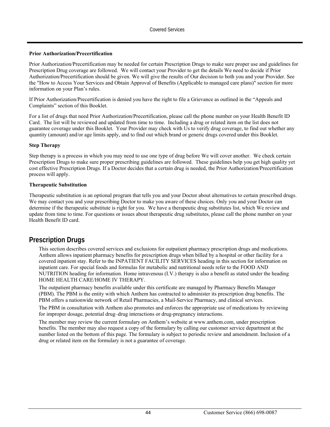#### **Prior Authorization/Precertification**

Prior Authorization/Precertification may be needed for certain Prescription Drugs to make sure proper use and guidelines for Prescription Drug coverage are followed. We will contact your Provider to get the details We need to decide if Prior Authorization/Precertification should be given. We will give the results of Our decision to both you and your Provider. See the "How to Access Your Services and Obtain Approval of Benefits (Applicable to managed care plans)" section for more information on your Plan's rules.

If Prior Authorization/Precertification is denied you have the right to file a Grievance as outlined in the "Appeals and Complaints" section of this Booklet.

For a list of drugs that need Prior Authorization/Precertification, please call the phone number on your Health Benefit ID Card. The list will be reviewed and updated from time to time. Including a drug or related item on the list does not guarantee coverage under this Booklet. Your Provider may check with Us to verify drug coverage, to find out whether any quantity (amount) and/or age limits apply, and to find out which brand or generic drugs covered under this Booklet.

#### **Step Therapy**

Step therapy is a process in which you may need to use one type of drug before We will cover another. We check certain Prescription Drugs to make sure proper prescribing guidelines are followed. These guidelines help you get high quality yet cost effective Prescription Drugs. If a Doctor decides that a certain drug is needed, the Prior Authorization/Precertification process will apply.

#### **Therapeutic Substitution**

Therapeutic substitution is an optional program that tells you and your Doctor about alternatives to certain prescribed drugs. We may contact you and your prescribing Doctor to make you aware of these choices. Only you and your Doctor can determine if the therapeutic substitute is right for you. We have a therapeutic drug substitutes list, which We review and update from time to time. For questions or issues about therapeutic drug substitutes, please call the phone number on your Health Benefit ID card.

# **Prescription Drugs**

This section describes covered services and exclusions for outpatient pharmacy prescription drugs and medications. Anthem allows inpatient pharmacy benefits for prescription drugs when billed by a hospital or other facility for a covered inpatient stay. Refer to the INPATIENT FACILITY SERVICES heading in this section for information on inpatient care. For special foods and formulas for metabolic and nutritional needs refer to the FOOD AND NUTRITION heading for information. Home intravenous (I.V.) therapy is also a benefit as stated under the heading HOME HEALTH CARE/HOME IV THERAPY.

The outpatient pharmacy benefits available under this certificate are managed by Pharmacy Benefits Manager (PBM). The PBM is the entity with which Anthem has contracted to administer its prescription drug benefits. The PBM offers a nationwide network of Retail Pharmacies, a Mail-Service Pharmacy, and clinical services.

The PBM in consultation with Anthem also promotes and enforces the appropriate use of medications by reviewing for improper dosage, potential drug–drug interactions or drug-pregnancy interactions.

The member may review the current formulary on Anthem's website at www.anthem.com, under prescription benefits. The member may also request a copy of the formulary by calling our customer service department at the number listed on the bottom of this page. The formulary is subject to periodic review and amendment. Inclusion of a drug or related item on the formulary is not a guarantee of coverage.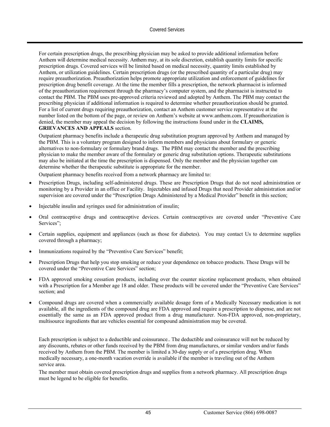For certain prescription drugs, the prescribing physician may be asked to provide additional information before Anthem will determine medical necessity. Anthem may, at its sole discretion, establish quantity limits for specific prescription drugs. Covered services will be limited based on medical necessity, quantity limits established by Anthem, or utilization guidelines. Certain prescription drugs (or the prescribed quantity of a particular drug) may require preauthorization. Preauthorization helps promote appropriate utilization and enforcement of guidelines for prescription drug benefit coverage. At the time the member fills a prescription, the network pharmacist is informed of the preauthorization requirement through the pharmacy's computer system, and the pharmacist is instructed to contact the PBM. The PBM uses pre-approved criteria reviewed and adopted by Anthem. The PBM may contact the prescribing physician if additional information is required to determine whether preauthorization should be granted. For a list of current drugs requiring preauthorization, contact an Anthem customer service representative at the number listed on the bottom of the page, or review on Anthem's website at www.anthem.com. If preauthorization is denied, the member may appeal the decision by following the instructions found under in the **CLAIMS, GRIEVANCES AND APPEALS** section*.*

Outpatient pharmacy benefits include a therapeutic drug substitution program approved by Anthem and managed by the PBM. This is a voluntary program designed to inform members and physicians about formulary or generic alternatives to non-formulary or formulary brand drugs. The PBM may contact the member and the prescribing physician to make the member aware of the formulary or generic drug substitution options. Therapeutic substitutions may also be initiated at the time the prescription is dispensed. Only the member and the physician together can determine whether the therapeutic substitute is appropriate for the member.

Outpatient pharmacy benefits received from a network pharmacy are limited to:

- Prescription Drugs, including self-administered drugs. These are Prescription Drugs that do not need administration or monitoring by a Provider in an office or Facility. Injectables and infused Drugs that need Provider administration and/or supervision are covered under the "Prescription Drugs Administered by a Medical Provider" benefit in this section;
- Injectable insulin and syringes used for administration of insulin;
- Oral contraceptive drugs and contraceptive devices. Certain contraceptives are covered under "Preventive Care Services";
- Certain supplies, equipment and appliances (such as those for diabetes). You may contact Us to determine supplies covered through a pharmacy;
- Immunizations required by the "Preventive Care Services" benefit;
- Prescription Drugs that help you stop smoking or reduce your dependence on tobacco products. These Drugs will be covered under the "Preventive Care Services" section;
- FDA approved smoking cessation products, including over the counter nicotine replacement products, when obtained with a Prescription for a Member age 18 and older. These products will be covered under the "Preventive Care Services" section; and
- Compound drugs are covered when a commercially available dosage form of a Medically Necessary medication is not available, all the ingredients of the compound drug are FDA approved and require a prescription to dispense, and are not essentially the same as an FDA approved product from a drug manufacturer. Non-FDA approved, non-proprietary, multisource ingredients that are vehicles essential for compound administration may be covered.

Each prescription is subject to a deductible and coinsurance.. The deductible and coinsurance will not be reduced by any discounts, rebates or other funds received by the PBM from drug manufactures, or similar vendors and/or funds received by Anthem from the PBM. The member is limited a 30-day supply or of a prescription drug. When medically necessary, a one-month vacation override is available if the member is traveling out of the Anthem service area.

The member must obtain covered prescription drugs and supplies from a network pharmacy. All prescription drugs must be legend to be eligible for benefits.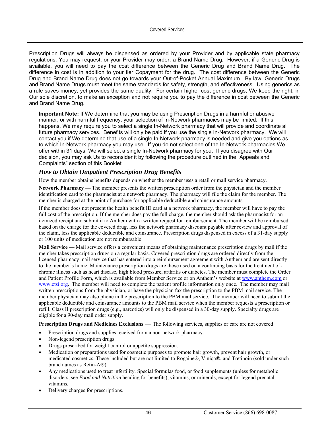Prescription Drugs will always be dispensed as ordered by your Provider and by applicable state pharmacy regulations. You may request, or your Provider may order, a Brand Name Drug. However, if a Generic Drug is available, you will need to pay the cost difference between the Generic Drug and Brand Name Drug. The difference in cost is in addition to your tier Copayment for the drug. The cost difference between the Generic Drug and Brand Name Drug does not go towards your Out-of-Pocket Annual Maximum. By law, Generic Drugs and Brand Name Drugs must meet the same standards for safety, strength, and effectiveness. Using generics as a rule saves money, yet provides the same quality. For certain higher cost generic drugs, We keep the right, in Our sole discretion, to make an exception and not require you to pay the difference in cost between the Generic and Brand Name Drug.

**Important Note:** If We determine that you may be using Prescription Drugs in a harmful or abusive manner, or with harmful frequency, your selection of In-Network pharmacies may be limited. If this happens, We may require you to select a single In-Network pharmacy that will provide and coordinate all future pharmacy services. Benefits will only be paid if you use the single In-Network pharmacy. We will contact you if We determine that use of a single In-Network pharmacy is needed and give you options as to which In-Network pharmacy you may use. If you do not select one of the In-Network pharmacies We offer within 31 days, We will select a single In-Network pharmacy for you. If you disagree with Our decision, you may ask Us to reconsider it by following the procedure outlined in the "Appeals and Complaints" section of this Booklet

### *How to Obtain Outpatient Prescription Drug Benefits*

How the member obtains benefits depends on whether the member uses a retail or mail service pharmacy.

**Network Pharmacy —** The member presents the written prescription order from the physician and the member identification card to the pharmacist at a network pharmacy. The pharmacy will file the claim for the member. The member is charged at the point of purchase for applicable deductible and coinsurance amounts.

If the member does not present the health benefit ID card at a network pharmacy, the member will have to pay the full cost of the prescription. If the member does pay the full charge, the member should ask the pharmacist for an itemized receipt and submit it to Anthem with a written request for reimbursement. The member will be reimbursed based on the charge for the covered drug, less the network pharmacy discount payable after review and approval of the claim, less the applicable deductible and coinsurance. Prescription drugs dispensed in excess of a 31-day supply or 100 units of medication are not reimbursable.

**Mail Service** — Mail service offers a convenient means of obtaining maintenance prescription drugs by mail if the member takes prescription drugs on a regular basis. Covered prescription drugs are ordered directly from the licensed pharmacy mail service that has entered into a reimbursement agreement with Anthem and are sent directly to the member's home. Maintenance prescription drugs are those used on a continuing basis for the treatment of a chronic illness such as heart disease, high blood pressure, arthritis or diabetes. The member must complete the Order and Patient Profile Form, which is available from Member Service or on Anthem's website at www.anthem.com or www.ctsi.org. The member will need to complete the patient profile information only once. The member may mail written prescriptions from the physician, or have the physician fax the prescription to the PBM mail service. The member physician may also phone in the prescription to the PBM mail service. The member will need to submit the applicable deductible and coinsurance amounts to the PBM mail service when the member requests a prescription or refill. Class II prescription drugs (e.g., narcotics) will only be dispensed in a 30-day supply. Specialty drugs are eligible for a 90-day mail order supply.

**Prescription Drugs and Medicines Exclusions — The following services, supplies or care are not covered:** 

- Prescription drugs and supplies received from a non-network pharmacy.
- Non-legend prescription drugs.
- Drugs prescribed for weight control or appetite suppression.
- Medication or preparations used for cosmetic purposes to promote hair growth, prevent hair growth, or medicated cosmetics. These included but are not limited to Rogaine®, Viniqa®, and Tretinoin (sold under such brand names as Retin-A®).
- Any medications used to treat infertility. Special formulas food, or food supplements (unless for metabolic disorders, see *Food and Nutrition* heading for benefits), vitamins, or minerals, except for legend prenatal vitamins.
- Delivery charges for prescriptions.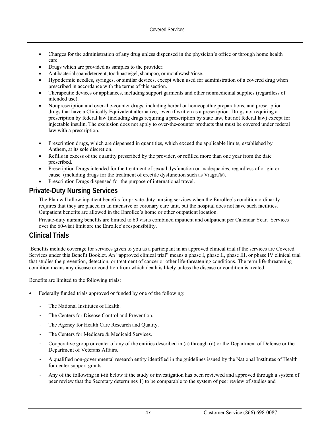- Charges for the administration of any drug unless dispensed in the physician's office or through home health care.
- Drugs which are provided as samples to the provider.
- Antibacterial soap/detergent, toothpaste/gel, shampoo, or mouthwash/rinse.
- Hypodermic needles, syringes, or similar devices, except when used for administration of a covered drug when prescribed in accordance with the terms of this section.
- Therapeutic devices or appliances, including support garments and other nonmedicinal supplies (regardless of intended use).
- Nonprescription and over-the-counter drugs, including herbal or homeopathic preparations, and prescription drugs that have a Clinically Equivalent alternative, even if written as a prescription. Drugs not requiring a prescription by federal law (including drugs requiring a prescription by state law, but not federal law) except for injectable insulin. The exclusion does not apply to over-the-counter products that must be covered under federal law with a prescription.
- Prescription drugs, which are dispensed in quantities, which exceed the applicable limits, established by Anthem, at its sole discretion.
- Refills in excess of the quantity prescribed by the provider, or refilled more than one year from the date prescribed.
- Prescription Drugs intended for the treatment of sexual dysfunction or inadequacies, regardless of origin or cause (including drugs for the treatment of erectile dysfunction such as Viagra®).
- Prescription Drugs dispensed for the purpose of international travel.

# **Private-Duty Nursing Services**

The Plan will allow inpatient benefits for private-duty nursing services when the Enrollee's condition ordinarily requires that they are placed in an intensive or coronary care unit, but the hospital does not have such facilities. Outpatient benefits are allowed in the Enrollee's home or other outpatient location.

Private-duty nursing benefits are limited to 60 visits combined inpatient and outpatient per Calendar Year. Services over the 60-visit limit are the Enrollee's responsibility.

# **Clinical Trials**

 Benefits include coverage for services given to you as a participant in an approved clinical trial if the services are Covered Services under this Benefit Booklet. An "approved clinical trial" means a phase I, phase II, phase III, or phase IV clinical trial that studies the prevention, detection, or treatment of cancer or other life-threatening conditions. The term life-threatening condition means any disease or condition from which death is likely unless the disease or condition is treated.

Benefits are limited to the following trials:

- Federally funded trials approved or funded by one of the following:
	- The National Institutes of Health.
	- The Centers for Disease Control and Prevention.
	- The Agency for Health Care Research and Quality.
	- The Centers for Medicare & Medicaid Services.
	- Cooperative group or center of any of the entities described in (a) through (d) or the Department of Defense or the Department of Veterans Affairs.
	- A qualified non-governmental research entity identified in the guidelines issued by the National Institutes of Health for center support grants.
	- Any of the following in i-iii below if the study or investigation has been reviewed and approved through a system of peer review that the Secretary determines 1) to be comparable to the system of peer review of studies and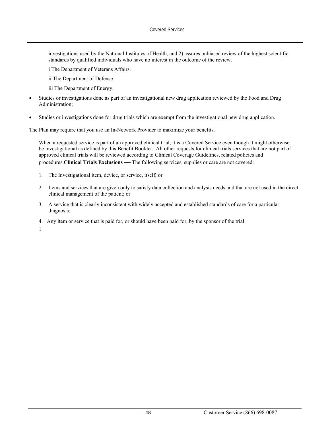investigations used by the National Institutes of Health, and 2) assures unbiased review of the highest scientific standards by qualified individuals who have no interest in the outcome of the review.

i The Department of Veterans Affairs.

ii The Department of Defense.

- iii The Department of Energy.
- Studies or investigations done as part of an investigational new drug application reviewed by the Food and Drug Administration;
- Studies or investigations done for drug trials which are exempt from the investigational new drug application.

The Plan may require that you use an In-Network Provider to maximize your benefits.

When a requested service is part of an approved clinical trial, it is a Covered Service even though it might otherwise be investigational as defined by this Benefit Booklet. All other requests for clinical trials services that are not part of approved clinical trials will be reviewed according to Clinical Coverage Guidelines, related policies and procedures.**Clinical Trials Exclusions** *—* The following services, supplies or care are not covered:

- 1. The Investigational item, device, or service, itself; or
- 2. Items and services that are given only to satisfy data collection and analysis needs and that are not used in the direct clinical management of the patient; or
- 3. A service that is clearly inconsistent with widely accepted and established standards of care for a particular diagnosis;
- 4. Any item or service that is paid for, or should have been paid for, by the sponsor of the trial.

1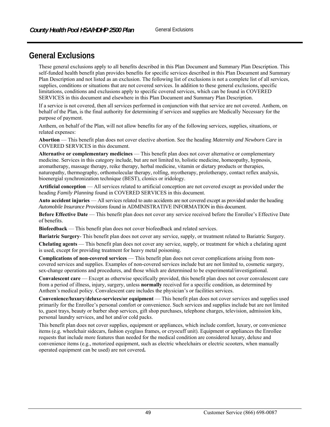# **General Exclusions**

These general exclusions apply to all benefits described in this Plan Document and Summary Plan Description. This self-funded health benefit plan provides benefits for specific services described in this Plan Document and Summary Plan Description and not listed as an exclusion. The following list of exclusions is not a complete list of all services, supplies, conditions or situations that are not covered services. In addition to these general exclusions, specific limitations, conditions and exclusions apply to specific covered services, which can be found in COVERED SERVICES in this document and elsewhere in this Plan Document and Summary Plan Description.

If a service is not covered, then all services performed in conjunction with that service are not covered. Anthem, on behalf of the Plan, is the final authority for determining if services and supplies are Medically Necessary for the purpose of payment.

Anthem, on behalf of the Plan, will not allow benefits for any of the following services, supplies, situations, or related expenses:

**Abortion** — This benefit plan does not cover elective abortion. See the heading *Maternity and Newborn Care* in COVERED SERVICES in this document.

**Alternative or complementary medicines** — This benefit plan does not cover alternative or complementary medicine. Services in this category include, but are not limited to, holistic medicine, homeopathy, hypnosis, aromatherapy, massage therapy, reike therapy, herbal medicine, vitamin or dietary products or therapies, naturopathy, thermography, orthomolecular therapy, rolfing, myotherapy, prolotherapy, contact reflex analysis, bioenergial synchronization technique (BEST), clonics or iridology.

**Artificial conception** — All services related to artificial conception are not covered except as provided under the heading *Family Planning* found in COVERED SERVICES in this document.

**Auto accident injuries** — All services related to auto accidents are not covered except as provided under the heading *Automobile Insurance Provisions* found in ADMINISTRATIVE INFORMATION in this document.

**Before Effective Date** — This benefit plan does not cover any service received before the Enrollee's Effective Date of benefits.

**Biofeedback** — This benefit plan does not cover biofeedback and related services.

**Bariatric Surgery**- This benefit plan does not cover any service, supply, or treatment related to Bariatric Surgery.

**Chelating agents** — This benefit plan does not cover any service, supply, or treatment for which a chelating agent is used, except for providing treatment for heavy metal poisoning.

**Complications of non-covered services** — This benefit plan does not cover complications arising from noncovered services and supplies. Examples of non-covered services include but are not limited to, cosmetic surgery, sex-change operations and procedures, and those which are determined to be experimental/investigational.

**Convalescent care** — Except as otherwise specifically provided, this benefit plan does not cover convalescent care from a period of illness, injury, surgery, unless **normally** received for a specific condition, as determined by Anthem's medical policy. Convalescent care includes the physician's or facilities services.

**Convenience/luxury/deluxe-services/or equipment** — This benefit plan does not cover services and supplies used primarily for the Enrollee's personal comfort or convenience. Such services and supplies include but are not limited to, guest trays, beauty or barber shop services, gift shop purchases, telephone charges, television, admission kits, personal laundry services, and hot and/or cold packs.

This benefit plan does not cover supplies, equipment or appliances, which include comfort, luxury, or convenience items (e.g. wheelchair sidecars, fashion eyeglass frames, or cryocuff unit). Equipment or appliances the Enrollee requests that include more features than needed for the medical condition are considered luxury, deluxe and convenience items (e.g., motorized equipment, such as electric wheelchairs or electric scooters, when manually operated equipment can be used) are not covered**.**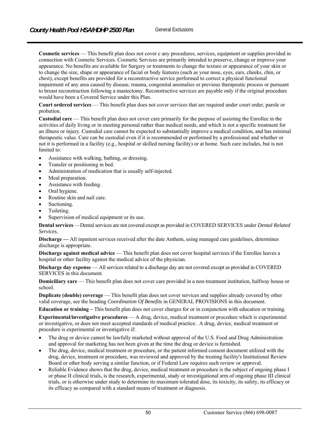**Cosmetic services** — This benefit plan does not cover c any procedures, services, equipment or supplies provided in connection with Cosmetic Services. Cosmetic Services are primarily intended to preserve, change or improve your appearance. No benefits are available for Surgery or treatments to change the texture or appearance of your skin or to change the size, shape or appearance of facial or body features (such as your nose, eyes, ears, cheeks, chin, or chest), except benefits are provided for a reconstructive service performed to correct a physical functional impairment of any area caused by disease, trauma, congenital anomalies or previous therapeutic process or pursuant to breast reconstruction following a mastectomy. Reconstructive services are payable only if the original procedure would have been a Covered Service under this Plan.

**Court ordered services** — This benefit plan does not cover services that are required under court order, parole or probation.

**Custodial care** — This benefit plan does not cover care primarily for the purpose of assisting the Enrollee in the activities of daily living or in meeting personal rather than medical needs, and which is not a specific treatment for an illness or injury. Custodial care cannot be expected to substantially improve a medical condition, and has minimal therapeutic value. Care can be custodial even if it is recommended or performed by a professional and whether or not it is performed in a facility (e.g., hospital or skilled nursing facility) or at home. Such care includes, but is not limited to:

- Assistance with walking, bathing, or dressing.
- Transfer or positioning in bed.
- Administration of medication that is usually self-injected.
- Meal preparation.
- Assistance with feeding.
- Oral hygiene.
- Routine skin and nail care.
- Suctioning.
- Toileting.
- Supervision of medical equipment or its use.

**Dental services** —Dental services are not covered except as provided in COVERED SERVICES under *Dental Related Services*.

**Discharge —** All inpatient services received after the date Anthem, using managed care guidelines, determines discharge is appropriate.

**Discharge against medical advice** — This benefit plan does not cover hospital services if the Enrollee leaves a hospital or other facility against the medical advice of the physician.

**Discharge day expense** — All services related to a discharge day are not covered except as provided in COVERED SERVICES in this document.

**Domiciliary care** — This benefit plan does not cover care provided in a non-treatment institution, halfway house or school.

**Duplicate (double) coverage** — This benefit plan does not cover services and supplies already covered by other valid coverage, see the heading *Coordination Of Benefits* in GENERAL PROVISIONS in this document.

**Education or training –** This benefit plan does not cover charges for or in conjunction with education or training.

**Experimental/investigative procedures** — A drug, device, medical treatment or procedure which is experimental or investigative, or does not meet accepted standards of medical practice. A drug, device, medical treatment or procedure is experimental or investigative if:

- The drug or device cannot be lawfully marketed without approval of the U.S. Food and Drug Administration and approval for marketing has not been given at the time the drug or device is furnished.
- The drug, device, medical treatment or procedure, or the patient informed consent document utilized with the drug, device, treatment or procedure, was reviewed and approved by the treating facility's Institutional Review Board or other body serving a similar function, or if Federal Law requires such review or approval.
- Reliable Evidence shows that the drug, device, medical treatment or procedure is the subject of ongoing phase I or phase II clinical trials, is the research, experimental, study or investigational arm of ongoing phase III clinical trials, or is otherwise under study to determine its maximum tolerated dose, its toxicity, its safety, its efficacy or its efficacy as compared with a standard means of treatment or diagnosis.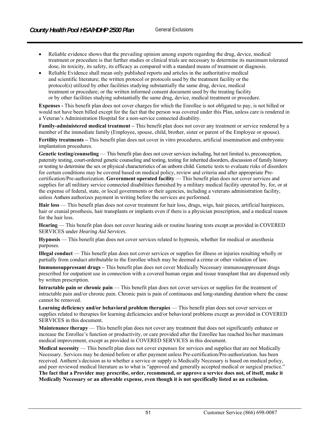- Reliable evidence shows that the prevailing opinion among experts regarding the drug, device, medical treatment or procedure is that further studies or clinical trials are necessary to determine its maximum tolerated dose, its toxicity, its safety, its efficacy as compared with a standard means of treatment or diagnosis.
- Reliable Evidence shall mean only published reports and articles in the authoritative medical and scientific literature; the written protocol or protocols used by the treatment facility or the protocol(s) utilized by other facilities studying substantially the same drug, device, medical treatment or procedure; or the written informed consent document used by the treating facility or by other facilities studying substantially the same drug, device, medical treatment or procedure.

**Expenses -** This benefit plan does not cover charges for which the Enrollee is not obligated to pay, is not billed or would not have been billed except for the fact that the person was covered under this Plan, unless care is rendered in a Veteran's Administration Hospital for a non-service connected disability.

**Family-administered medical treatment –** This benefit plan does not cover any treatment or service rendered by a member of the immediate family (Employee, spouse, child, brother, sister or parent of the Employee or spouse).

**Fertility treatments –** This benefit plan does not cover in vitro procedures, artificial insemination and embryonic implantation procedures.

Genetic testing/counseling — This benefit plan does not cover services including, but not limited to, preconception, paternity testing, court-ordered genetic counseling and testing, testing for inherited disorders, discussion of family history or testing to determine the sex or physical characteristics of an unborn child. Genetic tests to evaluate risks of disorders for certain conditions may be covered based on medical policy, review and criteria and after appropriate Precertification/Pre-authorization. **Government operated facility** — This benefit plan does not cover services and supplies for all military service connected disabilities furnished by a military medical facility operated by, for, or at the expense of federal, state, or local governments or their agencies, including a veterans administration facility, unless Anthem authorizes payment in writing before the services are performed.

**Hair loss** — This benefit plan does not cover treatment for hair loss, drugs, wigs, hair pieces, artificial hairpieces, hair or cranial prosthesis, hair transplants or implants even if there is a physician prescription, and a medical reason for the hair loss.

**Hearing** — This benefit plan does not cover hearing aids or routine hearing tests except as provided in COVERED SERVICES under *Hearing Aid Services*.

**Hypnosis** — This benefit plan does not cover services related to hypnosis, whether for medical or anesthesia purposes.

**Illegal conduct** — This benefit plan does not cover services or supplies for illness or injuries resulting wholly or partially from conduct attributable to the Enrollee which may be deemed a crime or other violation of law.

**Immunosuppressant drugs –** This benefit plan does not cover Medically Necessary immunosuppressant drugs prescribed for outpatient use in connection with a covered human organ and tissue transplant that are dispensed only by written prescription.

**Intractable pain or chronic pain** — This benefit plan does not cover services or supplies for the treatment of intractable pain and/or chronic pain. Chronic pain is pain of continuous and long-standing duration where the cause cannot be removed.

**Learning deficiency and/or behavioral problem therapies** — This benefit plan does not cover services or supplies related to therapies for learning deficiencies and/or behavioral problems except as provided in COVERED SERVICES in this document.

**Maintenance therapy** — This benefit plan does not cover any treatment that does not significantly enhance or increase the Enrollee's function or productivity, or care provided after the Enrollee has reached his/her maximum medical improvement, except as provided in COVERED SERVICES in this document.

**Medical necessity** — This benefit plan does not cover expenses for services and supplies that are not Medically Necessary. Services may be denied before or after payment unless Pre-certification/Pre-authorization. has been received. Anthem's decision as to whether a service or supply is Medically Necessary is based on medical policy, and peer reviewed medical literature as to what is "approved and generally accepted medical or surgical practice." **The fact that a Provider may prescribe, order, recommend, or approve a service does not, of itself, make it Medically Necessary or an allowable expense, even though it is not specifically listed as an exclusion.**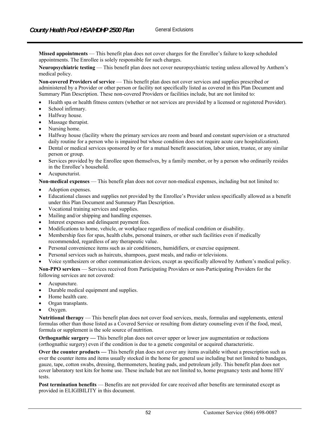**Missed appointments** — This benefit plan does not cover charges for the Enrollee's failure to keep scheduled appointments. The Enrollee is solely responsible for such charges.

**Neuropsychiatric testing** — This benefit plan does not cover neuropsychiatric testing unless allowed by Anthem's medical policy.

**Non-covered Providers of service** — This benefit plan does not cover services and supplies prescribed or administered by a Provider or other person or facility not specifically listed as covered in this Plan Document and Summary Plan Description. These non-covered Providers or facilities include, but are not limited to:

- Health spa or health fitness centers (whether or not services are provided by a licensed or registered Provider).
- School infirmary.
- Halfway house.
- Massage therapist.
- Nursing home.
- Halfway house (facility where the primary services are room and board and constant supervision or a structured daily routine for a person who is impaired but whose condition does not require acute care hospitalization).
- Dental or medical services sponsored by or for a mutual benefit association, labor union, trustee, or any similar person or group.
- Services provided by the Enrollee upon themselves, by a family member, or by a person who ordinarily resides in the Enrollee's household.
- Acupuncturist.

**Non-medical expenses** — This benefit plan does not cover non-medical expenses, including but not limited to:

- Adoption expenses.
- Educational classes and supplies not provided by the Enrollee's Provider unless specifically allowed as a benefit under this Plan Document and Summary Plan Description.
- Vocational training services and supplies.
- Mailing and/or shipping and handling expenses.
- Interest expenses and delinquent payment fees.
- Modifications to home, vehicle, or workplace regardless of medical condition or disability.
- Membership fees for spas, health clubs, personal trainers, or other such facilities even if medically recommended, regardless of any therapeutic value.
- Personal convenience items such as air conditioners, humidifiers, or exercise equipment.
- Personal services such as haircuts, shampoos, guest meals, and radio or televisions.
- Voice synthesizers or other communication devices, except as specifically allowed by Anthem's medical policy.

**Non-PPO services** — Services received from Participating Providers or non-Participating Providers for the following services are not covered:

- Acupuncture.
- Durable medical equipment and supplies.
- Home health care.
- Organ transplants.
- Oxygen.

**Nutritional therapy** — This benefit plan does not cover food services, meals, formulas and supplements, enteral formulas other than those listed as a Covered Service or resulting from dietary counseling even if the food, meal, formula or supplement is the sole source of nutrition.

**Orthognathic surgery —** This benefit plan does not cover upper or lower jaw augmentation or reductions (orthognathic surgery) even if the condition is due to a genetic congenital or acquired characteristic.

**Over the counter products —** This benefit plan does not cover any items available without a prescription such as over the counter items and items usually stocked in the home for general use including but not limited to bandages, gauze, tape, cotton swabs, dressing, thermometers, heating pads, and petroleum jelly. This benefit plan does not cover laboratory test kits for home use. These include but are not limited to, home pregnancy tests and home HIV tests.

**Post termination benefits** — Benefits are not provided for care received after benefits are terminated except as provided in ELIGIBILITY in this document.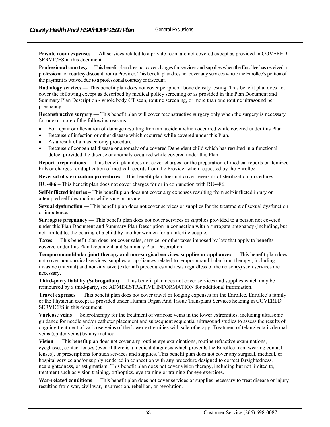**Private room expenses** — All services related to a private room are not covered except as provided in COVERED SERVICES in this document.

**Professional courtesy —**This benefit plan does not cover charges for services and supplies when the Enrollee has received a professional or courtesy discount from a Provider. This benefit plan does not cover any services where the Enrollee's portion of the payment is waived due to a professional courtesy or discount.

**Radiology services —** This benefit plan does not cover peripheral bone density testing. This benefit plan does not cover the following except as described by medical policy screening or as provided in this Plan Document and Summary Plan Description - whole body CT scan, routine screening, or more than one routine ultrasound per pregnancy.

**Reconstructive surgery** — This benefit plan will cover reconstructive surgery only when the surgery is necessary for one or more of the following reasons:

- For repair or alleviation of damage resulting from an accident which occurred while covered under this Plan.
- Because of infection or other disease which occurred while covered under this Plan.
- As a result of a mastectomy procedure.
- Because of congenital disease or anomaly of a covered Dependent child which has resulted in a functional defect provided the disease or anomaly occurred while covered under this Plan.

**Report preparations** — This benefit plan does not cover charges for the preparation of medical reports or itemized bills or charges for duplication of medical records from the Provider when requested by the Enrollee.

**Reversal of sterilization procedures** – This benefit plan does not cover reversals of sterilization procedures.

**RU-486** – This benefit plan does not cover charges for or in conjunction with RU-486.

**Self-inflicted injuries** – This benefit plan does not cover any expenses resulting from self-inflicted injury or attempted self-destruction while sane or insane.

**Sexual dysfunction** — This benefit plan does not cover services or supplies for the treatment of sexual dysfunction or impotence.

**Surrogate pregnancy** — This benefit plan does not cover services or supplies provided to a person not covered under this Plan Document and Summary Plan Description in connection with a surrogate pregnancy (including, but not limited to, the bearing of a child by another women for an infertile couple.

**Taxes** — This benefit plan does not cover sales, service, or other taxes imposed by law that apply to benefits covered under this Plan Document and Summary Plan Description.

**Temporomandibular joint therapy and non-surgical services, supplies or appliances** — This benefit plan does not cover non-surgical services, supplies or appliances related to temporomandibular joint therapy , including invasive (internal) and non-invasive (external) procedures and tests regardless of the reason(s) such services are necessary.

**Third-party liability (Subrogation**) — This benefit plan does not cover services and supplies which may be reimbursed by a third-party, see ADMINISTRATIVE INFORMATION for additional information.

**Travel expenses** — This benefit plan does not cover travel or lodging expenses for the Enrollee, Enrollee's family or the Physician except as provided under Human Organ And Tissue Transplant Services heading in COVERED SERVICES in this document.

**Varicose veins** — Sclerotherapy for the treatment of varicose veins in the lower extremities, including ultrasonic guidance for needle and/or catheter placement and subsequent sequential ultrasound studies to assess the results of ongoing treatment of varicose veins of the lower extremities with sclerotherapy. Treatment of telangiectatic dermal veins (spider veins) by any method.

**Vision** — This benefit plan does not cover any routine eye examinations, routine refractive examinations, eyeglasses, contact lenses (even if there is a medical diagnosis which prevents the Enrollee from wearing contact lenses), or prescriptions for such services and supplies. This benefit plan does not cover any surgical, medical, or hospital service and/or supply rendered in connection with any procedure designed to correct farsightedness, nearsightedness, or astigmatism. This benefit plan does not cover vision therapy, including but not limited to, treatment such as vision training, orthoptics, eye training or training for eye exercises.

**War-related conditions** — This benefit plan does not cover services or supplies necessary to treat disease or injury resulting from war, civil war, insurrection, rebellion, or revolution.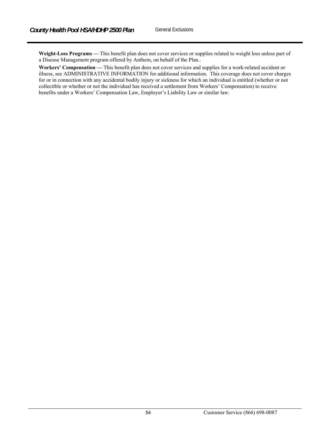**Weight-Loss Programs —** This benefit plan does not cover services or supplies related to weight loss unless part of a Disease Management program offered by Anthem, on behalf of the Plan..

**Workers' Compensation —** This benefit plan does not cover services and supplies for a work-related accident or illness, see ADMINISTRATIVE INFORMATION for additional information. This coverage does not cover charges for or in connection with any accidental bodily injury or sickness for which an individual is entitled (whether or not collectible or whether or not the individual has received a settlement from Workers' Compensation) to receive benefits under a Workers' Compensation Law, Employer's Liability Law or similar law.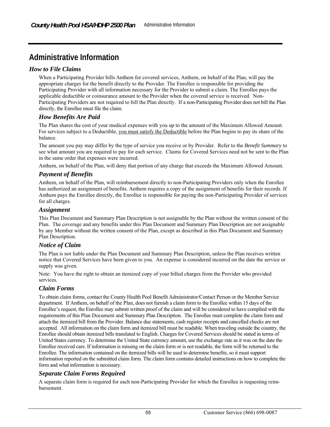# **Administrative Information**

## *How to File Claims*

When a Participating Provider bills Anthem for covered services, Anthem, on behalf of the Plan, will pay the appropriate charges for the benefit directly to the Provider. The Enrollee is responsible for providing the Participating Provider with all information necessary for the Provider to submit a claim. The Enrollee pays the applicable deductible or coinsurance amount to the Provider when the covered service is received. Non-Participating Providers are not required to bill the Plan directly. If a non-Participating Provider does not bill the Plan directly, the Enrollee must file the claim.

### *How Benefits Are Paid*

The Plan shares the cost of your medical expenses with you up to the amount of the Maximum Allowed Amount. For services subject to a Deductible, you must satisfy the Deductible before the Plan begins to pay its share of the balance.

The amount you pay may differ by the type of service you receive or by Provider. Refer to the *Benefit Summary* to see what amount you are required to pay for each service. Claims for Covered Services need not be sent to the Plan in the same order that expenses were incurred.

Anthem, on behalf of the Plan, will deny that portion of any charge that exceeds the Maximum Allowed Amount.

## *Payment of Benefits*

Anthem, on behalf of the Plan, will reimbursement directly to non-Participating Providers only when the Enrollee has authorized an assignment of benefits. Anthem requires a copy of the assignment of benefits for their records. If Anthem pays the Enrollee directly, the Enrollee is responsible for paying the non-Participating Provider of services for all charges.

#### *Assignment*

This Plan Document and Summary Plan Description is not assignable by the Plan without the written consent of the Plan. The coverage and any benefits under this Plan Document and Summary Plan Description are not assignable by any Member without the written consent of the Plan, except as described in this Plan Document and Summary Plan Description.

### *Notice of Claim*

The Plan is not liable under the Plan Document and Summary Plan Description, unless the Plan receives written notice that Covered Services have been given to you. An expense is considered incurred on the date the service or supply was given.

Note: You have the right to obtain an itemized copy of your billed charges from the Provider who provided services.

### *Claim Forms*

To obtain claim forms, contact the County Health Pool Benefit Administrator/Contact Person or the Member Service department. If Anthem, on behalf of the Plan, does not furnish a claim form to the Enrollee within 15 days of the Enrollee's request, the Enrollee may submit written proof of the claim and will be considered to have complied with the requirements of this Plan Document and Summary Plan Description.The Enrollee must complete the claim form and attach the itemized bill from the Provider. Balance due statements, cash register receipts and cancelled checks are not accepted. All information on the claim form and itemized bill must be readable. When traveling outside the country, the Enrollee should obtain itemized bills translated to English. Charges for Covered Services should be stated in terms of United States currency. To determine the United State currency amount, use the exchange rate as it was on the date the Enrollee received care. If information is missing on the claim form or is not readable, the form will be returned to the Enrollee. The information contained on the itemized bills will be used to determine benefits, so it must support information reported on the submitted claim form. The claim form contains detailed instructions on how to complete the form and what information is necessary.

### *Separate Claim Forms Required*

A separate claim form is required for each non-Participating Provider for which the Enrollee is requesting reimbursement.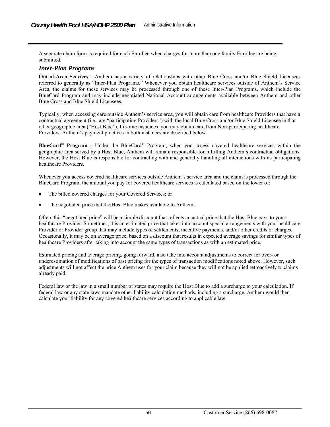A separate claim form is required for each Enrollee when charges for more than one family Enrollee are being submitted.

#### *Inter-Plan Programs*

**Out-of-Area Services** *-* Anthem has a variety of relationships with other Blue Cross and/or Blue Shield Licensees referred to generally as "Inter-Plan Programs." Whenever you obtain healthcare services outside of Anthem's Service Area, the claims for these services may be processed through one of these Inter-Plan Programs, which include the BlueCard Program and may include negotiated National Account arrangements available between Anthem and other Blue Cross and Blue Shield Licensees.

Typically, when accessing care outside Anthem's service area, you will obtain care from healthcare Providers that have a contractual agreement (i.e., are "participating Providers") with the local Blue Cross and/or Blue Shield Licensee in that other geographic area ("Host Blue"). In some instances, you may obtain care from Non-participating healthcare Providers. Anthem's payment practices in both instances are described below.

**BlueCard® Program -** Under the BlueCard® Program, when you access covered healthcare services within the geographic area served by a Host Blue, Anthem will remain responsible for fulfilling Anthem's contractual obligations. However, the Host Blue is responsible for contracting with and generally handling all interactions with its participating healthcare Providers.

Whenever you access covered healthcare services outside Anthem's service area and the claim is processed through the BlueCard Program, the amount you pay for covered healthcare services is calculated based on the lower of:

- The billed covered charges for your Covered Services; or
- The negotiated price that the Host Blue makes available to Anthem.

Often, this "negotiated price" will be a simple discount that reflects an actual price that the Host Blue pays to your healthcare Provider. Sometimes, it is an estimated price that takes into account special arrangements with your healthcare Provider or Provider group that may include types of settlements, incentive payments, and/or other credits or charges. Occasionally, it may be an average price, based on a discount that results in expected average savings for similar types of healthcare Providers after taking into account the same types of transactions as with an estimated price.

Estimated pricing and average pricing, going forward, also take into account adjustments to correct for over- or underestimation of modifications of past pricing for the types of transaction modifications noted above. However, such adjustments will not affect the price Anthem uses for your claim because they will not be applied retroactively to claims already paid.

Federal law or the law in a small number of states may require the Host Blue to add a surcharge to your calculation. If federal law or any state laws mandate other liability calculation methods, including a surcharge, Anthem would then calculate your liability for any covered healthcare services according to applicable law.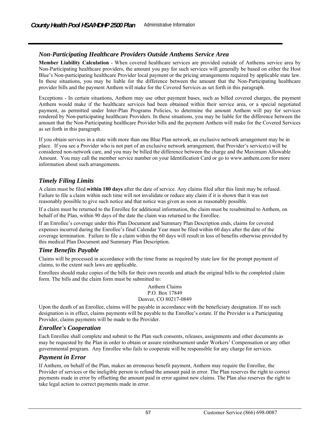## *Non-Participating Healthcare Providers Outside Anthems Service Area*

**Member Liability Calculation** - When covered healthcare services are provided outside of Anthems service area by Non-Participating healthcare providers, the amount you pay for such services will generally be based on either the Host Blue's Non-participating healthcare Provider local payment or the pricing arrangements required by applicable state law. In these situations, you may be liable for the difference between the amount that the Non-Participating healthcare provider bills and the payment Anthem will make for the Covered Services as set forth in this paragraph.

Exceptions - In certain situations, Anthem may use other payment bases, such as billed covered charges, the payment Anthem would make if the healthcare services had been obtained within their service area, or a special negotiated payment, as permitted under Inter-Plan Programs Policies, to determine the amount Anthem will pay for services rendered by Non-participating healthcare Providers. In these situations, you may be liable for the difference between the amount that the Non-Participating healthcare Provider bills and the payment Anthem will make for the Covered Services as set forth in this paragraph.

If you obtain services in a state with more than one Blue Plan network, an exclusive network arrangement may be in place. If you see a Provider who is not part of an exclusive network arrangement, that Provider's service(s) will be considered non-network care, and you may be billed the difference between the charge and the Maximum Allowable Amount. You may call the member service number on your Identification Card or go to www.anthem.com for more information about such arrangements.

## *Timely Filing Limits*

A claim must be filed **within 180 days** after the date of service. Any claims filed after this limit may be refused. Failure to file a claim within such time will not invalidate or reduce any claim if it is shown that it was not reasonably possible to give such notice and that notice was given as soon as reasonably possible.

If a claim must be returned to the Enrollee for additional information, the claim must be resubmitted to Anthem, on behalf of the Plan, within 90 days of the date the claim was returned to the Enrollee.

If an Enrollee's coverage under this Plan Document and Summary Plan Description ends, claims for covered expenses incurred during the Enrollee's final Calendar Year must be filed within 60 days after the date of the coverage termination. Failure to file a claim within the 60 days will result in loss of benefits otherwise provided by this medical Plan Document and Summary Plan Description.

### *Time Benefits Payable*

Claims will be processed in accordance with the time frame as required by state law for the prompt payment of claims, to the extent such laws are applicable.

Enrollees should make copies of the bills for their own records and attach the original bills to the completed claim form. The bills and the claim form must be submitted to:

#### Anthem Claims P.O. Box 17849 Denver, CO 80217-0849

Upon the death of an Enrollee, claims will be payable in accordance with the beneficiary designation. If no such designation is in effect, claims payments will be payable to the Enrollee's estate. If the Provider is a Participating Provider, claims payments will be made to the Provider.

### *Enrollee's Cooperation*

Each Enrollee shall complete and submit to the Plan such consents, releases, assignments and other documents as may be requested by the Plan in order to obtain or assure reimbursement under Workers' Compensation or any other governmental program. Any Enrollee who fails to cooperate will be responsible for any charge for services.

### *Payment in Error*

If Anthem, on behalf of the Plan, makes an erroneous benefit payment, Anthem may require the Enrollee, the Provider of services or the ineligible person to refund the amount paid in error. The Plan reserves the right to correct payments made in error by offsetting the amount paid in error against new claims. The Plan also reserves the right to take legal action to correct payments made in error.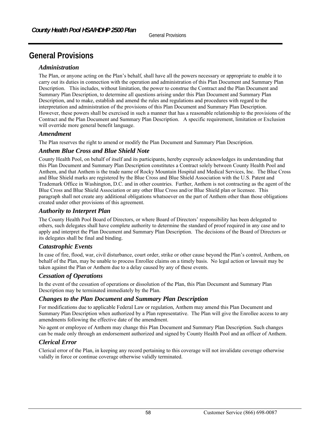# **General Provisions**

### *Administration*

The Plan, or anyone acting on the Plan's behalf, shall have all the powers necessary or appropriate to enable it to carry out its duties in connection with the operation and administration of this Plan Document and Summary Plan Description. This includes, without limitation, the power to construe the Contract and the Plan Document and Summary Plan Description, to determine all questions arising under this Plan Document and Summary Plan Description, and to make, establish and amend the rules and regulations and procedures with regard to the interpretation and administration of the provisions of this Plan Document and Summary Plan Description. However, these powers shall be exercised in such a manner that has a reasonable relationship to the provisions of the Contract and the Plan Document and Summary Plan Description. A specific requirement, limitation or Exclusion will override more general benefit language.

#### *Amendment*

The Plan reserves the right to amend or modify the Plan Document and Summary Plan Description.

### *Anthem Blue Cross and Blue Shield Note*

County Health Pool, on behalf of itself and its participants, hereby expressly acknowledges its understanding that this Plan Document and Summary Plan Description constitutes a Contract solely between County Health Pool and Anthem, and that Anthem is the trade name of Rocky Mountain Hospital and Medical Services, Inc. The Blue Cross and Blue Shield marks are registered by the Blue Cross and Blue Shield Association with the U.S. Patent and Trademark Office in Washington, D.C. and in other countries. Further, Anthem is not contracting as the agent of the Blue Cross and Blue Shield Association or any other Blue Cross and/or Blue Shield plan or licensee. This paragraph shall not create any additional obligations whatsoever on the part of Anthem other than those obligations created under other provisions of this agreement.

## *Authority to Interpret Plan*

The County Health Pool Board of Directors, or where Board of Directors' responsibility has been delegated to others, such delegates shall have complete authority to determine the standard of proof required in any case and to apply and interpret the Plan Document and Summary Plan Description. The decisions of the Board of Directors or its delegates shall be final and binding.

### *Catastrophic Events*

In case of fire, flood, war, civil disturbance, court order, strike or other cause beyond the Plan's control, Anthem, on behalf of the Plan, may be unable to process Enrollee claims on a timely basis. No legal action or lawsuit may be taken against the Plan or Anthem due to a delay caused by any of these events.

#### *Cessation of Operations*

In the event of the cessation of operations or dissolution of the Plan, this Plan Document and Summary Plan Description may be terminated immediately by the Plan.

### *Changes to the Plan Document and Summary Plan Description*

For modifications due to applicable Federal Law or regulation, Anthem may amend this Plan Document and Summary Plan Description when authorized by a Plan representative. The Plan will give the Enrollee access to any amendments following the effective date of the amendment.

No agent or employee of Anthem may change this Plan Document and Summary Plan Description. Such changes can be made only through an endorsement authorized and signed by County Health Pool and an officer of Anthem.

### *Clerical Error*

Clerical error of the Plan, in keeping any record pertaining to this coverage will not invalidate coverage otherwise validly in force or continue coverage otherwise validly terminated.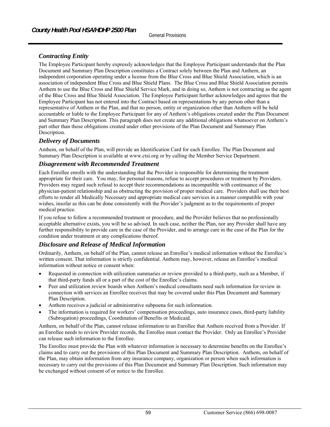# *Contracting Entity*

The Employee Participant hereby expressly acknowledges that the Employee Participant understands that the Plan Document and Summary Plan Description constitutes a Contract solely between the Plan and Anthem, an independent corporation operating under a license from the Blue Cross and Blue Shield Association, which is an association of independent Blue Cross and Blue Shield Plans. The Blue Cross and Blue Shield Association permits Anthem to use the Blue Cross and Blue Shield Service Mark, and in doing so, Anthem is not contracting as the agent of the Blue Cross and Blue Shield Association. The Employee Participant further acknowledges and agrees that the Employee Participant has not entered into the Contract based on representations by any person other than a representative of Anthem or the Plan, and that no person, entity or organization other than Anthem will be held accountable or liable to the Employee Participant for any of Anthem's obligations created under the Plan Document and Summary Plan Description. This paragraph does not create any additional obligations whatsoever on Anthem's part other than those obligations created under other provisions of the Plan Document and Summary Plan Description.

### *Delivery of Documents*

Anthem, on behalf of the Plan, will provide an Identification Card for each Enrollee. The Plan Document and Summary Plan Description is available at www.ctsi.org or by calling the Member Service Department.

#### *Disagreement with Recommended Treatment*

Each Enrollee enrolls with the understanding that the Provider is responsible for determining the treatment appropriate for their care. You may, for personal reasons, refuse to accept procedures or treatment by Providers. Providers may regard such refusal to accept their recommendations as incompatible with continuance of the physician-patient relationship and as obstructing the provision of proper medical care. Providers shall use their best efforts to render all Medically Necessary and appropriate medical care services in a manner compatible with your wishes, insofar as this can be done consistently with the Provider's judgment as to the requirements of proper medical practice.

If you refuse to follow a recommended treatment or procedure, and the Provider believes that no professionally acceptable alternative exists, you will be so advised. In such case, neither the Plan, nor any Provider shall have any further responsibility to provide care in the case of the Provider, and to arrange care in the case of the Plan for the condition under treatment or any complications thereof.

### *Disclosure and Release of Medical Information*

Ordinarily, Anthem, on behalf of the Plan, cannot release an Enrollee's medical information without the Enrollee's written consent. That information is strictly confidential. Anthem may, however, release an Enrollee's medical information without notice or consent when:

- Requested in connection with utilization summaries or review provided to a third-party, such as a Member, if that third-party funds all or a part of the cost of the Enrollee's claims.
- Peer and utilization review boards when Anthem's medical consultants need such information for review in connection with services an Enrollee receives that may be covered under this Plan Document and Summary Plan Description.
- Anthem receives a judicial or administrative subpoena for such information.
- The information is required for workers' compensation proceedings, auto insurance cases, third-party liability (Subrogation) proceedings, Coordination of Benefits or Medicaid.

Anthem, on behalf of the Plan, cannot release information to an Enrollee that Anthem received from a Provider. If an Enrollee needs to review Provider records, the Enrollee must contact the Provider. Only an Enrollee's Provider can release such information to the Enrollee.

The Enrollee must provide the Plan with whatever information is necessary to determine benefits on the Enrollee's claims and to carry out the provisions of this Plan Document and Summary Plan Description. Anthem, on behalf of the Plan, may obtain information from any insurance company, organization or person when such information is necessary to carry out the provisions of this Plan Document and Summary Plan Description. Such information may be exchanged without consent of or notice to the Enrollee.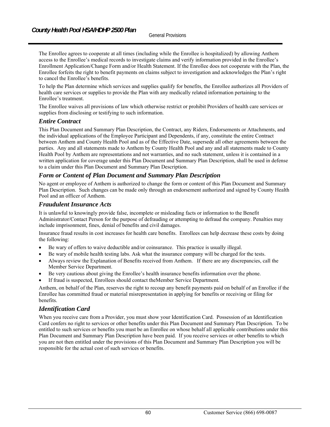The Enrollee agrees to cooperate at all times (including while the Enrollee is hospitalized) by allowing Anthem access to the Enrollee's medical records to investigate claims and verify information provided in the Enrollee's Enrollment Application/Change Form and/or Health Statement. If the Enrollee does not cooperate with the Plan, the Enrollee forfeits the right to benefit payments on claims subject to investigation and acknowledges the Plan's right to cancel the Enrollee's benefits.

To help the Plan determine which services and supplies qualify for benefits, the Enrollee authorizes all Providers of health care services or supplies to provide the Plan with any medically related information pertaining to the Enrollee's treatment.

The Enrollee waives all provisions of law which otherwise restrict or prohibit Providers of health care services or supplies from disclosing or testifying to such information.

#### *Entire Contract*

This Plan Document and Summary Plan Description, the Contract, any Riders, Endorsements or Attachments, and the individual applications of the Employee Participant and Dependents, if any, constitute the entire Contract between Anthem and County Health Pool and as of the Effective Date, supersede all other agreements between the parties. Any and all statements made to Anthem by County Health Pool and any and all statements made to County Health Pool by Anthem are representations and not warranties, and no such statement, unless it is contained in a written application for coverage under this Plan Document and Summary Plan Description, shall be used in defense to a claim under this Plan Document and Summary Plan Description.

### *Form or Content of Plan Document and Summary Plan Description*

No agent or employee of Anthem is authorized to change the form or content of this Plan Document and Summary Plan Description. Such changes can be made only through an endorsement authorized and signed by County Health Pool and an officer of Anthem.

#### *Fraudulent Insurance Acts*

It is unlawful to knowingly provide false, incomplete or misleading facts or information to the Benefit Administrator/Contact Person for the purpose of defrauding or attempting to defraud the company. Penalties may include imprisonment, fines, denial of benefits and civil damages.

Insurance fraud results in cost increases for health care benefits. Enrollees can help decrease these costs by doing the following:

- Be wary of offers to waive deductible and/or coinsurance. This practice is usually illegal.
- Be wary of mobile health testing labs. Ask what the insurance company will be charged for the tests.
- Always review the Explanation of Benefits received from Anthem. If there are any discrepancies, call the Member Service Department.
- Be very cautious about giving the Enrollee's health insurance benefits information over the phone.
- If fraud is suspected, Enrollees should contact theMember Service Department*.*

Anthem, on behalf of the Plan, reserves the right to recoup any benefit payments paid on behalf of an Enrollee if the Enrollee has committed fraud or material misrepresentation in applying for benefits or receiving or filing for benefits.

### *Identification Card*

When you receive care from a Provider, you must show your Identification Card. Possession of an Identification Card confers no right to services or other benefits under this Plan Document and Summary Plan Description. To be entitled to such services or benefits you must be an Enrollee on whose behalf all applicable contributions under this Plan Document and Summary Plan Description have been paid. If you receive services or other benefits to which you are not then entitled under the provisions of this Plan Document and Summary Plan Description you will be responsible for the actual cost of such services or benefits.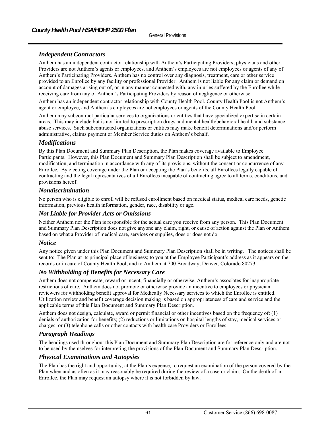## *Independent Contractors*

Anthem has an independent contractor relationship with Anthem's Participating Providers; physicians and other Providers are not Anthem's agents or employees, and Anthem's employees are not employees or agents of any of Anthem's Participating Providers. Anthem has no control over any diagnosis, treatment, care or other service provided to an Enrollee by any facility or professional Provider. Anthem is not liable for any claim or demand on account of damages arising out of, or in any manner connected with, any injuries suffered by the Enrollee while receiving care from any of Anthem's Participating Providers by reason of negligence or otherwise.

Anthem has an independent contractor relationship with County Health Pool. County Health Pool is not Anthem's agent or employee, and Anthem's employees are not employees or agents of the County Health Pool.

Anthem may subcontract particular services to organizations or entities that have specialized expertise in certain areas. This may include but is not limited to prescription drugs and mental health/behavioral health and substance abuse services. Such subcontracted organizations or entities may make benefit determinations and/or perform administrative, claims payment or Member Service duties on Anthem's behalf.

## *Modifications*

By this Plan Document and Summary Plan Description, the Plan makes coverage available to Employee Participants. However, this Plan Document and Summary Plan Description shall be subject to amendment, modification, and termination in accordance with any of its provisions, without the consent or concurrence of any Enrollee. By electing coverage under the Plan or accepting the Plan's benefits, all Enrollees legally capable of contracting and the legal representatives of all Enrollees incapable of contracting agree to all terms, conditions, and provisions hereof.

## *Nondiscrimination*

No person who is eligible to enroll will be refused enrollment based on medical status, medical care needs, genetic information, previous health information, gender, race, disability or age.

## *Not Liable for Provider Acts or Omissions*

Neither Anthem nor the Plan is responsible for the actual care you receive from any person. This Plan Document and Summary Plan Description does not give anyone any claim, right, or cause of action against the Plan or Anthem based on what a Provider of medical care, services or supplies, does or does not do.

## *Notice*

Any notice given under this Plan Document and Summary Plan Description shall be in writing. The notices shall be sent to: The Plan at its principal place of business; to you at the Employee Participant's address as it appears on the records or in care of County Health Pool; and to Anthem at 700 Broadway, Denver, Colorado 80273.

## *No Withholding of Benefits for Necessary Care*

Anthem does not compensate, reward or incent, financially or otherwise, Anthem's associates for inappropriate restrictions of care. Anthem does not promote or otherwise provide an incentive to employees or physician reviewers for withholding benefit approval for Medically Necessary services to which the Enrollee is entitled. Utilization review and benefit coverage decision making is based on appropriateness of care and service and the applicable terms of this Plan Document and Summary Plan Description.

Anthem does not design, calculate, award or permit financial or other incentives based on the frequency of: (1) denials of authorization for benefits; (2) reductions or limitations on hospital lengths of stay, medical services or charges; or (3) telephone calls or other contacts with health care Providers or Enrollees.

## *Paragraph Headings*

The headings used throughout this Plan Document and Summary Plan Description are for reference only and are not to be used by themselves for interpreting the provisions of the Plan Document and Summary Plan Description.

### *Physical Examinations and Autopsies*

The Plan has the right and opportunity, at the Plan's expense, to request an examination of the person covered by the Plan when and as often as it may reasonably be required during the review of a case or claim. On the death of an Enrollee, the Plan may request an autopsy where it is not forbidden by law.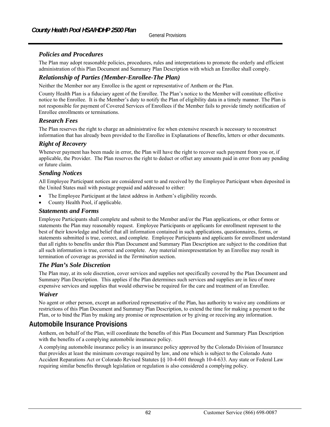## *Policies and Procedures*

The Plan may adopt reasonable policies, procedures, rules and interpretations to promote the orderly and efficient administration of this Plan Document and Summary Plan Description with which an Enrollee shall comply.

## *Relationship of Parties (Member-Enrollee-The Plan)*

Neither the Member nor any Enrollee is the agent or representative of Anthem or the Plan.

County Health Plan is a fiduciary agent of the Enrollee. The Plan's notice to the Member will constitute effective notice to the Enrollee. It is the Member's duty to notify the Plan of eligibility data in a timely manner. The Plan is not responsible for payment of Covered Services of Enrollees if the Member fails to provide timely notification of Enrollee enrollments or terminations.

### *Research Fees*

The Plan reserves the right to charge an administrative fee when extensive research is necessary to reconstruct information that has already been provided to the Enrollee in Explanations of Benefits, letters or other documents.

### *Right of Recovery*

Whenever payment has been made in error, the Plan will have the right to recover such payment from you or, if applicable, the Provider. The Plan reserves the right to deduct or offset any amounts paid in error from any pending or future claim.

#### *Sending Notices*

All Employee Participant notices are considered sent to and received by the Employee Participant when deposited in the United States mail with postage prepaid and addressed to either:

- The Employee Participant at the latest address in Anthem's eligibility records.
- County Health Pool, if applicable.

#### *Statements and Forms*

Employee Participants shall complete and submit to the Member and/or the Plan applications, or other forms or statements the Plan may reasonably request. Employee Participants or applicants for enrollment represent to the best of their knowledge and belief that all information contained in such applications, questionnaires, forms, or statements submitted is true, correct, and complete. Employee Participants and applicants for enrollment understand that all rights to benefits under this Plan Document and Summary Plan Description are subject to the condition that all such information is true, correct and complete. Any material misrepresentation by an Enrollee may result in termination of coverage as provided in the *Termination* section.

#### *The Plan's Sole Discretion*

The Plan may, at its sole discretion, cover services and supplies not specifically covered by the Plan Document and Summary Plan Description. This applies if the Plan determines such services and supplies are in lieu of more expensive services and supplies that would otherwise be required for the care and treatment of an Enrollee.

### *Waiver*

No agent or other person, except an authorized representative of the Plan, has authority to waive any conditions or restrictions of this Plan Document and Summary Plan Description, to extend the time for making a payment to the Plan, or to bind the Plan by making any promise or representation or by giving or receiving any information.

# **Automobile Insurance Provisions**

Anthem, on behalf of the Plan, will coordinate the benefits of this Plan Document and Summary Plan Description with the benefits of a complying automobile insurance policy.

A complying automobile insurance policy is an insurance policy approved by the Colorado Division of Insurance that provides at least the minimum coverage required by law, and one which is subject to the Colorado Auto Accident Reparations Act or Colorado Revised Statutes §§ 10-4-601 through 10-4-633. Any state or Federal Law requiring similar benefits through legislation or regulation is also considered a complying policy.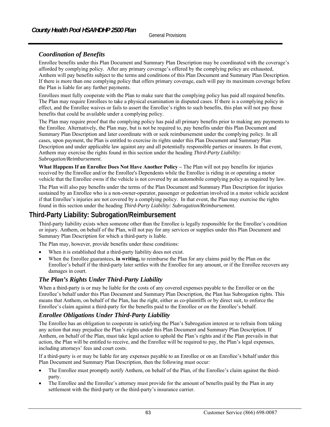## *Coordination of Benefits*

Enrollee benefits under this Plan Document and Summary Plan Description may be coordinated with the coverage's afforded by complying policy. After any primary coverage's offered by the complying policy are exhausted, Anthem will pay benefits subject to the terms and conditions of this Plan Document and Summary Plan Description. If there is more than one complying policy that offers primary coverage, each will pay its maximum coverage before the Plan is liable for any further payments.

Enrollees must fully cooperate with the Plan to make sure that the complying policy has paid all required benefits. The Plan may require Enrollees to take a physical examination in disputed cases. If there is a complying policy in effect, and the Enrollee waives or fails to assert the Enrollee's rights to such benefits, this plan will not pay those benefits that could be available under a complying policy.

The Plan may require proof that the complying policy has paid all primary benefits prior to making any payments to the Enrollee. Alternatively, the Plan may, but is not be required to, pay benefits under this Plan Document and Summary Plan Description and later coordinate with or seek reimbursement under the complying policy. In all cases, upon payment, the Plan is entitled to exercise its rights under this Plan Document and Summary Plan Description and under applicable law against any and all potentially responsible parties or insurers. In that event, Anthem may exercise the rights found in this section under the heading *Third-Party Liability: Subrogation/Reimbursement*.

**What Happens If an Enrollee Does Not Have Another Policy –** The Plan will not pay benefits for injuries received by the Enrollee and/or the Enrollee's Dependents while the Enrollee is riding in or operating a motor vehicle that the Enrollee owns if the vehicle is not covered by an automobile complying policy as required by law.

The Plan will also pay benefits under the terms of the Plan Document and Summary Plan Description for injuries sustained by an Enrollee who is a non-owner-operator, passenger or pedestrian involved in a motor vehicle accident if that Enrollee's injuries are not covered by a complying policy. In that event, the Plan may exercise the rights found in this section under the heading *Third-Party Liability: Subrogation/Reimbursement*.

# **Third-Party Liability: Subrogation/Reimbursement**

Third-party liability exists when someone other than the Enrollee is legally responsible for the Enrollee's condition or injury. Anthem, on behalf of the Plan, will not pay for any services or supplies under this Plan Document and Summary Plan Description for which a third-party is liable.

The Plan may, however, provide benefits under these conditions:

- When it is established that a third-party liability does not exist.
- When the Enrollee guarantees, **in writing,** to reimburse the Plan for any claims paid by the Plan on the Enrollee's behalf if the third-party later settles with the Enrollee for any amount, or if the Enrollee recovers any damages in court.

## *The Plan's Rights Under Third-Party Liability*

When a third-party is or may be liable for the costs of any covered expenses payable to the Enrollee or on the Enrollee's behalf under this Plan Document and Summary Plan Description, the Plan has Subrogation rights. This means that Anthem, on behalf of the Plan, has the right, either as co-plaintiffs or by direct suit, to enforce the Enrollee's claim against a third-party for the benefits paid to the Enrollee or on the Enrollee's behalf.

## *Enrollee Obligations Under Third-Party Liability*

The Enrollee has an obligation to cooperate in satisfying the Plan's Subrogation interest or to refrain from taking any action that may prejudice the Plan's rights under this Plan Document and Summary Plan Description. If Anthem, on behalf of the Plan, must take legal action to uphold the Plan's rights and if the Plan prevails in that action, the Plan will be entitled to receive, and the Enrollee will be required to pay, the Plan's legal expenses, including attorneys' fees and court costs.

If a third-party is or may be liable for any expenses payable to an Enrollee or on an Enrollee's behalf under this Plan Document and Summary Plan Description, then the following must occur:

- The Enrollee must promptly notify Anthem, on behalf of the Plan, of the Enrollee's claim against the thirdparty.
- The Enrollee and the Enrollee's attorney must provide for the amount of benefits paid by the Plan in any settlement with the third-party or the third-party's insurance carrier.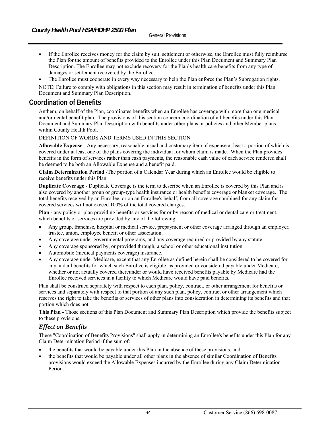- If the Enrollee receives money for the claim by suit, settlement or otherwise, the Enrollee must fully reimburse the Plan for the amount of benefits provided to the Enrollee under this Plan Document and Summary Plan Description. The Enrollee may not exclude recovery for the Plan's health care benefits from any type of damages or settlement recovered by the Enrollee.
- The Enrollee must cooperate in every way necessary to help the Plan enforce the Plan's Subrogation rights.

NOTE: Failure to comply with obligations in this section may result in termination of benefits under this Plan Document and Summary Plan Description.

# **Coordination of Benefits**

Anthem, on behalf of the Plan, coordinates benefits when an Enrollee has coverage with more than one medical and/or dental benefit plan. The provisions of this section concern coordination of all benefits under this Plan Document and Summary Plan Description with benefits under other plans or policies and other Member plans within County Health Pool.

#### DEFINITION OF WORDS AND TERMS USED IN THIS SECTION

**Allowable Expense** - Any necessary, reasonable, usual and customary item of expense at least a portion of which is covered under at least one of the plans covering the individual for whom claim is made. When the Plan provides benefits in the form of services rather than cash payments, the reasonable cash value of each service rendered shall be deemed to be both an Allowable Expense and a benefit paid.

**Claim Determination Period** -The portion of a Calendar Year during which an Enrollee would be eligible to receive benefits under this Plan.

**Duplicate Coverage** - Duplicate Coverage is the term to describe when an Enrollee is covered by this Plan and is also covered by another group or group-type health insurance or health benefits coverage or blanket coverage. The total benefits received by an Enrollee, or on an Enrollee's behalf, from all coverage combined for any claim for covered services will not exceed 100% of the total covered charges.

**Plan -** any policy or plan providing benefits or services for or by reason of medical or dental care or treatment, which benefits or services are provided by any of the following:

- Any group, franchise, hospital or medical service, prepayment or other coverage arranged through an employer, trustee, union, employee benefit or other association.
- Any coverage under governmental programs, and any coverage required or provided by any statute.
- Any coverage sponsored by, or provided through, a school or other educational institution.
- Automobile (medical payments coverage) insurance.
- Any coverage under Medicare, except that any Enrollee as defined herein shall be considered to be covered for any and all benefits for which such Enrollee is eligible, as provided or considered payable under Medicare, whether or not actually covered thereunder or would have received benefits payable by Medicare had the Enrollee received services in a facility to which Medicare would have paid benefits.

Plan shall be construed separately with respect to each plan, policy, contract, or other arrangement for benefits or services and separately with respect to that portion of any such plan, policy, contract or other arrangement which reserves the right to take the benefits or services of other plans into consideration in determining its benefits and that portion which does not.

**This Plan -** Those sections of this Plan Document and Summary Plan Description which provide the benefits subject to these provisions.

### *Effect on Benefits*

These "Coordination of Benefits Provisions" shall apply in determining an Enrollee's benefits under this Plan for any Claim Determination Period if the sum of:

- the benefits that would be payable under this Plan in the absence of these provisions, and
- the benefits that would be payable under all other plans in the absence of similar Coordination of Benefits provisions would exceed the Allowable Expenses incurred by the Enrollee during any Claim Determination Period.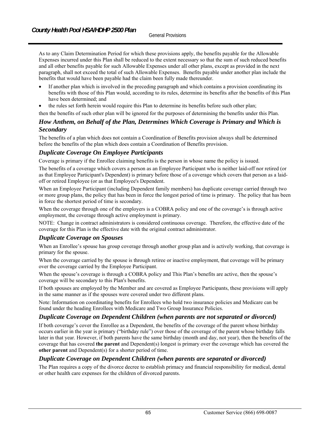As to any Claim Determination Period for which these provisions apply, the benefits payable for the Allowable Expenses incurred under this Plan shall be reduced to the extent necessary so that the sum of such reduced benefits and all other benefits payable for such Allowable Expenses under all other plans, except as provided in the next paragraph, shall not exceed the total of such Allowable Expenses. Benefits payable under another plan include the benefits that would have been payable had the claim been fully made thereunder.

- If another plan which is involved in the preceding paragraph and which contains a provision coordinating its benefits with those of this Plan would, according to its rules, determine its benefits after the benefits of this Plan have been determined; and
- the rules set forth herein would require this Plan to determine its benefits before such other plan;
- then the benefits of such other plan will be ignored for the purposes of determining the benefits under this Plan.

## *How Anthem, on Behalf of the Plan, Determines Which Coverage is Primary and Which is Secondary*

The benefits of a plan which does not contain a Coordination of Benefits provision always shall be determined before the benefits of the plan which does contain a Coordination of Benefits provision.

### *Duplicate Coverage On Employee Participants*

Coverage is primary if the Enrollee claiming benefits is the person in whose name the policy is issued.

The benefits of a coverage which covers a person as an Employee Participant who is neither laid-off nor retired (or as that Employee Participant's Dependent) is primary before those of a coverage which covers that person as a laidoff or retired Employee (or as that Employee's Dependent.

When an Employee Participant (including Dependent family members) has duplicate coverage carried through two or more group plans, the policy that has been in force the longest period of time is primary. The policy that has been in force the shortest period of time is secondary.

When the coverage through one of the employers is a COBRA policy and one of the coverage's is through active employment, the coverage through active employment is primary.

NOTE: Change in contract administrators is considered continuous coverage. Therefore, the effective date of the coverage for this Plan is the effective date with the original contract administrator.

### *Duplicate Coverage on Spouses*

When an Enrollee's spouse has group coverage through another group plan and is actively working, that coverage is primary for the spouse.

When the coverage carried by the spouse is through retiree or inactive employment, that coverage will be primary over the coverage carried by the Employee Participant.

When the spouse's coverage is through a COBRA policy and This Plan's benefits are active, then the spouse's coverage will be secondary to this Plan's benefits.

If both spouses are employed by the Member and are covered as Employee Participants, these provisions will apply in the same manner as if the spouses were covered under two different plans.

Note: Information on coordinating benefits for Enrollees who hold two insurance policies and Medicare can be found under the heading Enrollees with Medicare and Two Group Insurance Policies.

### *Duplicate Coverage on Dependent Children (when parents are not separated or divorced)*

If both coverage's cover the Enrollee as a Dependent, the benefits of the coverage of the parent whose birthday occurs earlier in the year is primary ("birthday rule") over those of the coverage of the parent whose birthday falls later in that year. However, if both parents have the same birthday (month and day, not year), then the benefits of the coverage that has covered **the parent** and Dependent(s) longest is primary over the coverage which has covered the **other parent** and Dependent(s) for a shorter period of time.

### *Duplicate Coverage on Dependent Children (when parents are separated or divorced)*

The Plan requires a copy of the divorce decree to establish primacy and financial responsibility for medical, dental or other health care expenses for the children of divorced parents.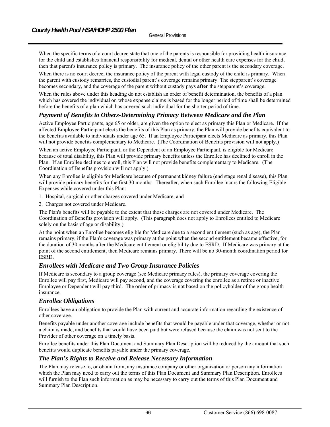When the specific terms of a court decree state that one of the parents is responsible for providing health insurance for the child and establishes financial responsibility for medical, dental or other health care expenses for the child, then that parent's insurance policy is primary. The insurance policy of the other parent is the secondary coverage.

When there is no court decree, the insurance policy of the parent with legal custody of the child is primary. When the parent with custody remarries, the custodial parent's coverage remains primary. The stepparent's coverage becomes secondary, and the coverage of the parent without custody pays **after** the stepparent's coverage.

When the rules above under this heading do not establish an order of benefit determination, the benefits of a plan which has covered the individual on whose expense claims is based for the longer period of time shall be determined before the benefits of a plan which has covered such individual for the shorter period of time.

## *Payment of Benefits to Others-Determining Primacy Between Medicare and the Plan*

Active Employee Participants, age 65 or older, are given the option to elect as primary this Plan or Medicare. If the affected Employee Participant elects the benefits of this Plan as primary, the Plan will provide benefits equivalent to the benefits available to individuals under age 65. If an Employee Participant elects Medicare as primary, this Plan will not provide benefits complementary to Medicare. (The Coordination of Benefits provision will not apply.)

When an active Employee Participant, or the Dependent of an Employee Participant, is eligible for Medicare because of total disability, this Plan will provide primary benefits unless the Enrollee has declined to enroll in the Plan. If an Enrollee declines to enroll, this Plan will not provide benefits complementary to Medicare. (The Coordination of Benefits provision will not apply.)

When any Enrollee is eligible for Medicare because of permanent kidney failure (end stage renal disease), this Plan will provide primary benefits for the first 30 months. Thereafter, when such Enrollee incurs the following Eligible Expenses while covered under this Plan:

- 1. Hospital, surgical or other charges covered under Medicare, and
- 2. Charges not covered under Medicare.

The Plan's benefits will be payable to the extent that those charges are not covered under Medicare. The Coordination of Benefits provision will apply. (This paragraph does not apply to Enrollees entitled to Medicare solely on the basis of age or disability.)

At the point when an Enrollee becomes eligible for Medicare due to a second entitlement (such as age), the Plan remains primary, if the Plan's coverage was primary at the point when the second entitlement became effective, for the duration of 30 months after the Medicare entitlement or eligibility due to ESRD. If Medicare was primary at the point of the second entitlement, then Medicare remains primary. There will be no 30-month coordination period for ESRD.

## *Enrollees with Medicare and Two Group Insurance Policies*

If Medicare is secondary to a group coverage (see Medicare primacy rules), the primary coverage covering the Enrollee will pay first, Medicare will pay second, and the coverage covering the enrollee as a retiree or inactive Employee or Dependent will pay third. The order of primacy is not based on the policyholder of the group health insurance.

## *Enrollee Obligations*

Enrollees have an obligation to provide the Plan with current and accurate information regarding the existence of other coverage.

Benefits payable under another coverage include benefits that would be payable under that coverage, whether or not a claim is made, and benefits that would have been paid but were refused because the claim was not sent to the Provider of other coverage on a timely basis.

Enrollee benefits under this Plan Document and Summary Plan Description will be reduced by the amount that such benefits would duplicate benefits payable under the primary coverage.

## *The Plan's Rights to Receive and Release Necessary Information*

The Plan may release to, or obtain from, any insurance company or other organization or person any information which the Plan may need to carry out the terms of this Plan Document and Summary Plan Description. Enrollees will furnish to the Plan such information as may be necessary to carry out the terms of this Plan Document and Summary Plan Description.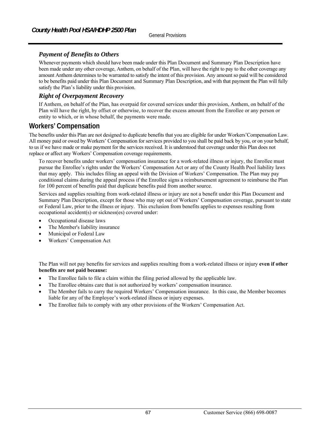# *Payment of Benefits to Others*

Whenever payments which should have been made under this Plan Document and Summary Plan Description have been made under any other coverage, Anthem, on behalf of the Plan, will have the right to pay to the other coverage any amount Anthem determines to be warranted to satisfy the intent of this provision. Any amount so paid will be considered to be benefits paid under this Plan Document and Summary Plan Description, and with that payment the Plan will fully satisfy the Plan's liability under this provision.

## *Right of Overpayment Recovery*

If Anthem, on behalf of the Plan, has overpaid for covered services under this provision, Anthem, on behalf of the Plan will have the right, by offset or otherwise, to recover the excess amount from the Enrollee or any person or entity to which, or in whose behalf, the payments were made.

# **Workers' Compensation**

The benefits under this Plan are not designed to duplicate benefits that you are eligible for under Workers'Compensation Law. All money paid or owed by Workers' Compensation for services provided to you shall be paid back by you, or on your behalf, to us if we have made or make payment for the services received. It is understood that coverage under this Plan does not replace or affect any Workers' Compensation coverage requirements.

To recover benefits under workers' compensation insurance for a work-related illness or injury, the Enrollee must pursue the Enrollee's rights under the Workers' Compensation Act or any of the County Health Pool liability laws that may apply. This includes filing an appeal with the Division of Workers' Compensation. The Plan may pay conditional claims during the appeal process if the Enrollee signs a reimbursement agreement to reimburse the Plan for 100 percent of benefits paid that duplicate benefits paid from another source.

Services and supplies resulting from work-related illness or injury are not a benefit under this Plan Document and Summary Plan Description, except for those who may opt out of Workers' Compensation coverage, pursuant to state or Federal Law, prior to the illness or injury. This exclusion from benefits applies to expenses resulting from occupational accident(s) or sickness(es) covered under:

- Occupational disease laws
- The Member's liability insurance
- Municipal or Federal Law
- Workers' Compensation Act

The Plan will not pay benefits for services and supplies resulting from a work-related illness or injury **even if other benefits are not paid because:**

- The Enrollee fails to file a claim within the filing period allowed by the applicable law.
- The Enrollee obtains care that is not authorized by workers' compensation insurance.
- The Member fails to carry the required Workers' Compensation insurance. In this case, the Member becomes liable for any of the Employee's work-related illness or injury expenses.
- The Enrollee fails to comply with any other provisions of the Workers' Compensation Act.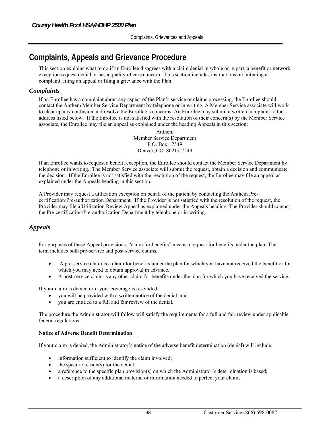# **Complaints, Appeals and Grievance Procedure**

This section explains what to do if an Enrollee disagrees with a claim denial in whole or in part, a benefit or network exception request denial or has a quality of care concern. This section includes instructions on initiating a complaint, filing an appeal or filing a grievance with the Plan.

## *Complaints*

If an Enrollee has a complaint about any aspect of the Plan's service or claims processing, the Enrollee should contact the Anthem Member Service Department by telephone or in writing. A Member Service associate will work to clear up any confusion and resolve the Enrollee's concerns. An Enrollee may submit a written complaint to the address listed below. If the Enrollee is not satisfied with the resolution of their concern(s) by the Member Service associate, the Enrollee may file an appeal as explained under the heading Appeal*s* in this section:

> Anthem Member Service Department P.O. Box 17549 Denver, CO 80217-7549

If an Enrollee wants to request a benefit exception, the Enrollee should contact the Member Service Department by telephone or in writing. The Member Service associate will submit the request, obtain a decision and communicate the decision. If the Enrollee is not satisfied with the resolution of the request, the Enrollee may file an appeal as explained under the Appeal*s* heading in this section.

A Provider may request a utilization exception on behalf of the patient by contacting the Anthem Precertification/Pre-authorization Department. If the Provider is not satisfied with the resolution of the request, the Provider may file a Utilization Review Appeal as explained under the Appeal*s* heading. The Provider should contact the Pre-certification/Pre-authorization Department by telephone or in writing.

# *Appeals*

For purposes of these Appeal provisions, "claim for benefits" means a request for benefits under the plan. The term includes both pre-service and post-service claims.

- A pre-service claim is a claim for benefits under the plan for which you have not received the benefit or for which you may need to obtain approval in advance.
- A post-service claim is any other claim for benefits under the plan for which you have received the service.

If your claim is denied or if your coverage is rescinded:

- you will be provided with a written notice of the denial; and
- you are entitled to a full and fair review of the denial.

The procedure the Administrator will follow will satisfy the requirements for a full and fair review under applicable federal regulations.

#### **Notice of Adverse Benefit Determination**

If your claim is denied, the Administrator's notice of the adverse benefit determination (denial) will include:

- information sufficient to identify the claim involved;
- the specific reason(s) for the denial;
- a reference to the specific plan provision(s) on which the Administrator's determination is based;
- a description of any additional material or information needed to perfect your claim;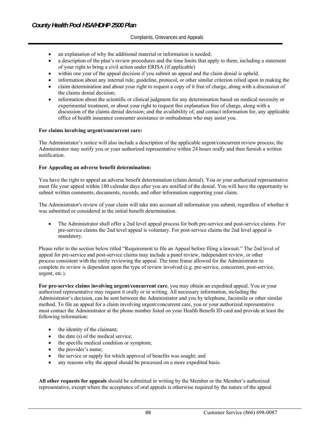- an explanation of why the additional material or information is needed;
- a description of the plan's review procedures and the time limits that apply to them, including a statement of your right to bring a civil action under ERISA (if applicable)
- within one year of the appeal decision if you submit an appeal and the claim denial is upheld.
- information about any internal rule, guideline, protocol, or other similar criterion relied upon in making the
- claim determination and about your right to request a copy of it free of charge, along with a discussion of the claims denial decision;
- information about the scientific or clinical judgment for any determination based on medical necessity or experimental treatment, or about your right to request this explanation free of charge, along with a discussion of the claims denial decision; and the availability of, and contact information for, any applicable office of health insurance consumer assistance or ombudsman who may assist you.

#### **For claims involving urgent/concurrent care:**

The Administrator's notice will also include a description of the applicable urgent/concurrent review process; the Administrator may notify you or your authorized representative within 24 hours orally and then furnish a written notification.

#### **For Appealing an adverse benefit determination:**

You have the right to appeal an adverse benefit determination (claim denial). You or your authorized representative must file your appeal within 180 calendar days after you are notified of the denial. You will have the opportunity to submit written comments, documents, records, and other information supporting your claim.

The Administrator's review of your claim will take into account all information you submit, regardless of whether it was submitted or considered in the initial benefit determination.

 The Administrator shall offer a 2nd level appeal process for both pre-service and post-service claims. For pre-service claims the 2nd level appeal is voluntary. For post-service claims the 2nd level appeal is mandatory.

Please refer to the section below titled "Requirement to file an Appeal before filing a lawsuit." The 2nd level of appeal for pre-service and post-service claims may include a panel review, independent review, or other process consistent with the entity reviewing the appeal. The time frame allowed for the Administrator to complete its review is dependent upon the type of review involved (e.g. pre-service, concurrent, post-service, urgent, etc.).

**For pre-service claims involving urgent/concurrent care**, you may obtain an expedited appeal. You or your authorized representative may request it orally or in writing. All necessary information, including the Administrator's decision, can be sent between the Administrator and you by telephone, facsimile or other similar method. To file an appeal for a claim involving urgent/concurrent care, you or your authorized representative must contact the Administrator at the phone number listed on your Health Benefit ID card and provide at least the following information:

- the identity of the claimant;
- the date (s) of the medical service;
- the specific medical condition or symptom;
- the provider's name;
- the service or supply for which approval of benefits was sought; and
- any reasons why the appeal should be processed on a more expedited basis.

**All other requests for appeals** should be submitted in writing by the Member or the Member's authorized representative, except where the acceptance of oral appeals is otherwise required by the nature of the appeal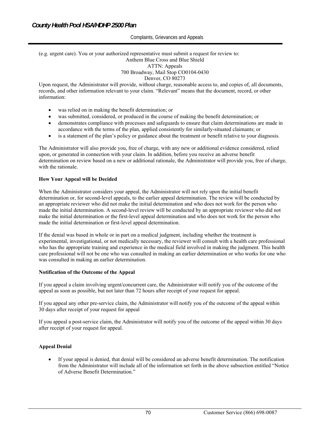## (e.g. urgent care). You or your authorized representative must submit a request for review to: Anthem Blue Cross and Blue Shield ATTN: Appeals 700 Broadway, Mail Stop CO0104-0430

#### Denver, CO 80273

Upon request, the Administrator will provide, without charge, reasonable access to, and copies of, all documents, records, and other information relevant to your claim. "Relevant" means that the document, record, or other information:

- was relied on in making the benefit determination; or
- was submitted, considered, or produced in the course of making the benefit determination; or
- demonstrates compliance with processes and safeguards to ensure that claim determinations are made in accordance with the terms of the plan, applied consistently for similarly-situated claimants; or
- is a statement of the plan's policy or guidance about the treatment or benefit relative to your diagnosis.

The Administrator will also provide you, free of charge, with any new or additional evidence considered, relied upon, or generated in connection with your claim. In addition, before you receive an adverse benefit determination on review based on a new or additional rationale, the Administrator will provide you, free of charge, with the rationale.

#### **How Your Appeal will be Decided**

When the Administrator considers your appeal, the Administrator will not rely upon the initial benefit determination or, for second-level appeals, to the earlier appeal determination. The review will be conducted by an appropriate reviewer who did not make the initial determination and who does not work for the person who made the initial determination. A second-level review will be conducted by an appropriate reviewer who did not make the initial determination or the first-level appeal determination and who does not work for the person who made the initial determination or first-level appeal determination.

If the denial was based in whole or in part on a medical judgment, including whether the treatment is experimental, investigational, or not medically necessary, the reviewer will consult with a health care professional who has the appropriate training and experience in the medical field involved in making the judgment. This health care professional will not be one who was consulted in making an earlier determination or who works for one who was consulted in making an earlier determination.

#### **Notification of the Outcome of the Appeal**

If you appeal a claim involving urgent/concurrent care, the Administrator will notify you of the outcome of the appeal as soon as possible, but not later than 72 hours after receipt of your request for appeal.

If you appeal any other pre-service claim, the Administrator will notify you of the outcome of the appeal within 30 days after receipt of your request for appeal

If you appeal a post-service claim, the Administrator will notify you of the outcome of the appeal within 30 days after receipt of your request for appeal.

#### **Appeal Denial**

 If your appeal is denied, that denial will be considered an adverse benefit determination. The notification from the Administrator will include all of the information set forth in the above subsection entitled "Notice of Adverse Benefit Determination."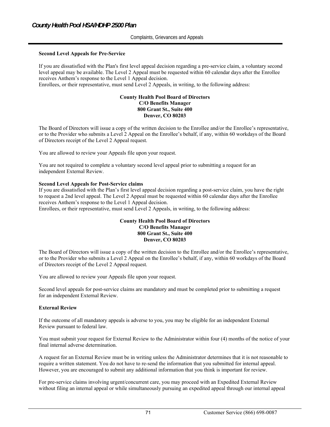#### **Second Level Appeals for Pre-Service**

If you are dissatisfied with the Plan's first level appeal decision regarding a pre-service claim, a voluntary second level appeal may be available. The Level 2 Appeal must be requested within 60 calendar days after the Enrollee receives Anthem's response to the Level 1 Appeal decision.

Enrollees, or their representative, must send Level 2 Appeals, in writing, to the following address:

#### **County Health Pool Board of Directors C/O Benefits Manager 800 Grant St., Suite 400 Denver, CO 80203**

The Board of Directors will issue a copy of the written decision to the Enrollee and/or the Enrollee's representative, or to the Provider who submits a Level 2 Appeal on the Enrollee's behalf, if any, within 60 workdays of the Board of Directors receipt of the Level 2 Appeal request.

You are allowed to review your Appeals file upon your request.

You are not required to complete a voluntary second level appeal prior to submitting a request for an independent External Review.

#### **Second Level Appeals for Post-Service claims**

If you are dissatisfied with the Plan's first level appeal decision regarding a post-service claim, you have the right to request a 2nd level appeal. The Level 2 Appeal must be requested within 60 calendar days after the Enrollee receives Anthem's response to the Level 1 Appeal decision.

Enrollees, or their representative, must send Level 2 Appeals, in writing, to the following address:

#### **County Health Pool Board of Directors C/O Benefits Manager 800 Grant St., Suite 400 Denver, CO 80203**

The Board of Directors will issue a copy of the written decision to the Enrollee and/or the Enrollee's representative, or to the Provider who submits a Level 2 Appeal on the Enrollee's behalf, if any, within 60 workdays of the Board of Directors receipt of the Level 2 Appeal request.

You are allowed to review your Appeals file upon your request.

Second level appeals for post-service claims are mandatory and must be completed prior to submitting a request for an independent External Review.

#### **External Review**

If the outcome of all mandatory appeals is adverse to you, you may be eligible for an independent External Review pursuant to federal law.

You must submit your request for External Review to the Administrator within four (4) months of the notice of your final internal adverse determination.

A request for an External Review must be in writing unless the Administrator determines that it is not reasonable to require a written statement. You do not have to re-send the information that you submitted for internal appeal. However, you are encouraged to submit any additional information that you think is important for review.

For pre-service claims involving urgent/concurrent care, you may proceed with an Expedited External Review without filing an internal appeal or while simultaneously pursuing an expedited appeal through our internal appeal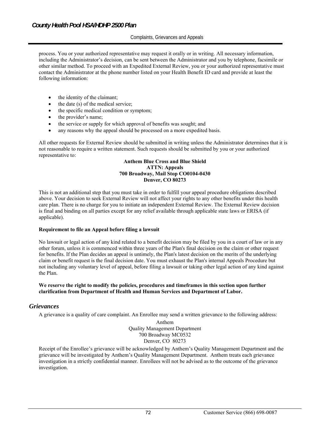process. You or your authorized representative may request it orally or in writing. All necessary information, including the Administrator's decision, can be sent between the Administrator and you by telephone, facsimile or other similar method. To proceed with an Expedited External Review, you or your authorized representative must contact the Administrator at the phone number listed on your Health Benefit ID card and provide at least the following information:

- the identity of the claimant;
- $\bullet$  the date (s) of the medical service;
- the specific medical condition or symptom;
- the provider's name;
- the service or supply for which approval of benefits was sought; and
- any reasons why the appeal should be processed on a more expedited basis.

All other requests for External Review should be submitted in writing unless the Administrator determines that it is not reasonable to require a written statement. Such requests should be submitted by you or your authorized representative to:

#### **Anthem Blue Cross and Blue Shield ATTN: Appeals 700 Broadway, Mail Stop CO0104-0430 Denver, CO 80273**

This is not an additional step that you must take in order to fulfill your appeal procedure obligations described above. Your decision to seek External Review will not affect your rights to any other benefits under this health care plan. There is no charge for you to initiate an independent External Review. The External Review decision is final and binding on all parties except for any relief available through applicable state laws or ERISA (if applicable).

#### **Requirement to file an Appeal before filing a lawsuit**

No lawsuit or legal action of any kind related to a benefit decision may be filed by you in a court of law or in any other forum, unless it is commenced within three years of the Plan's final decision on the claim or other request for benefits. If the Plan decides an appeal is untimely, the Plan's latest decision on the merits of the underlying claim or benefit request is the final decision date. You must exhaust the Plan's internal Appeals Procedure but not including any voluntary level of appeal, before filing a lawsuit or taking other legal action of any kind against the Plan.

#### **We reserve the right to modify the policies, procedures and timeframes in this section upon further clarification from Department of Health and Human Services and Department of Labor.**

## *Grievances*

A grievance is a quality of care complaint. An Enrollee may send a written grievance to the following address:

Anthem Quality Management Department 700 Broadway MC0532 Denver, CO 80273

Receipt of the Enrollee's grievance will be acknowledged by Anthem's Quality Management Department and the grievance will be investigated by Anthem's Quality Management Department. Anthem treats each grievance investigation in a strictly confidential manner. Enrollees will not be advised as to the outcome of the grievance investigation.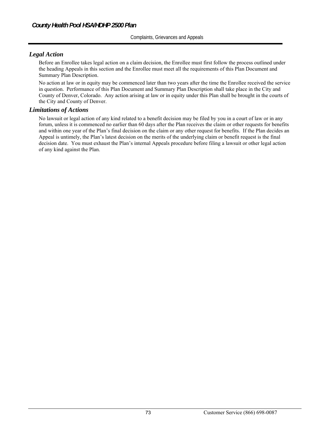# *Legal Action*

Before an Enrollee takes legal action on a claim decision, the Enrollee must first follow the process outlined under the heading Appeals in this section and the Enrollee must meet all the requirements of this Plan Document and Summary Plan Description.

No action at law or in equity may be commenced later than two years after the time the Enrollee received the service in question. Performance of this Plan Document and Summary Plan Description shall take place in the City and County of Denver, Colorado. Any action arising at law or in equity under this Plan shall be brought in the courts of the City and County of Denver.

### *Limitations of Actions*

No lawsuit or legal action of any kind related to a benefit decision may be filed by you in a court of law or in any forum, unless it is commenced no earlier than 60 days after the Plan receives the claim or other requests for benefits and within one year of the Plan's final decision on the claim or any other request for benefits. If the Plan decides an Appeal is untimely, the Plan's latest decision on the merits of the underlying claim or benefit request is the final decision date. You must exhaust the Plan's internal Appeals procedure before filing a lawsuit or other legal action of any kind against the Plan.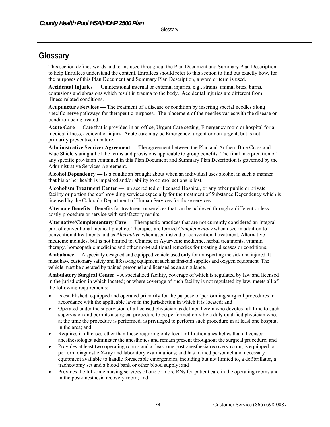# **Glossary**

This section defines words and terms used throughout the Plan Document and Summary Plan Description to help Enrollees understand the content. Enrollees should refer to this section to find out exactly how, for the purposes of this Plan Document and Summary Plan Description, a word or term is used.

**Accidental Injuries** — Unintentional internal or external injuries, e.g., strains, animal bites, burns, contusions and abrasions which result in trauma to the body. Accidental injuries are different from illness-related conditions.

**Acupuncture Services —** The treatment of a disease or condition by inserting special needles along specific nerve pathways for therapeutic purposes. The placement of the needles varies with the disease or condition being treated.

**Acute Care —** Care that is provided in an office, Urgent Care setting, Emergency room or hospital for a medical illness, accident or injury. Acute care may be Emergency, urgent or non-urgent, but is not primarily preventive in nature.

**Administrative Services Agreement** — The agreement between the Plan and Anthem Blue Cross and Blue Shield stating all of the terms and provisions applicable to group benefits. The final interpretation of any specific provision contained in this Plan Document and Summary Plan Description is governed by the Administrative Services Agreement.

**Alcohol Dependency —** Is a condition brought about when an individual uses alcohol in such a manner that his or her health is impaired and/or ability to control actions is lost.

**Alcoholism Treatment Center** — an accredited or licensed Hospital, or any other public or private facility or portion thereof providing services especially for the treatment of Substance Dependency which is licensed by the Colorado Department of Human Services for those services.

**Alternate Benefits** - Benefits for treatment or services that can be achieved through a different or less costly procedure or service with satisfactory results.

**Alternative/Complementary Care** — Therapeutic practices that are not currently considered an integral part of conventional medical practice. Therapies are termed *Complementary* when used in addition to conventional treatments and as *Alternative* when used instead of conventional treatment. Alternative medicine includes, but is not limited to, Chinese or Ayurvedic medicine, herbal treatments, vitamin therapy, homeopathic medicine and other non-traditional remedies for treating diseases or conditions.

**Ambulance** — A specially designed and equipped vehicle used **only** for transporting the sick and injured. It must have customary safety and lifesaving equipment such as first-aid supplies and oxygen equipment. The vehicle must be operated by trained personnel and licensed as an ambulance.

**Ambulatory Surgical Center** - A specialized facility, coverage of which is regulated by law and licensed in the jurisdiction in which located; or where coverage of such facility is not regulated by law, meets all of the following requirements:

- Is established, equipped and operated primarily for the purpose of performing surgical procedures in accordance with the applicable laws in the jurisdiction in which it is located; and
- Operated under the supervision of a licensed physician as defined herein who devotes full time to such supervision and permits a surgical procedure to be performed only by a duly qualified physician who, at the time the procedure is performed, is privileged to perform such procedure in at least one hospital in the area; and
- Requires in all cases other than those requiring only local infiltration anesthetics that a licensed anesthesiologist administer the anesthetics and remain present throughout the surgical procedure; and
- Provides at least two operating rooms and at least one post-anesthesia recovery room; is equipped to perform diagnostic X-ray and laboratory examinations; and has trained personnel and necessary equipment available to handle foreseeable emergencies, including but not limited to, a defibrillator, a tracheotomy set and a blood bank or other blood supply; and
- Provides the full-time nursing services of one or more RNs for patient care in the operating rooms and in the post-anesthesia recovery room; and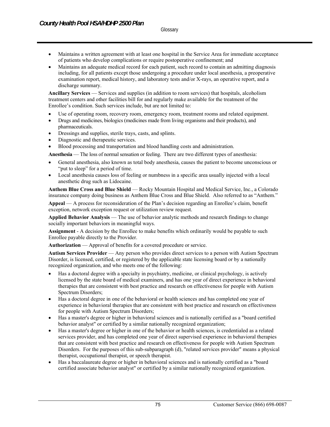**Glossary** 

- Maintains a written agreement with at least one hospital in the Service Area for immediate acceptance of patients who develop complications or require postoperative confinement; and
- Maintains an adequate medical record for each patient, such record to contain an admitting diagnosis including, for all patients except those undergoing a procedure under local anesthesia, a preoperative examination report, medical history, and laboratory tests and/or X-rays, an operative report, and a discharge summary.

**Ancillary Services** — Services and supplies (in addition to room services) that hospitals, alcoholism treatment centers and other facilities bill for and regularly make available for the treatment of the Enrollee's condition. Such services include, but are not limited to:

- Use of operating room, recovery room, emergency room, treatment rooms and related equipment.
- Drugs and medicines, biologics (medicines made from living organisms and their products), and pharmaceuticals.
- Dressings and supplies, sterile trays, casts, and splints.
- Diagnostic and therapeutic services.
- Blood processing and transportation and blood handling costs and administration.

**Anesthesia** — The loss of normal sensation or feeling. There are two different types of anesthesia:

- General anesthesia, also known as total body anesthesia, causes the patient to become unconscious or "put to sleep" for a period of time.
- Local anesthesia causes loss of feeling or numbness in a specific area usually injected with a local anesthetic drug such as Lidocaine.

**Anthem Blue Cross and Blue Shield** — Rocky Mountain Hospital and Medical Service, Inc., a Colorado insurance company doing business as Anthem Blue Cross and Blue Shield. Also referred to as "Anthem."

**Appeal** — A process for reconsideration of the Plan's decision regarding an Enrollee's claim, benefit exception, network exception request or utilization review request.

**Applied Behavior Analysis** — The use of behavior analytic methods and research findings to change socially important behaviors in meaningful ways.

**Assignment** - A decision by the Enrollee to make benefits which ordinarily would be payable to such Enrollee payable directly to the Provider.

**Authorization** — Approval of benefits for a covered procedure or service.

**Autism Services Provider** — Any person who provides direct services to a person with Autism Spectrum Disorder, is licensed, certified, or registered by the applicable state licensing board or by a nationally recognized organization, and who meets one of the following:

- Has a doctoral degree with a specialty in psychiatry, medicine, or clinical psychology, is actively licensed by the state board of medical examiners, and has one year of direct experience in behavioral therapies that are consistent with best practice and research on effectiveness for people with Autism Spectrum Disorders;
- Has a doctoral degree in one of the behavioral or health sciences and has completed one year of experience in behavioral therapies that are consistent with best practice and research on effectiveness for people with Autism Spectrum Disorders;
- Has a master's degree or higher in behavioral sciences and is nationally certified as a "board certified behavior analyst" or certified by a similar nationally recognized organization;
- Has a master's degree or higher in one of the behavior or health sciences, is credentialed as a related services provider, and has completed one year of direct supervised experience in behavioral therapies that are consistent with best practice and research on effectiveness for people with Autism Spectrum Disorders. For the purposes of this sub-subparagraph (d), "related services provider" means a physical therapist, occupational therapist, or speech therapist.
- Has a baccalaureate degree or higher in behavioral sciences and is nationally certified as a "board certified associate behavior analyst" or certified by a similar nationally recognized organization.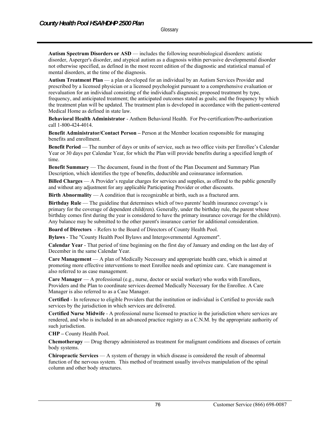**Autism Spectrum Disorders or ASD** — includes the following neurobiological disorders: autistic disorder, Asperger's disorder, and atypical autism as a diagnosis within pervasive developmental disorder not otherwise specified, as defined in the most recent edition of the diagnostic and statistical manual of mental disorders, at the time of the diagnosis.

**Autism Treatment Plan** — a plan developed for an individual by an Autism Services Provider and prescribed by a licensed physician or a licensed psychologist pursuant to a comprehensive evaluation or reevaluation for an individual consisting of the individual's diagnosis; proposed treatment by type, frequency, and anticipated treatment; the anticipated outcomes stated as goals; and the frequency by which the treatment plan will be updated. The treatment plan is developed in accordance with the patient-centered Medical Home as defined in state law.

**Behavioral Health Administrator** - Anthem Behavioral Health. For Pre-certification/Pre-authorization call 1-800-424-4014.

**Benefit Administrator/Contact Person –** Person at the Member location responsible for managing benefits and enrollment.

**Benefit Period** — The number of days or units of service, such as two office visits per Enrollee's Calendar Year or 30 days per Calendar Year, for which the Plan will provide benefits during a specified length of time.

**Benefit Summary** — The document, found in the front of the Plan Document and Summary Plan Description, which identifies the type of benefits, deductible and coinsurance information.

**Billed Charges** — A Provider's regular charges for services and supplies, as offered to the public generally and without any adjustment for any applicable Participating Provider or other discounts.

**Birth Abnormality** — A condition that is recognizable at birth, such as a fractured arm.

**Birthday Rule** — The guideline that determines which of two parents' health insurance coverage's is primary for the coverage of dependent child(ren). Generally, under the birthday rule, the parent whose birthday comes first during the year is considered to have the primary insurance coverage for the child(ren). Any balance may be submitted to the other parent's insurance carrier for additional consideration.

**Board of Directors** - Refers to the Board of Directors of County Health Pool.

**Bylaws** - The "County Health Pool Bylaws and Intergovernmental Agreement".

**Calendar Year** - That period of time beginning on the first day of January and ending on the last day of December in the same Calendar Year.

**Care Management** — A plan of Medically Necessary and appropriate health care, which is aimed at promoting more effective interventions to meet Enrollee needs and optimize care. Care management is also referred to as case management.

**Care Manager** — A professional (e.g., nurse, doctor or social worker) who works with Enrollees, Providers and the Plan to coordinate services deemed Medically Necessary for the Enrollee. A Care Manager is also referred to as a Case Manager.

**Certified** - In reference to eligible Providers that the institution or individual is Certified to provide such services by the jurisdiction in which services are delivered.

**Certified Nurse Midwife** - A professional nurse licensed to practice in the jurisdiction where services are rendered, and who is included in an advanced practice registry as a C.N.M. by the appropriate authority of such jurisdiction.

**CHP –** County Health Pool.

**Chemotherapy** — Drug therapy administered as treatment for malignant conditions and diseases of certain body systems.

**Chiropractic Services** — A system of therapy in which disease is considered the result of abnormal function of the nervous system. This method of treatment usually involves manipulation of the spinal column and other body structures.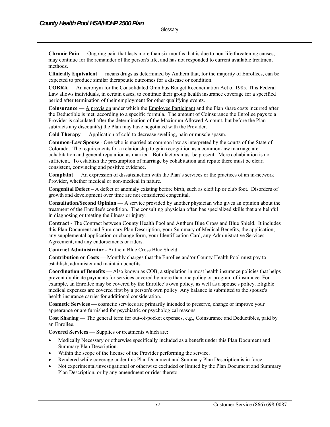**Chronic Pain** — Ongoing pain that lasts more than six months that is due to non-life threatening causes, may continue for the remainder of the person's life, and has not responded to current available treatment methods.

**Clinically Equivalent** — means drugs as determined by Anthem that, for the majority of Enrollees, can be expected to produce similar therapeutic outcomes for a disease or condition.

**COBRA** — An acronym for the Consolidated Omnibus Budget Reconciliation Act of 1985. This Federal Law allows individuals, in certain cases, to continue their group health insurance coverage for a specified period after termination of their employment for other qualifying events.

**Coinsurance** — A provision under which the Employee Participant and the Plan share costs incurred after the Deductible is met, according to a specific formula. The amount of Coinsurance the Enrollee pays to a Provider is calculated after the determination of the Maximum Allowed Amount, but before the Plan subtracts any discount(s) the Plan may have negotiated with the Provider.

**Cold Therapy** — Application of cold to decrease swelling, pain or muscle spasm.

**Common-Law Spouse** - One who is married at common law as interpreted by the courts of the State of Colorado. The requirements for a relationship to gain recognition as a common-law marriage are cohabitation and general reputation as married. Both factors must be present. Mere cohabitation is not sufficient. To establish the presumption of marriage by cohabitation and repute there must be clear, consistent, convincing and positive evidence.

**Complaint** — An expression of dissatisfaction with the Plan's services or the practices of an in-network Provider, whether medical or non-medical in nature.

**Congenital Defect** – A defect or anomaly existing before birth, such as cleft lip or club foot. Disorders of growth and development over time are not considered congenital.

**Consultation/Second Opinion** — A service provided by another physician who gives an opinion about the treatment of the Enrollee's condition. The consulting physician often has specialized skills that are helpful in diagnosing or treating the illness or injury.

**Contract** - The Contract between County Health Pool and Anthem Blue Cross and Blue Shield. It includes this Plan Document and Summary Plan Description, your Summary of Medical Benefits, the application, any supplemental application or change form, your Identification Card, any Administrative Services Agreement, and any endorsements or riders.

**Contract Administrator** - Anthem Blue Cross Blue Shield.

**Contribution or Costs** — Monthly charges that the Enrollee and/or County Health Pool must pay to establish, administer and maintain benefits.

**Coordination of Benefits —** Also known as COB, a stipulation in most health insurance policies that helps prevent duplicate payments for services covered by more than one policy or program of insurance. For example, an Enrollee may be covered by the Enrollee's own policy, as well as a spouse's policy. Eligible medical expenses are covered first by a person's own policy. Any balance is submitted to the spouse's health insurance carrier for additional consideration.

**Cosmetic Services** — cosmetic services are primarily intended to preserve, change or improve your appearance or are furnished for psychiatric or psychological reasons.

**Cost Sharing** — The general term for out-of-pocket expenses, e.g., Coinsurance and Deductibles, paid by an Enrollee.

**Covered Services** — Supplies or treatments which are:

- Medically Necessary or otherwise specifically included as a benefit under this Plan Document and Summary Plan Description.
- Within the scope of the license of the Provider performing the service.
- Rendered while coverage under this Plan Document and Summary Plan Description is in force.
- Not experimental/investigational or otherwise excluded or limited by the Plan Document and Summary Plan Description, or by any amendment or rider thereto.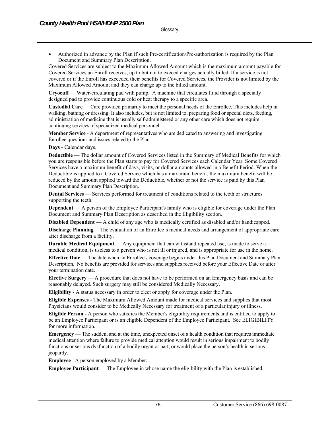Authorized in advance by the Plan if such Pre-certification/Pre-authorization is required by the Plan Document and Summary Plan Description.

Covered Services are subject to the Maximum Allowed Amount which is the maximum amount payable for Covered Services an Enroll receives, up to but not to exceed charges actually billed. If a service is not covered or if the Enroll has exceeded their benefits for Covered Services, the Provider is not limited by the Maximum Allowed Amount and they can charge up to the billed amount.

**Cryocuff** — Water-circulating pad with pump. A machine that circulates fluid through a specially designed pad to provide continuous cold or heat therapy to a specific area.

**Custodial Care** — Care provided primarily to meet the personal needs of the Enrollee. This includes help in walking, bathing or dressing. It also includes, but is not limited to, preparing food or special diets, feeding, administration of medicine that is usually self-administered or any other care which does not require continuing services of specialized medical personnel.

**Member Service** - A department of representatives who are dedicated to answering and investigating Enrollee questions and issues related to the Plan.

**Days** - Calendar days.

**Deductible** — The dollar amount of Covered Services listed in the Summary of Medical Benefits for which you are responsible before the Plan starts to pay for Covered Services each Calendar Year. Some Covered Services have a maximum benefit of days, visits, or dollar amounts allowed in a Benefit Period. When the Deductible is applied to a Covered Service which has a maximum benefit, the maximum benefit will be reduced by the amount applied toward the Deductible, whether or not the service is paid by this Plan Document and Summary Plan Description.

**Dental Services** — Services performed for treatment of conditions related to the teeth or structures supporting the teeth.

**Dependent** — A person of the Employee Participant's family who is eligible for coverage under the Plan Document and Summary Plan Description as described in the Eligibility section.

**Disabled Dependent** — A child of any age who is medically certified as disabled and/or handicapped.

**Discharge Planning** —The evaluation of an Enrollee's medical needs and arrangement of appropriate care after discharge from a facility.

**Durable Medical Equipment** — Any equipment that can withstand repeated use, is made to serve a medical condition, is useless to a person who is not ill or injured, and is appropriate for use in the home.

**Effective Date** — The date when an Enrollee's coverage begins under this Plan Document and Summary Plan Description. No benefits are provided for services and supplies received before your Effective Date or after your termination date.

**Elective Surgery** — A procedure that does not have to be performed on an Emergency basis and can be reasonably delayed. Such surgery may still be considered Medically Necessary.

**Eligibility** - A status necessary in order to elect or apply for coverage under the Plan.

**Eligible Expenses** - The Maximum Allowed Amount made for medical services and supplies that most Physicians would consider to be Medically Necessary for treatment of a particular injury or illness.

**Eligible Person** - A person who satisfies the Member's eligibility requirements and is entitled to apply to be an Employee Participant or is an eligible Dependent of the Employee Participant. See ELIGIBILITY for more information.

**Emergency** — The sudden, and at the time, unexpected onset of a health condition that requires immediate medical attention where failure to provide medical attention would result in serious impairment to bodily functions or serious dysfunction of a bodily organ or part, or would place the person's health in serious jeopardy.

**Employee** - A person employed by a Member.

**Employee Participant** — The Employee in whose name the eligibility with the Plan is established.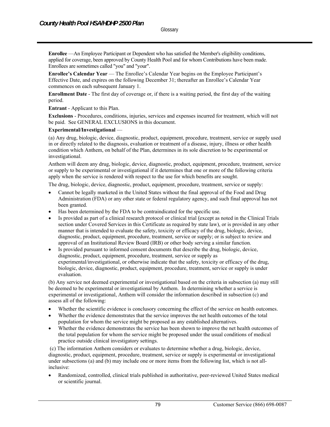**Enrollee** —An Employee Participant or Dependent who has satisfied the Member's eligibility conditions, applied for coverage, been approved by County Health Pool and for whom Contributions have been made. Enrollees are sometimes called "you" and "your".

**Enrollee's Calendar Year** — The Enrollee's Calendar Year begins on the Employee Participant's Effective Date, and expires on the following December 31; thereafter an Enrollee's Calendar Year commences on each subsequent January 1.

**Enrollment Date** - The first day of coverage or, if there is a waiting period, the first day of the waiting period.

**Entrant** - Applicant to this Plan.

**Exclusions** - Procedures, conditions, injuries, services and expenses incurred for treatment, which will not be paid. See GENERAL EXCLUSIONS in this document.

#### **Experimental/Investigational** —

(a) Any drug, biologic, device, diagnostic, product, equipment, procedure, treatment, service or supply used in or directly related to the diagnosis, evaluation or treatment of a disease, injury, illness or other health condition which Anthem, on behalf of the Plan, determines in its sole discretion to be experimental or investigational.

Anthem will deem any drug, biologic, device, diagnostic, product, equipment, procedure, treatment, service or supply to be experimental or investigational if it determines that one or more of the following criteria apply when the service is rendered with respect to the use for which benefits are sought.

The drug, biologic, device, diagnostic, product, equipment, procedure, treatment, service or supply:

- Cannot be legally marketed in the United States without the final approval of the Food and Drug Administration (FDA) or any other state or federal regulatory agency, and such final approval has not been granted.
- Has been determined by the FDA to be contraindicated for the specific use.
- Is provided as part of a clinical research protocol or clinical trial (except as noted in the Clinical Trials section under Covered Services in this Certificate as required by state law), or is provided in any other manner that is intended to evaluate the safety, toxicity or efficacy of the drug, biologic, device, diagnostic, product, equipment, procedure, treatment, service or supply; or is subject to review and approval of an Institutional Review Board (IRB) or other body serving a similar function.
- Is provided pursuant to informed consent documents that describe the drug, biologic, device, diagnostic, product, equipment, procedure, treatment, service or supply as experimental/investigational, or otherwise indicate that the safety, toxicity or efficacy of the drug, biologic, device, diagnostic, product, equipment, procedure, treatment, service or supply is under evaluation.

(b) Any service not deemed experimental or investigational based on the criteria in subsection (a) may still be deemed to be experimental or investigational by Anthem. In determining whether a service is experimental or investigational, Anthem will consider the information described in subsection (c) and assess all of the following:

- Whether the scientific evidence is conclusory concerning the effect of the service on health outcomes.
- Whether the evidence demonstrates that the service improves the net health outcomes of the total population for whom the service might be proposed as any established alternatives.
- Whether the evidence demonstrates the service has been shown to improve the net health outcomes of the total population for whom the service might be proposed under the usual conditions of medical practice outside clinical investigatory settings.

 (c) The information Anthem considers or evaluates to determine whether a drug, biologic, device, diagnostic, product, equipment, procedure, treatment, service or supply is experimental or investigational under subsections (a) and (b) may include one or more items from the following list, which is not allinclusive:

 Randomized, controlled, clinical trials published in authoritative, peer-reviewed United States medical or scientific journal.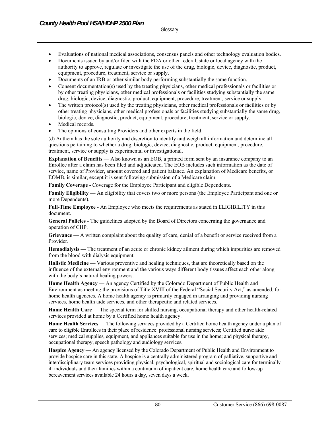- Evaluations of national medical associations, consensus panels and other technology evaluation bodies.
- Documents issued by and/or filed with the FDA or other federal, state or local agency with the authority to approve, regulate or investigate the use of the drug, biologic, device, diagnostic, product, equipment, procedure, treatment, service or supply.
- Documents of an IRB or other similar body performing substantially the same function.
- Consent documentation(s) used by the treating physicians, other medical professionals or facilities or by other treating physicians, other medical professionals or facilities studying substantially the same drug, biologic, device, diagnostic, product, equipment, procedure, treatment, service or supply.
- The written protocol(s) used by the treating physicians, other medical professionals or facilities or by other treating physicians, other medical professionals or facilities studying substantially the same drug, biologic, device, diagnostic, product, equipment, procedure, treatment, service or supply.
- Medical records.
- The opinions of consulting Providers and other experts in the field.

(d) Anthem has the sole authority and discretion to identify and weigh all information and determine all questions pertaining to whether a drug, biologic, device, diagnostic, product, equipment, procedure, treatment, service or supply is experimental or investigational.

**Explanation of Benefits** — Also known as an EOB, a printed form sent by an insurance company to an Enrollee after a claim has been filed and adjudicated. The EOB includes such information as the date of service, name of Provider, amount covered and patient balance. An explanation of Medicare benefits, or EOMB, is similar, except it is sent following submission of a Medicare claim.

**Family Coverage** - Coverage for the Employee Participant and eligible Dependents.

**Family Eligibility** — An eligibility that covers two or more persons (the Employee Participant and one or more Dependents).

**Full-Time Employee** - An Employee who meets the requirements as stated in ELIGIBILITY in this document.

**General Policies** - The guidelines adopted by the Board of Directors concerning the governance and operation of CHP.

**Grievance** — A written complaint about the quality of care, denial of a benefit or service received from a Provider.

**Hemodialysis** — The treatment of an acute or chronic kidney ailment during which impurities are removed from the blood with dialysis equipment.

**Holistic Medicine** — Various preventive and healing techniques, that are theoretically based on the influence of the external environment and the various ways different body tissues affect each other along with the body's natural healing powers.

**Home Health Agency** — An agency Certified by the Colorado Department of Public Health and Environment as meeting the provisions of Title XVIII of the Federal "Social Security Act," as amended, for home health agencies. A home health agency is primarily engaged in arranging and providing nursing services, home health aide services, and other therapeutic and related services.

**Home Health Care** — The special term for skilled nursing, occupational therapy and other health-related services provided at home by a Certified home health agency.

**Home Health Services** — The following services provided by a Certified home health agency under a plan of care to eligible Enrollees in their place of residence: professional nursing services; Certified nurse aide services; medical supplies, equipment, and appliances suitable for use in the home; and physical therapy, occupational therapy, speech pathology and audiology services.

**Hospice Agency** — An agency licensed by the Colorado Department of Public Health and Environment to provide hospice care in this state. A hospice is a centrally administered program of palliative, supportive and interdisciplinary team services providing physical, psychological, spiritual and sociological care for terminally ill individuals and their families within a continuum of inpatient care, home health care and follow-up bereavement services available 24 hours a day, seven days a week.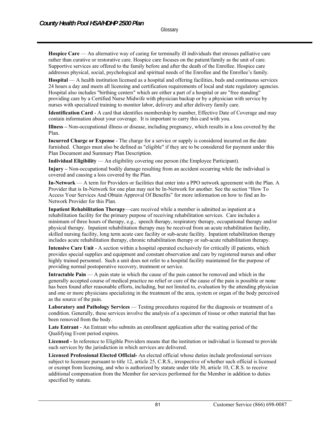**Hospice Care** — An alternative way of caring for terminally ill individuals that stresses palliative care rather than curative or restorative care. Hospice care focuses on the patient/family as the unit of care. Supportive services are offered to the family before and after the death of the Enrollee. Hospice care addresses physical, social, psychological and spiritual needs of the Enrollee and the Enrollee's family.

**Hospital** — A health institution licensed as a hospital and offering facilities, beds and continuous services 24 hours a day and meets all licensing and certification requirements of local and state regulatory agencies. Hospital also includes "birthing centers" which are either a part of a hospital or are "free standing" providing care by a Certified Nurse Midwife with physician backup or by a physician with service by nurses with specialized training to monitor labor, delivery and after delivery family care.

**Identification Card** - A card that identifies membership by number, Effective Date of Coverage and may contain information about your coverage. It is important to carry this card with you.

**Illness –** Non-occupational illness or disease, including pregnancy, which results in a loss covered by the Plan.

**Incurred Charge or Expense** - The charge for a service or supply is considered incurred on the date furnished. Charges must also be defined as "eligible" if they are to be considered for payment under this Plan Document and Summary Plan Description.

**Individual Eligibility** — An eligibility covering one person (the Employee Participant).

**Injury –** Non-occupational bodily damage resulting from an accident occurring while the individual is covered and causing a loss covered by the Plan.

**In-Network** — A term for Providers or facilities that enter into a PPO network agreement with the Plan. A Provider that is In-Network for one plan may not be In-Network for another. See the section "How To Access Your Services And Obtain Approval Of Benefits" for more information on how to find an In-Network Provider for this Plan.

**Inpatient Rehabilitation Therapy—care received while a member is admitted as inpatient at a** rehabilitation facility for the primary purpose of receiving rehabilitation services. Care includes a minimum of three hours of therapy, e.g., speech therapy, respiratory therapy, occupational therapy and/or physical therapy. Inpatient rehabilitation therapy may be received from an acute rehabilitation facility, skilled nursing facility, long term acute care facility or sub-acute facility. Inpatient rehabilitation therapy includes acute rehabilitation therapy, chronic rehabilitation therapy or sub-acute rehabilitation therapy.

**Intensive Care Unit** - A section within a hospital operated exclusively for critically ill patients, which provides special supplies and equipment and constant observation and care by registered nurses and other highly trained personnel. Such a unit does not refer to a hospital facility maintained for the purpose of providing normal postoperative recovery, treatment or service.

**Intractable Pain** — A pain state in which the cause of the pain cannot be removed and which in the generally accepted course of medical practice no relief or cure of the cause of the pain is possible or none has been found after reasonable efforts, including, but not limited to, evaluation by the attending physician and one or more physicians specializing in the treatment of the area, system or organ of the body perceived as the source of the pain.

Laboratory and Pathology Services — Testing procedures required for the diagnosis or treatment of a condition. Generally, these services involve the analysis of a specimen of tissue or other material that has been removed from the body.

**Late Entrant** - An Entrant who submits an enrollment application after the waiting period of the Qualifying Event period expires.

**Licensed -** In reference to Eligible Providers means that the institution or individual is licensed to provide such services by the jurisdiction in which services are delivered.

**Licensed Professional Elected Official-** An elected official whose duties include professional services subject to licensure pursuant to title 12, article 25, C.R.S., irrespective of whether such official is licensed or exempt from licensing, and who is authorized by statute under title 30, article 10, C.R.S. to receive additional compensation from the Member for services performed for the Member in addition to duties specified by statute.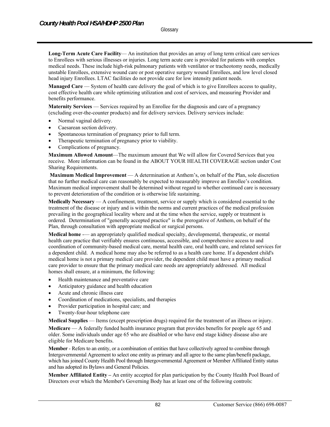**Long-Term Acute Care Facility**— An institution that provides an array of long term critical care services to Enrollees with serious illnesses or injuries. Long term acute care is provided for patients with complex medical needs. These include high-risk pulmonary patients with ventilator or tracheotomy needs, medically unstable Enrollees, extensive wound care or post operative surgery wound Enrollees, and low level closed head injury Enrollees. LTAC facilities do not provide care for low intensity patient needs.

**Managed Care** — System of health care delivery the goal of which is to give Enrollees access to quality, cost effective health care while optimizing utilization and cost of services, and measuring Provider and benefits performance.

**Maternity Services** — Services required by an Enrollee for the diagnosis and care of a pregnancy (excluding over-the-counter products) and for delivery services. Delivery services include:

- Normal vaginal delivery.
- Caesarean section delivery.
- Spontaneous termination of pregnancy prior to full term.
- Therapeutic termination of pregnancy prior to viability.
- Complications of pregnancy.

**Maximum Allowed Amount**—The maximum amount that We will allow for Covered Services that you receive. More information can be found in the ABOUT YOUR HEALTH COVERAGE section under Cost Sharing Requirements.

**Maximum Medical Improvement** — A determination at Anthem's, on behalf of the Plan, sole discretion that no further medical care can reasonably be expected to measurably improve an Enrollee's condition. Maximum medical improvement shall be determined without regard to whether continued care is necessary to prevent deterioration of the condition or is otherwise life sustaining.

**Medically Necessary** — A confinement, treatment, service or supply which is considered essential to the treatment of the disease or injury and is within the norms and current practices of the medical profession prevailing in the geographical locality where and at the time when the service, supply or treatment is ordered. Determination of "generally accepted practice" is the prerogative of Anthem, on behalf of the Plan, through consultation with appropriate medical or surgical persons.

**Medical home** -— an appropriately qualified medical specialty, developmental, therapeutic, or mental health care practice that verifiably ensures continuous, accessible, and comprehensive access to and coordination of community-based medical care, mental health care, oral health care, and related services for a dependent child. A medical home may also be referred to as a health care home. If a dependent child's medical home is not a primary medical care provider, the dependent child must have a primary medical care provider to ensure that the primary medical care needs are appropriately addressed. All medical homes shall ensure, at a minimum, the following:

- Health maintenance and preventative care
- Anticipatory guidance and health education
- Acute and chronic illness care
- Coordination of medications, specialists, and therapies
- Provider participation in hospital care; and
- Twenty-four-hour telephone care

**Medical Supplies** — Items (except prescription drugs) required for the treatment of an illness or injury.

**Medicare** — A federally funded health insurance program that provides benefits for people age 65 and older. Some individuals under age 65 who are disabled or who have end stage kidney disease also are eligible for Medicare benefits.

**Member** - Refers to an entity, or a combination of entities that have collectively agreed to combine through Intergovernmental Agreement to select one entity as primary and all agree to the same plan/benefit package, which has joined County Health Pool through Intergovernmental Agreement or Member Affiliated Entity status and has adopted its Bylaws and General Policies.

**Member Affiliated Entity –** An entity accepted for plan participation by the County Health Pool Board of Directors over which the Member's Governing Body has at least one of the following controls: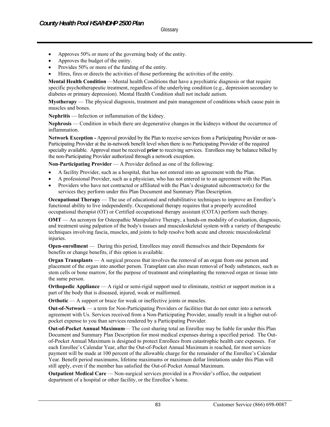- Approves 50% or more of the governing body of the entity.
- Approves the budget of the entity.
- Provides 50% or more of the funding of the entity.
- Hires, fires or directs the activities of those performing the activities of the entity.

**Mental Health Condition** —Mental health Conditions that have a psychiatric diagnosis or that require specific psychotherapeutic treatment, regardless of the underlying condition (e.g., depression secondary to diabetes or primary depression). Mental Health Condition shall not include autism.

**Myotherapy** — The physical diagnosis, treatment and pain management of conditions which cause pain in muscles and bones.

**Nephritis** — Infection or inflammation of the kidney.

**Nephrosis** — Condition in which there are degenerative changes in the kidneys without the occurrence of inflammation.

**Network Exception -** Approval provided by the Plan to receive services from a Participating Provider or non-Participating Provider at the in-network benefit level when there is no Participating Provider of the required specialty available. Approval must be received **prior** to receiving services. Enrollees may be balance billed by the non-Participating Provider authorized through a network exception.

**Non-Participating Provider** — A Provider defined as one of the following:

- A facility Provider, such as a hospital, that has not entered into an agreement with the Plan.
- A professional Provider, such as a physician, who has not entered in to an agreement with the Plan.
- Providers who have not contracted or affiliated with the Plan's designated subcontractor(s) for the services they perform under this Plan Document and Summary Plan Description.

**Occupational Therapy** — The use of educational and rehabilitative techniques to improve an Enrollee's functional ability to live independently. Occupational therapy requires that a properly accredited occupational therapist (OT) or Certified occupational therapy assistant (COTA) perform such therapy.

**OMT** — An acronym for Osteopathic Manipulative Therapy, a hands-on modality of evaluation, diagnosis, and treatment using palpation of the body's tissues and musculoskeletal system with a variety of therapeutic techniques involving fascia, muscles, and joints to help resolve both acute and chronic musculoskeletal injuries.

**Open-enrollment** — During this period, Enrollees may enroll themselves and their Dependents for benefits or change benefits, if this option is available.

**Organ Transplants** — A surgical process that involves the removal of an organ from one person and placement of the organ into another person. Transplant can also mean removal of body substances, such as stem cells or bone marrow, for the purpose of treatment and reimplanting the removed organ or tissue into the same person.

**Orthopedic Appliance** — A rigid or semi-rigid support used to eliminate, restrict or support motion in a part of the body that is diseased, injured, weak or malformed.

**Orthotic** — A support or brace for weak or ineffective joints or muscles.

**Out-of-Network** — a term for Non-Participating Providers or facilities that do not enter into a network agreement with Us. Services received from a Non-Participating Provider, usually result in a higher out-ofpocket expense to you than services rendered by a Participating Provider.

**Out-of-Pocket Annual Maximum**— The cost sharing total an Enrollee may be liable for under this Plan Document and Summary Plan Description for most medical expenses during a specified period. The Outof-Pocket Annual Maximum is designed to protect Enrollees from catastrophic health care expenses. For each Enrollee's Calendar Year, after the Out-of-Pocket Annual Maximum is reached, for most services payment will be made at 100 percent of the allowable charge for the remainder of the Enrollee's Calendar Year. Benefit period maximums, lifetime maximums or maximum dollar limitations under this Plan will still apply, even if the member has satisfied the Out-of-Pocket Annual Maximum.

**Outpatient Medical Care** — Non-surgical services provided in a Provider's office, the outpatient department of a hospital or other facility, or the Enrollee's home.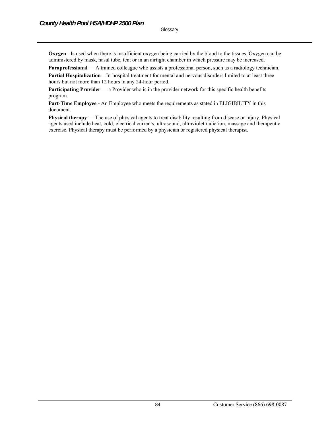**Oxygen** - Is used when there is insufficient oxygen being carried by the blood to the tissues. Oxygen can be administered by mask, nasal tube, tent or in an airtight chamber in which pressure may be increased.

**Paraprofessional** — A trained colleague who assists a professional person, such as a radiology technician.

**Partial Hospitalization** – In-hospital treatment for mental and nervous disorders limited to at least three hours but not more than 12 hours in any 24-hour period.

**Participating Provider** — a Provider who is in the provider network for this specific health benefits program.

**Part-Time Employee -** An Employee who meets the requirements as stated in ELIGIBILITY in this document.

**Physical therapy** — The use of physical agents to treat disability resulting from disease or injury. Physical agents used include heat, cold, electrical currents, ultrasound, ultraviolet radiation, massage and therapeutic exercise. Physical therapy must be performed by a physician or registered physical therapist.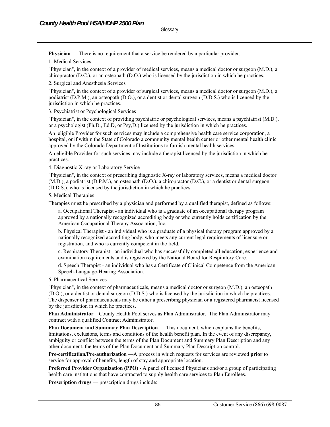**Physician** — There is no requirement that a service be rendered by a particular provider.

1. Medical Services

"Physician", in the context of a provider of medical services, means a medical doctor or surgeon (M.D.), a chiropractor (D.C.), or an osteopath (D.O.) who is licensed by the jurisdiction in which he practices.

2. Surgical and Anesthesia Services

"Physician", in the context of a provider of surgical services, means a medical doctor or surgeon (M.D.), a podiatrist (D.P.M.), an osteopath (D.O.), or a dentist or dental surgeon (D.D.S.) who is licensed by the jurisdiction in which he practices.

3. Psychiatrist or Psychological Services

"Physician", in the context of providing psychiatric or psychological services, means a psychiatrist (M.D.), or a psychologist (Ph.D., Ed.D, or Psy,D.) licensed by the jurisdiction in which he practices.

An eligible Provider for such services may include a comprehensive health care service corporation, a hospital, or if within the State of Colorado a community mental health center or other mental health clinic approved by the Colorado Department of Institutions to furnish mental health services.

An eligible Provider for such services may include a therapist licensed by the jurisdiction in which he practices.

4. Diagnostic X-ray or Laboratory Service

"Physician", in the context of prescribing diagnostic X-ray or laboratory services, means a medical doctor (M.D.), a podiatrist (D.P.M.), an osteopath (D.O.), a chiropractor (D.C.), or a dentist or dental surgeon (D.D.S.), who is licensed by the jurisdiction in which he practices.

5. Medical Therapies

Therapies must be prescribed by a physician and performed by a qualified therapist, defined as follows:

a. Occupational Therapist - an individual who is a graduate of an occupational therapy program approved by a nationally recognized accrediting body or who currently holds certification by the American Occupational Therapy Association, Inc.

b. Physical Therapist - an individual who is a graduate of a physical therapy program approved by a nationally recognized accrediting body, who meets any current legal requirements of licensure or registration, and who is currently competent in the field.

c. Respiratory Therapist - an individual who has successfully completed all education, experience and examination requirements and is registered by the National Board for Respiratory Care.

d. Speech Therapist - an individual who has a Certificate of Clinical Competence from the American Speech-Language-Hearing Association.

6. Pharmaceutical Services

"Physician", in the context of pharmaceuticals, means a medical doctor or surgeon (M.D.), an osteopath (D.O.), or a dentist or dental surgeon (D.D.S.) who is licensed by the jurisdiction in which he practices. The dispenser of pharmaceuticals may be either a prescribing physician or a registered pharmacist licensed by the jurisdiction in which he practices.

**Plan Administrator** – County Health Pool serves as Plan Administrator. The Plan Administrator may contract with a qualified Contract Administrator.

Plan Document and Summary Plan Description — This document, which explains the benefits, limitations, exclusions, terms and conditions of the health benefit plan. In the event of any discrepancy, ambiguity or conflict between the terms of the Plan Document and Summary Plan Description and any other document, the terms of the Plan Document and Summary Plan Description control.

**Pre-certification/Pre-authorization** —A process in which requests for services are reviewed **prior** to service for approval of benefits, length of stay and appropriate location.

**Preferred Provider Organization (PPO)** - A panel of licensed Physicians and/or a group of participating health care institutions that have contracted to supply health care services to Plan Enrollees.

**Prescription drugs** — prescription drugs include: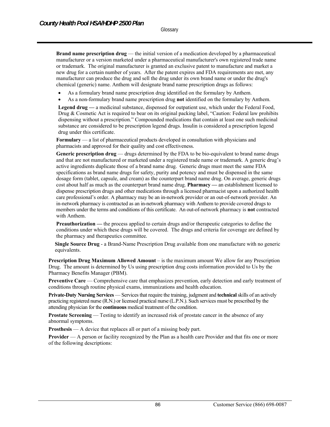**Brand name prescription drug** — the initial version of a medication developed by a pharmaceutical manufacturer or a version marketed under a pharmaceutical manufacturer's own registered trade name or trademark. The original manufacturer is granted an exclusive patent to manufacture and market a new drug for a certain number of years. After the patent expires and FDA requirements are met, any manufacturer can produce the drug and sell the drug under its own brand name or under the drug's chemical (generic) name. Anthem will designate brand name prescription drugs as follows:

- As a formulary brand name prescription drug identified on the formulary by Anthem.
- As a non-formulary brand name prescription drug **not** identified on the formulary by Anthem.

**Legend drug —** a medicinal substance, dispensed for outpatient use, which under the Federal Food, Drug & Cosmetic Act is required to bear on its original packing label, "Caution: Federal law prohibits dispensing without a prescription." Compounded medications that contain at least one such medicinal substance are considered to be prescription legend drugs. Insulin is considered a prescription legend drug under this certificate.

Formulary — a list of pharmaceutical products developed in consultation with physicians and pharmacists and approved for their quality and cost effectiveness*.*

Generic prescription drug — drugs determined by the FDA to be bio-equivalent to brand name drugs and that are not manufactured or marketed under a registered trade name or trademark. A generic drug's active ingredients duplicate those of a brand name drug. Generic drugs must meet the same FDA specifications as brand name drugs for safety, purity and potency and must be dispensed in the same dosage form (tablet, capsule, and cream) as the counterpart brand name drug. On average, generic drugs cost about half as much as the counterpart brand name drug. **Pharmacy —** an establishment licensed to dispense prescription drugs and other medications through a licensed pharmacist upon a authorized health care professional's order. A pharmacy may be an in-network provider or an out-of-network provider. An in-network pharmacy is contracted as an in-network pharmacy with Anthem to provide covered drugs to members under the terms and conditions of this certificate. An out-of-network pharmacy is **not** contracted with Anthem.

**Preauthorization** — the process applied to certain drugs and/or therapeutic categories to define the conditions under which these drugs will be covered. The drugs and criteria for coverage are defined by the pharmacy and therapeutics committee*.* 

**Single Source Drug** - a Brand-Name Prescription Drug available from one manufacture with no generic equivalents.

**Prescription Drug Maximum Allowed Amount** – is the maximum amount We allow for any Prescription Drug. The amount is determined by Us using prescription drug costs information provided to Us by the Pharmacy Benefits Manager (PBM).

**Preventive Care** — Comprehensive care that emphasizes prevention, early detection and early treatment of conditions through routine physical exams, immunizations and health education.

**Private-Duty Nursing Services** — Services that require the training, judgment and **technical** skills of an actively practicing registered nurse (R.N.) or licensed practical nurse (L.P.N.). Such services must be prescribed by the attending physician for the **continuous** medical treatment of the condition.

**Prostate Screening** — Testing to identify an increased risk of prostate cancer in the absence of any abnormal symptoms.

**Prosthesis** — A device that replaces all or part of a missing body part.

**Provider** — A person or facility recognized by the Plan as a health care Provider and that fits one or more of the following descriptions: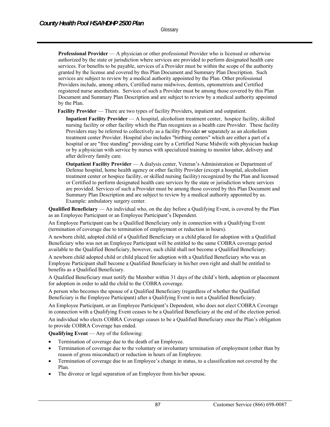**Professional Provider** — A physician or other professional Provider who is licensed or otherwise authorized by the state or jurisdiction where services are provided to perform designated health care services. For benefits to be payable, services of a Provider must be within the scope of the authority granted by the license and covered by this Plan Document and Summary Plan Description. Such services are subject to review by a medical authority appointed by the Plan. Other professional Providers include, among others, Certified nurse midwives, dentists, optometrists and Certified registered nurse anesthetists. Services of such a Provider must be among those covered by this Plan Document and Summary Plan Description and are subject to review by a medical authority appointed by the Plan.

**Facility Provider** — There are two types of facility Providers, inpatient and outpatient.

 **Inpatient Facility Provider** — A hospital, alcoholism treatment center, hospice facility, skilled nursing facility or other facility which the Plan recognizes as a health care Provider. These facility Providers may be referred to collectively as a facility Provider **or** separately as an alcoholism treatment center Provider. Hospital also includes "birthing centers" which are either a part of a hospital or are "free standing" providing care by a Certified Nurse Midwife with physician backup or by a physician with service by nurses with specialized training to monitor labor, delivery and after delivery family care.

 **Outpatient Facility Provider** — A dialysis center, Veteran's Administration or Department of Defense hospital, home health agency or other facility Provider (except a hospital, alcoholism treatment center or hospice facility, or skilled nursing facility) recognized by the Plan and licensed or Certified to perform designated health care services by the state or jurisdiction where services are provided. Services of such a Provider must be among those covered by this Plan Document and Summary Plan Description and are subject to review by a medical authority appointed by us. Example: ambulatory surgery center.

**Qualified Beneficiary** — An individual who, on the day before a Qualifying Event, is covered by the Plan as an Employee Participant or an Employee Participant's Dependent.

An Employee Participant can be a Qualified Beneficiary only in connection with a Qualifying Event (termination of coverage due to termination of employment or reduction in hours).

A newborn child, adopted child of a Qualified Beneficiary or a child placed for adoption with a Qualified Beneficiary who was not an Employee Participant will be entitled to the same COBRA coverage period available to the Qualified Beneficiary, however, such child shall not become a Qualified Beneficiary.

A newborn child adopted child or child placed for adoption with a Qualified Beneficiary who was an Employee Participant shall become a Qualified Beneficiary in his/her own right and shall be entitled to benefits as a Qualified Beneficiary.

A Qualified Beneficiary must notify the Member within 31 days of the child's birth, adoption or placement for adoption in order to add the child to the COBRA coverage.

A person who becomes the spouse of a Qualified Beneficiary (regardless of whether the Qualified Beneficiary is the Employee Participant) after a Qualifying Event is not a Qualified Beneficiary.

An Employee Participant, or an Employee Participant's Dependent, who does not elect COBRA Coverage in connection with a Qualifying Event ceases to be a Qualified Beneficiary at the end of the election period.

An individual who elects COBRA Coverage ceases to be a Qualified Beneficiary once the Plan's obligation to provide COBRA Coverage has ended.

**Qualifying Event** — Any of the following:

- Termination of coverage due to the death of an Employee.
- Termination of coverage due to the voluntary or involuntary termination of employment (other than by reason of gross misconduct) or reduction in hours of an Employee.
- Termination of coverage due to an Employee's change in status, to a classification not covered by the Plan.
- The divorce or legal separation of an Employee from his/her spouse.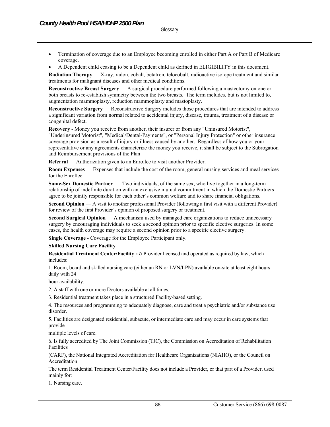- Termination of coverage due to an Employee becoming enrolled in either Part A or Part B of Medicare coverage.
- A Dependent child ceasing to be a Dependent child as defined in ELIGIBILITY in this document.

**Radiation Therapy** — X-ray, radon, cobalt, betatron, telocobalt, radioactive isotope treatment and similar treatments for malignant diseases and other medical conditions.

**Reconstructive Breast Surgery** — A surgical procedure performed following a mastectomy on one or both breasts to re-establish symmetry between the two breasts. The term includes, but is not limited to, augmentation mammoplasty, reduction mammoplasty and mastoplasty.

**Reconstructive Surgery** — Reconstructive Surgery includes those procedures that are intended to address a significant variation from normal related to accidental injury, disease, trauma, treatment of a disease or congenital defect.

**Recovery** - Money you receive from another, their insurer or from any "Uninsured Motorist", "Underinsured Motorist", "Medical/Dental-Payments", or "Personal Injury Protection" or other insurance coverage provision as a result of injury or illness caused by another. Regardless of how you or your representative or any agreements characterize the money you receive, it shall be subject to the Subrogation and Reimbursement provisions of the Plan

**Referral** — Authorization given to an Enrollee to visit another Provider.

**Room Expenses** — Expenses that include the cost of the room, general nursing services and meal services for the Enrollee.

**Same-Sex Domestic Partner** — Two individuals, of the same sex, who live together in a long-term relationship of indefinite duration with an exclusive mutual commitment in which the Domestic Partners agree to be jointly responsible for each other's common welfare and to share financial obligations.

**Second Opinion** — A visit to another professional Provider (following a first visit with a different Provider) for review of the first Provider's opinion of proposed surgery or treatment.

**Second Surgical Opinion** — A mechanism used by managed care organizations to reduce unnecessary surgery by encouraging individuals to seek a second opinion prior to specific elective surgeries. In some cases, the health coverage may require a second opinion prior to a specific elective surgery.

**Single Coverage** - Coverage for the Employee Participant only.

**Skilled Nursing Care Facility** —

**Residential Treatment Center/Facility - a Provider licensed and operated as required by law, which** includes:

1. Room, board and skilled nursing care (either an RN or LVN/LPN) available on-site at least eight hours daily with 24

hour availability.

2. A staff with one or more Doctors available at all times.

3. Residential treatment takes place in a structured Facility-based setting.

4. The resources and programming to adequately diagnose, care and treat a psychiatric and/or substance use disorder.

5. Facilities are designated residential, subacute, or intermediate care and may occur in care systems that provide

multiple levels of care.

6. Is fully accredited by The Joint Commission (TJC), the Commission on Accreditation of Rehabilitation Facilities

(CARF), the National Integrated Accreditation for Healthcare Organizations (NIAHO), or the Council on Accreditation

The term Residential Treatment Center/Facility does not include a Provider, or that part of a Provider, used mainly for:

1. Nursing care.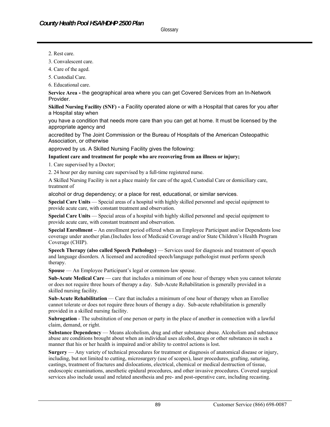**Glossary** 

- 2. Rest care.
- 3. Convalescent care.
- 4. Care of the aged.
- 5. Custodial Care.
- 6. Educational care.

**Service Area -** the geographical area where you can get Covered Services from an In-Network Provider.

**Skilled Nursing Facility (SNF) -** a Facility operated alone or with a Hospital that cares for you after a Hospital stay when

you have a condition that needs more care than you can get at home. It must be licensed by the appropriate agency and

accredited by The Joint Commission or the Bureau of Hospitals of the American Osteopathic Association, or otherwise

approved by us. A Skilled Nursing Facility gives the following:

#### **Inpatient care and treatment for people who are recovering from an illness or injury;**

1. Care supervised by a Doctor;

2. 24 hour per day nursing care supervised by a full-time registered nurse.

A Skilled Nursing Facility is not a place mainly for care of the aged, Custodial Care or domiciliary care, treatment of

alcohol or drug dependency; or a place for rest, educational, or similar services.

**Special Care Units** — Special areas of a hospital with highly skilled personnel and special equipment to provide acute care, with constant treatment and observation.

**Special Care Units** — Special areas of a hospital with highly skilled personnel and special equipment to provide acute care, with constant treatment and observation.

**Special Enrollment –** An enrollment period offered when an Employee Participant and/or Dependents lose coverage under another plan.(Includes loss of Medicaid Coverage and/or State Children's Health Program Coverage (CHIP).

**Speech Therapy (also called Speech Pathology) — Services used for diagnosis and treatment of speech** and language disorders. A licensed and accredited speech/language pathologist must perform speech therapy.

**Spouse** — An Employee Participant's legal or common-law spouse.

**Sub-Acute Medical Care** — care that includes a minimum of one hour of therapy when you cannot tolerate or does not require three hours of therapy a day. Sub-Acute Rehabilitation is generally provided in a skilled nursing facility.

**Sub-Acute Rehabilitation** — Care that includes a minimum of one hour of therapy when an Enrollee cannot tolerate or does not require three hours of therapy a day. Sub-acute rehabilitation is generally provided in a skilled nursing facility.

**Subrogation** - The substitution of one person or party in the place of another in connection with a lawful claim, demand, or right.

**Substance Dependency** — Means alcoholism, drug and other substance abuse. Alcoholism and substance abuse are conditions brought about when an individual uses alcohol, drugs or other substances in such a manner that his or her health is impaired and/or ability to control actions is lost.

**Surgery** — Any variety of technical procedures for treatment or diagnosis of anatomical disease or injury, including, but not limited to cutting, microsurgery (use of scopes), laser procedures, grafting, suturing, castings, treatment of fractures and dislocations, electrical, chemical or medical destruction of tissue, endoscopic examinations, anesthetic epidural procedures, and other invasive procedures. Covered surgical services also include usual and related anesthesia and pre- and post-operative care, including recasting.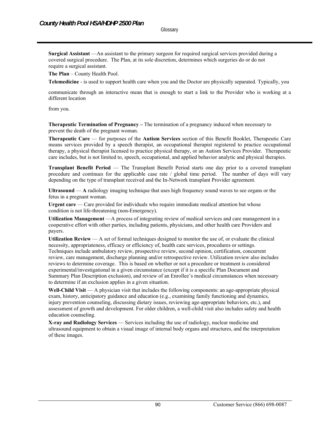**Glossary** 

**Surgical Assistant** —An assistant to the primary surgeon for required surgical services provided during a covered surgical procedure. The Plan, at its sole discretion, determines which surgeries do or do not require a surgical assistant.

**The Plan** – County Health Pool.

**Telemedicine** - is used to support health care when you and the Doctor are physically separated. Typically, you

communicate through an interactive mean that is enough to start a link to the Provider who is working at a different location

from you.

**Therapeutic Termination of Pregnancy –** The termination of a pregnancy induced when necessary to prevent the death of the pregnant woman.

**Therapeutic Care** — for purposes of the **Autism Services** section of this Benefit Booklet, Therapeutic Care means services provided by a speech therapist, an occupational therapist registered to practice occupational therapy, a physical therapist licensed to practice physical therapy, or an Autism Services Provider. Therapeutic care includes, but is not limited to, speech, occupational, and applied behavior analytic and physical therapies.

**Transplant Benefit Period** — The Transplant Benefit Period starts one day prior to a covered transplant procedure and continues for the applicable case rate / global time period. The number of days will vary depending on the type of transplant received and the In-Network transplant Provider agreement.

**Ultrasound** — **A** radiology imaging technique that uses high frequency sound waves to see organs or the fetus in a pregnant woman.

Urgent care — Care provided for individuals who require immediate medical attention but whose condition is not life-threatening (non-Emergency).

**Utilization Management** —A process of integrating review of medical services and care management in a cooperative effort with other parties, including patients, physicians, and other health care Providers and payers.

**Utilization Review** — A set of formal techniques designed to monitor the use of, or evaluate the clinical necessity, appropriateness, efficacy or efficiency of, health care services, procedures or settings. Techniques include ambulatory review, prospective review, second opinion, certification, concurrent review, care management, discharge planning and/or retrospective review. Utilization review also includes reviews to determine coverage. This is based on whether or not a procedure or treatment is considered experimental/investigational in a given circumstance (except if it is a specific Plan Document and Summary Plan Description exclusion), and review of an Enrollee's medical circumstances when necessary to determine if an exclusion applies in a given situation.

**Well-Child Visit** — A physician visit that includes the following components: an age-appropriate physical exam, history, anticipatory guidance and education (e.g., examining family functioning and dynamics, injury prevention counseling, discussing dietary issues, reviewing age-appropriate behaviors, etc.), and assessment of growth and development. For older children, a well-child visit also includes safety and health education counseling.

**X-ray and Radiology Services** — Services including the use of radiology, nuclear medicine and ultrasound equipment to obtain a visual image of internal body organs and structures, and the interpretation of these images.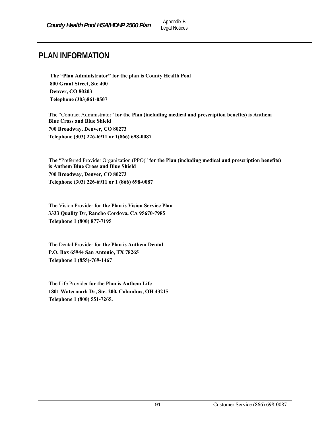# **PLAN INFORMATION**

**The "Plan Administrator" for the plan is County Health Pool 800 Grant Street, Ste 400 Denver, CO 80203 Telephone (303)861-0507** 

**The** "Contract Administrator" **for the Plan (including medical and prescription benefits) is Anthem Blue Cross and Blue Shield 700 Broadway, Denver, CO 80273 Telephone (303) 226-6911 or 1(866) 698-0087** 

**The** "Preferred Provider Organization (PPO)" **for the Plan (including medical and prescription benefits) is Anthem Blue Cross and Blue Shield 700 Broadway, Denver, CO 80273 Telephone (303) 226-6911 or 1 (866) 698-0087** 

**The** Vision Provider **for the Plan is Vision Service Plan 3333 Quality Dr, Rancho Cordova, CA 95670-7985 Telephone 1 (800) 877-7195** 

**The** Dental Provider **for the Plan is Anthem Dental P.O. Box 65944 San Antonio, TX 78265 Telephone 1 (855)-769-1467** 

**The** Life Provider **for the Plan is Anthem Life 1801 Watermark Dr, Ste. 200, Columbus, OH 43215 Telephone 1 (800) 551-7265.**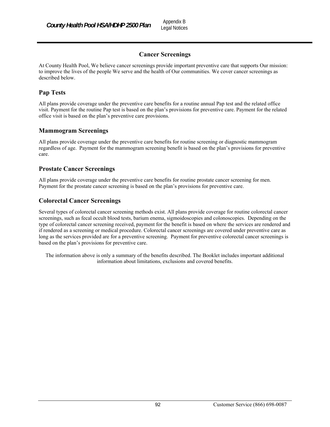# **Cancer Screenings**

At County Health Pool, We believe cancer screenings provide important preventive care that supports Our mission: to improve the lives of the people We serve and the health of Our communities. We cover cancer screenings as described below.

# **Pap Tests**

All plans provide coverage under the preventive care benefits for a routine annual Pap test and the related office visit. Payment for the routine Pap test is based on the plan's provisions for preventive care. Payment for the related office visit is based on the plan's preventive care provisions.

## **Mammogram Screenings**

All plans provide coverage under the preventive care benefits for routine screening or diagnostic mammogram regardless of age. Payment for the mammogram screening benefit is based on the plan's provisions for preventive care.

## **Prostate Cancer Screenings**

All plans provide coverage under the preventive care benefits for routine prostate cancer screening for men. Payment for the prostate cancer screening is based on the plan's provisions for preventive care.

## **Colorectal Cancer Screenings**

Several types of colorectal cancer screening methods exist. All plans provide coverage for routine colorectal cancer screenings, such as fecal occult blood tests, barium enema, sigmoidoscopies and colonoscopies. Depending on the type of colorectal cancer screening received, payment for the benefit is based on where the services are rendered and if rendered as a screening or medical procedure. Colorectal cancer screenings are covered under preventive care as long as the services provided are for a preventive screening. Payment for preventive colorectal cancer screenings is based on the plan's provisions for preventive care.

The information above is only a summary of the benefits described. The Booklet includes important additional information about limitations, exclusions and covered benefits.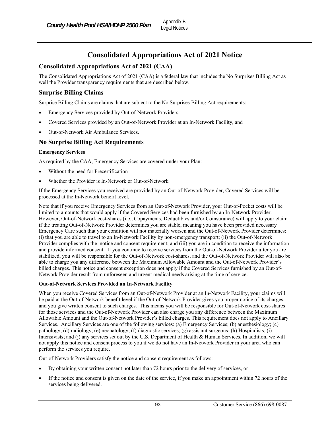# **Consolidated Appropriations Act of 2021 Notice**

## **Consolidated Appropriations Act of 2021 (CAA)**

The Consolidated Appropriations Act of 2021 (CAA) is a federal law that includes the No Surprises Billing Act as well the Provider transparency requirements that are described below.

## **Surprise Billing Claims**

Surprise Billing Claims are claims that are subject to the No Surprises Billing Act requirements:

- Emergency Services provided by Out-of-Network Providers,
- Covered Services provided by an Out-of-Network Provider at an In-Network Facility, and
- Out-of-Network Air Ambulance Services.

## **No Surprise Billing Act Requirements**

#### **Emergency Services**

As required by the CAA, Emergency Services are covered under your Plan:

- Without the need for Precertification
- Whether the Provider is In-Network or Out-of-Network

If the Emergency Services you received are provided by an Out-of-Network Provider, Covered Services will be processed at the In-Network benefit level.

Note that if you receive Emergency Services from an Out-of-Network Provider, your Out-of-Pocket costs will be limited to amounts that would apply if the Covered Services had been furnished by an In-Network Provider. However, Out-of-Network cost-shares (i.e., Copayments, Deductibles and/or Coinsurance) will apply to your claim if the treating Out-of-Network Provider determines you are stable, meaning you have been provided necessary Emergency Care such that your condition will not materially worsen and the Out-of-Network Provider determines: (i) that you are able to travel to an In-Network Facility by non-emergency transport; (ii) the Out-of-Network Provider complies with the notice and consent requirement; and (iii) you are in condition to receive the information and provide informed consent. If you continue to receive services from the Out-of-Network Provider after you are stabilized, you will be responsible for the Out-of-Network cost-shares, and the Out-of-Network Provider will also be able to charge you any difference between the Maximum Allowable Amount and the Out-of-Network Provider's billed charges. This notice and consent exception does not apply if the Covered Services furnished by an Out-of-Network Provider result from unforeseen and urgent medical needs arising at the time of service.

#### **Out-of-Network Services Provided an In-Network Facility**

When you receive Covered Services from an Out-of-Network Provider at an In-Network Facility, your claims will be paid at the Out-of-Network benefit level if the Out-of-Network Provider gives you proper notice of its charges, and you give written consent to such charges. This means you will be responsible for Out-of-Network cost-shares for those services and the Out-of-Network Provider can also charge you any difference between the Maximum Allowable Amount and the Out-of-Network Provider's billed charges. This requirement does not apply to Ancillary Services. Ancillary Services are one of the following services: (a) Emergency Services; (b) anesthesiology; (c) pathology; (d) radiology; (e) neonatology; (f) diagnostic services; (g) assistant surgeons; (h) Hospitalists; (i) Intensivists; and (j) any services set out by the U.S. Department of Health & Human Services. In addition, we will not apply this notice and consent process to you if we do not have an In-Network Provider in your area who can perform the services you require.

Out-of-Network Providers satisfy the notice and consent requirement as follows:

- By obtaining your written consent not later than 72 hours prior to the delivery of services, or
- If the notice and consent is given on the date of the service, if you make an appointment within 72 hours of the services being delivered.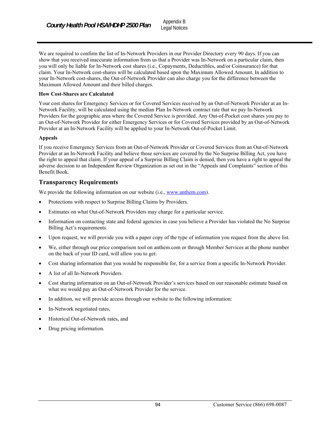We are required to confirm the list of In-Network Providers in our Provider Directory every 90 days. If you can show that you received inaccurate information from us that a Provider was In-Network on a particular claim, then you will only be liable for In-Network cost shares (i.e., Copayments, Deductibles, and/or Coinsurance) for that claim. Your In-Network cost-shares will be calculated based upon the Maximum Allowed Amount. In addition to your In-Network cost-shares, the Out-of-Network Provider can also charge you for the difference between the Maximum Allowed Amount and their billed charges.

#### **How Cost-Shares are Calculated**

Your cost shares for Emergency Services or for Covered Services received by an Out-of-Network Provider at an In-Network Facility, will be calculated using the median Plan In-Network contract rate that we pay In-Network Providers for the geographic area where the Covered Service is provided. Any Out-of-Pocket cost shares you pay to an Out-of-Network Provider for either Emergency Services or for Covered Services provided by an Out-of-Network Provider at an In-Network Facility will be applied to your In-Network Out-of-Pocket Limit.

#### **Appeals**

If you receive Emergency Services from an Out-of-Network Provider or Covered Services from an Out-of-Network Provider at an In-Network Facility and believe those services are covered by the No Surprise Billing Act, you have the right to appeal that claim. If your appeal of a Surprise Billing Claim is denied, then you have a right to appeal the adverse decision to an Independent Review Organization as set out in the "Appeals and Complaints" section of this Benefit Book.

# **Transparency Requirements**

We provide the following information on our website (i.e., www.anthem.com).

- Protections with respect to Surprise Billing Claims by Providers.
- Estimates on what Out-of-Network Providers may charge for a particular service.
- Information on contacting state and federal agencies in case you believe a Provider has violated the No Surprise Billing Act's requirements.
- Upon request, we will provide you with a paper copy of the type of information you request from the above list.
- We, either through our price comparison tool on anthem.com or through Member Services at the phone number on the back of your ID card, will allow you to get:
- Cost sharing information that you would be responsible for, for a service from a specific In-Network Provider.
- A list of all In-Network Providers.
- Cost sharing information on an Out-of-Network Provider's services based on our reasonable estimate based on what we would pay an Out-of-Network Provider for the service.
- In addition, we will provide access through our website to the following information:
- In-Network negotiated rates,
- Historical Out-of-Network rates, and
- Drug pricing information.